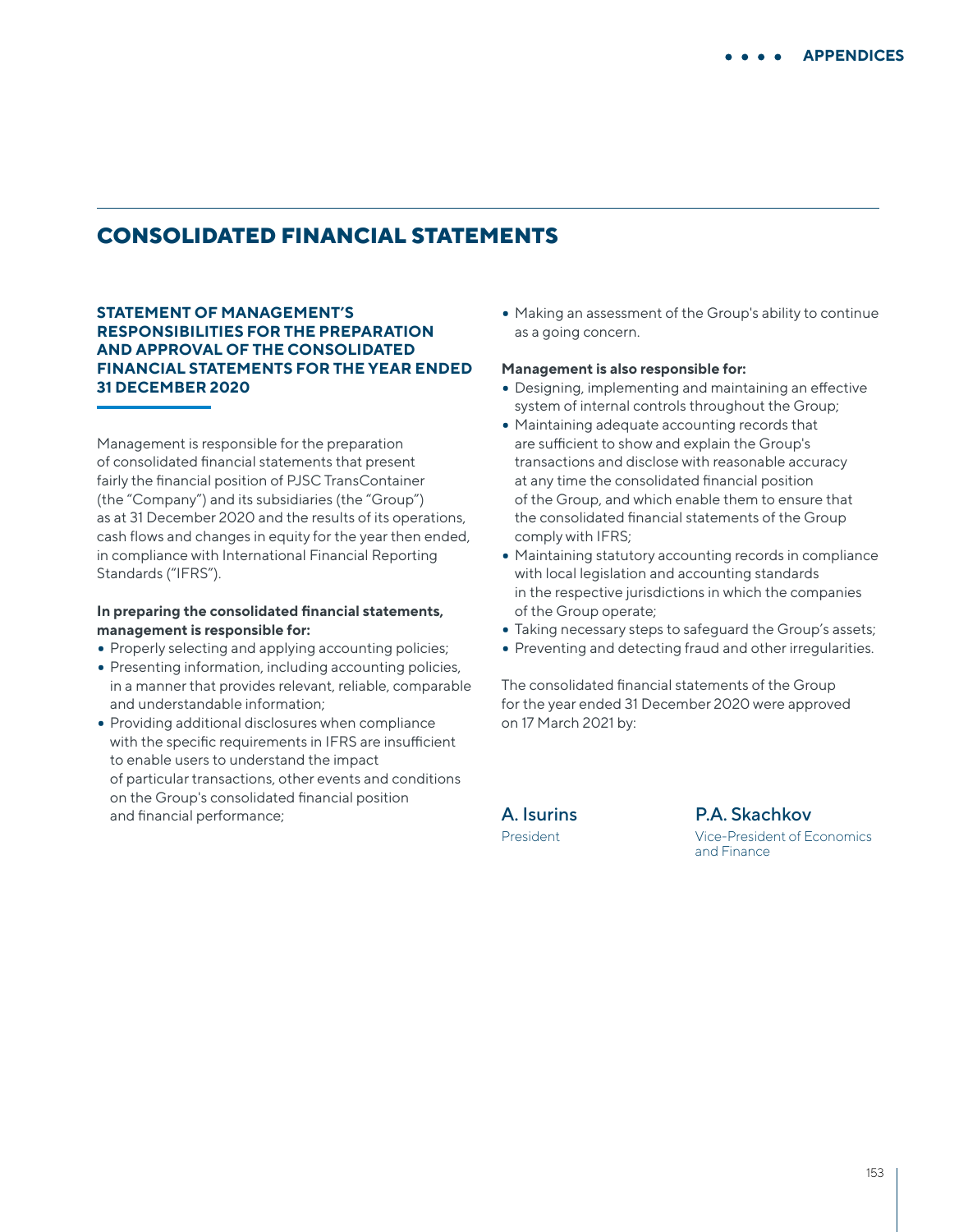# **CONSOLIDATED FINANCIAL STATEMENTS**

**STATEMENT OF MANAGEMENT'S RESPONSIBILITIES FOR THE PREPARATION AND APPROVAL OF THE CONSOLIDATED FINANCIAL STATEMENTS FOR THE YEAR ENDED 31 DECEMBER 2020**

Management is responsible for the preparation of consolidated financial statements that present fairly the financial position of PJSC TransContainer (the "Company") and its subsidiaries (the "Group") as at 31 December 2020 and the results of its operations, cash flows and changes in equity for the year then ended, in compliance with International Financial Reporting Standards ("IFRS").

### **In preparing the consolidated financial statements, management is responsible for:**

- Properly selecting and applying accounting policies;
- Presenting information, including accounting policies, in a manner that provides relevant, reliable, comparable and understandable information;
- Providing additional disclosures when compliance with the specific requirements in IFRS are insufficient to enable users to understand the impact of particular transactions, other events and conditions on the Group's consolidated financial position and financial performance;

• Making an assessment of the Group's ability to continue as a going concern.

#### **Management is also responsible for:**

- Designing, implementing and maintaining an effective system of internal controls throughout the Group;
- Maintaining adequate accounting records that are sufficient to show and explain the Group's transactions and disclose with reasonable accuracy at any time the consolidated financial position of the Group, and which enable them to ensure that the consolidated financial statements of the Group comply with IFRS;
- Maintaining statutory accounting records in compliance with local legislation and accounting standards in the respective jurisdictions in which the companies of the Group operate;
- Taking necessary steps to safeguard the Group's assets;
- Preventing and detecting fraud and other irregularities.

The consolidated financial statements of the Group for the year ended 31 December 2020 were approved on 17 March 2021 by:

A. Isurins President

P.A. Skachkov Vice-President of Economics and Finance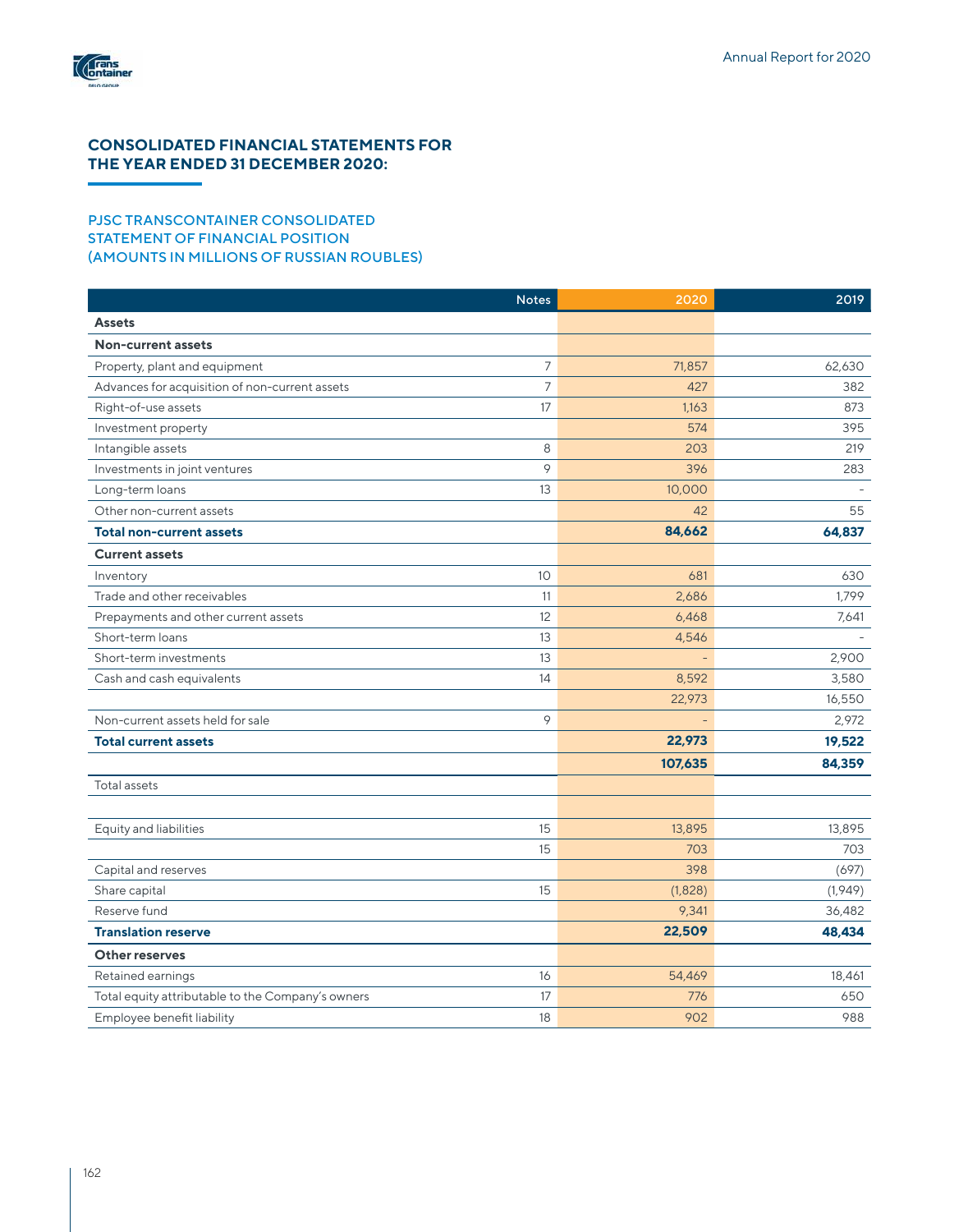

## **CONSOLIDATED FINANCIAL STATEMENTS FOR THE YEAR ENDED 31 DECEMBER 2020:**

## PJSC TRANSCONTAINER CONSOLIDATED STATEMENT OF FINANCIAL POSITION (AMOUNTS IN MILLIONS OF RUSSIAN ROUBLES)

|                                                   | <b>Notes</b> | 2020    | 2019    |
|---------------------------------------------------|--------------|---------|---------|
| <b>Assets</b>                                     |              |         |         |
| <b>Non-current assets</b>                         |              |         |         |
| Property, plant and equipment                     | 7            | 71,857  | 62,630  |
| Advances for acquisition of non-current assets    | 7            | 427     | 382     |
| Right-of-use assets                               | 17           | 1,163   | 873     |
| Investment property                               |              | 574     | 395     |
| Intangible assets                                 | 8            | 203     | 219     |
| Investments in joint ventures                     | 9            | 396     | 283     |
| Long-term loans                                   | 13           | 10,000  |         |
| Other non-current assets                          |              | 42      | 55      |
| Total non-current assets                          |              | 84,662  | 64,837  |
| <b>Current assets</b>                             |              |         |         |
| Inventory                                         | 10           | 681     | 630     |
| Trade and other receivables                       | 11           | 2,686   | 1,799   |
| Prepayments and other current assets              | 12           | 6,468   | 7,641   |
| Short-term loans                                  | 13           | 4,546   |         |
| Short-term investments                            | 13           |         | 2,900   |
| Cash and cash equivalents                         | 14           | 8,592   | 3,580   |
|                                                   |              | 22,973  | 16,550  |
| Non-current assets held for sale                  | 9            |         | 2,972   |
| <b>Total current assets</b>                       |              | 22,973  | 19,522  |
|                                                   |              | 107,635 | 84,359  |
| Total assets                                      |              |         |         |
|                                                   |              |         |         |
| Equity and liabilities                            | 15           | 13,895  | 13,895  |
|                                                   | 15           | 703     | 703     |
| Capital and reserves                              |              | 398     | (697)   |
| Share capital                                     | 15           | (1,828) | (1,949) |
| Reserve fund                                      |              | 9,341   | 36,482  |
| <b>Translation reserve</b>                        |              | 22,509  | 48,434  |
| Other reserves                                    |              |         |         |
| Retained earnings                                 | 16           | 54,469  | 18,461  |
| Total equity attributable to the Company's owners | 17           | 776     | 650     |
| Employee benefit liability                        | 18           | 902     | 988     |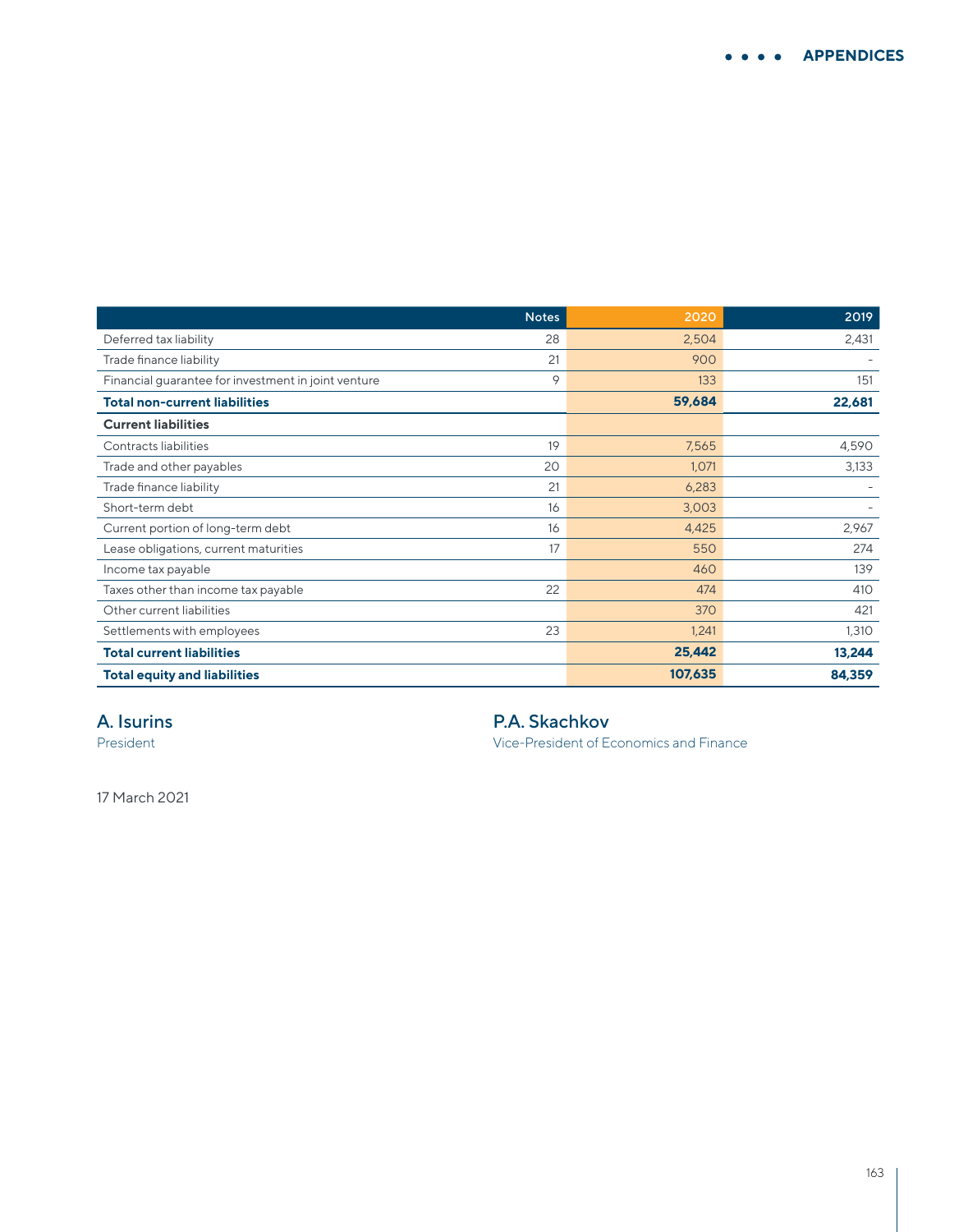|                                                     | <b>Notes</b> | 2020    | 2019   |
|-----------------------------------------------------|--------------|---------|--------|
| Deferred tax liability                              | 28           | 2,504   | 2,431  |
| Trade finance liability                             | 21           | 900     |        |
| Financial guarantee for investment in joint venture | 9            | 133     | 151    |
| <b>Total non-current liabilities</b>                |              | 59,684  | 22,681 |
| <b>Current liabilities</b>                          |              |         |        |
| Contracts liabilities                               | 19           | 7,565   | 4,590  |
| Trade and other payables                            | 20           | 1,071   | 3,133  |
| Trade finance liability                             | 21           | 6,283   |        |
| Short-term debt                                     | 16           | 3,003   |        |
| Current portion of long-term debt                   | 16           | 4,425   | 2,967  |
| Lease obligations, current maturities               | 17           | 550     | 274    |
| Income tax payable                                  |              | 460     | 139    |
| Taxes other than income tax payable                 | 22           | 474     | 410    |
| Other current liabilities                           |              | 370     | 421    |
| Settlements with employees                          | 23           | 1,241   | 1,310  |
| <b>Total current liabilities</b>                    |              | 25,442  | 13,244 |
| <b>Total equity and liabilities</b>                 |              | 107,635 | 84,359 |

# A. Isurins

President

P.A. Skachkov

Vice-President of Economics and Finance

17 March 2021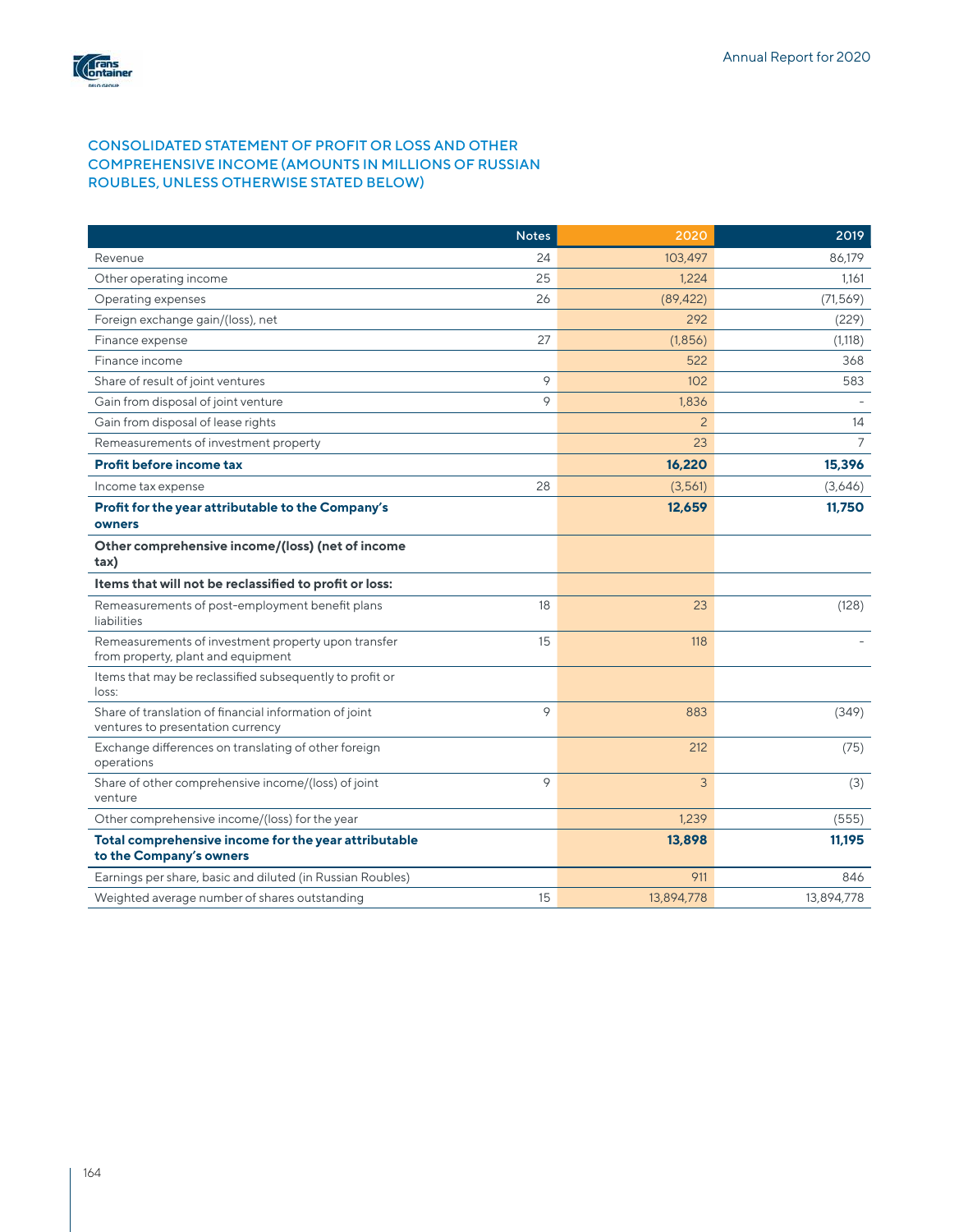

## CONSOLIDATED STATEMENT OF PROFIT OR LOSS AND OTHER COMPREHENSIVE INCOME (AMOUNTS IN MILLIONS OF RUSSIAN ROUBLES, UNLESS OTHERWISE STATED BELOW)

|                                                                                             | <b>Notes</b> | 2020           | 2019           |
|---------------------------------------------------------------------------------------------|--------------|----------------|----------------|
| Revenue                                                                                     | 24           | 103.497        | 86.179         |
| Other operating income                                                                      | 25           | 1,224          | 1,161          |
| Operating expenses                                                                          | 26           | (89, 422)      | (71, 569)      |
| Foreign exchange gain/(loss), net                                                           |              | 292            | (229)          |
| Finance expense                                                                             | 27           | (1,856)        | (1,118)        |
| Finance income                                                                              |              | 522            | 368            |
| Share of result of joint ventures                                                           | 9            | 102            | 583            |
| Gain from disposal of joint venture                                                         | 9            | 1,836          |                |
| Gain from disposal of lease rights                                                          |              | $\overline{2}$ | 14             |
| Remeasurements of investment property                                                       |              | 23             | $\overline{7}$ |
| Profit before income tax                                                                    |              | 16,220         | 15,396         |
| Income tax expense                                                                          | 28           | (3,561)        | (3,646)        |
| Profit for the year attributable to the Company's<br>owners                                 |              | 12,659         | 11,750         |
| Other comprehensive income/(loss) (net of income<br>tax)                                    |              |                |                |
| Items that will not be reclassified to profit or loss:                                      |              |                |                |
| Remeasurements of post-employment benefit plans<br>liabilities                              | 18           | 23             | (128)          |
| Remeasurements of investment property upon transfer<br>from property, plant and equipment   | 15           | 118            |                |
| Items that may be reclassified subsequently to profit or<br>loss:                           |              |                |                |
| Share of translation of financial information of joint<br>ventures to presentation currency | 9            | 883            | (349)          |
| Exchange differences on translating of other foreign<br>operations                          |              | 212            | (75)           |
| Share of other comprehensive income/(loss) of joint<br>venture                              | 9            | 3              | (3)            |
| Other comprehensive income/(loss) for the year                                              |              | 1.239          | (555)          |
| Total comprehensive income for the year attributable<br>to the Company's owners             |              | 13,898         | 11,195         |
| Earnings per share, basic and diluted (in Russian Roubles)                                  |              | 911            | 846            |
| Weighted average number of shares outstanding                                               | 15           | 13,894,778     | 13,894,778     |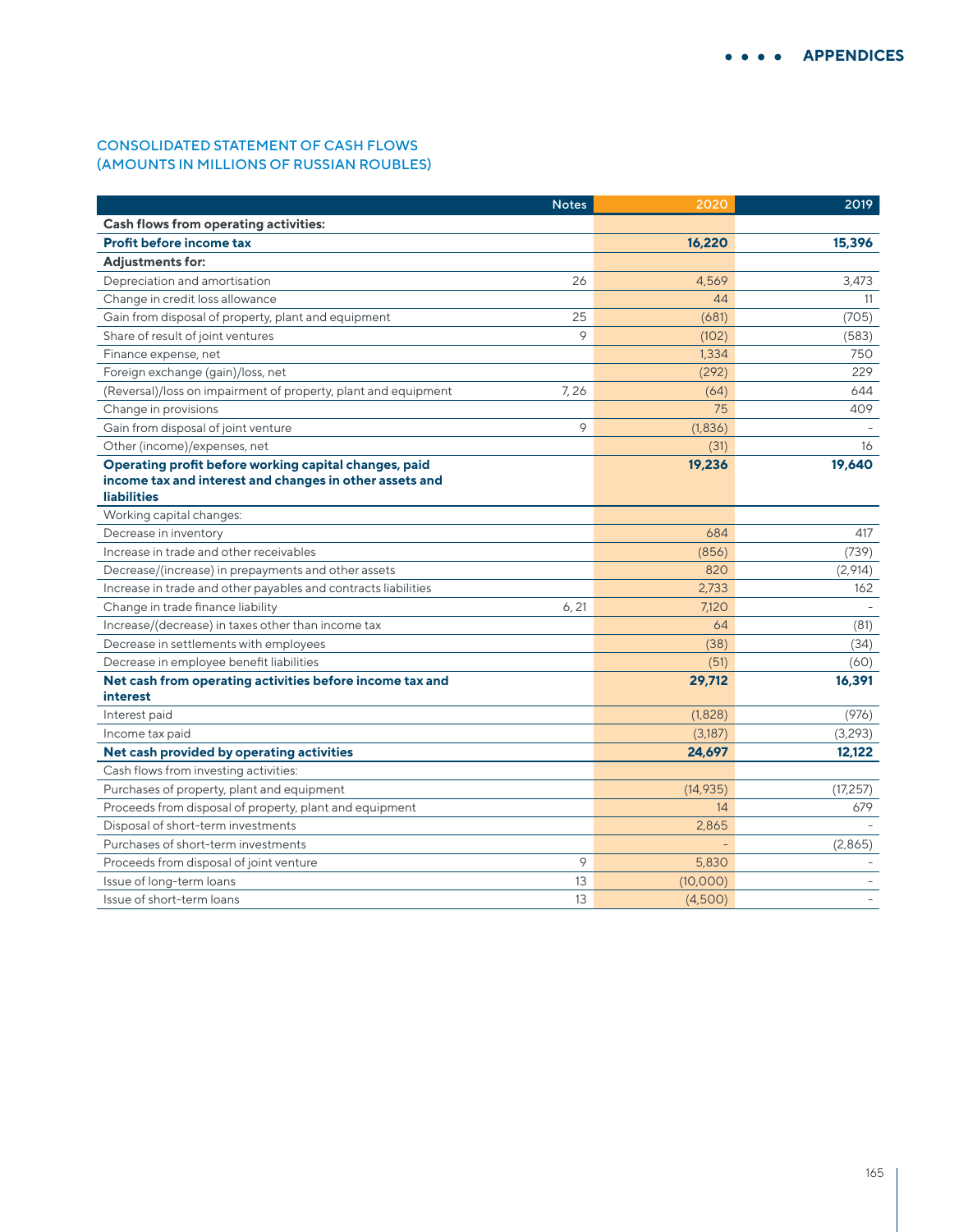## CONSOLIDATED STATEMENT OF CASH FLOWS (AMOUNTS IN MILLIONS OF RUSSIAN ROUBLES)

|                                                                      | <b>Notes</b> | 2020      | 2019      |
|----------------------------------------------------------------------|--------------|-----------|-----------|
| <b>Cash flows from operating activities:</b>                         |              |           |           |
| Profit before income tax                                             |              | 16,220    | 15,396    |
| <b>Adjustments for:</b>                                              |              |           |           |
| Depreciation and amortisation                                        | 26           | 4,569     | 3,473     |
| Change in credit loss allowance                                      |              | 44        | 11        |
| Gain from disposal of property, plant and equipment                  | 25           | (681)     | (705)     |
| Share of result of joint ventures                                    | 9            | (102)     | (583)     |
| Finance expense, net                                                 |              | 1,334     | 750       |
| Foreign exchange (gain)/loss, net                                    |              | (292)     | 229       |
| (Reversal)/loss on impairment of property, plant and equipment       | 7,26         | (64)      | 644       |
| Change in provisions                                                 |              | 75        | 409       |
| Gain from disposal of joint venture                                  | 9            | (1,836)   |           |
| Other (income)/expenses, net                                         |              | (31)      | 16        |
| Operating profit before working capital changes, paid                |              | 19,236    | 19,640    |
| income tax and interest and changes in other assets and              |              |           |           |
| <b>liabilities</b>                                                   |              |           |           |
| Working capital changes:                                             |              |           |           |
| Decrease in inventory                                                |              | 684       | 417       |
| Increase in trade and other receivables                              |              | (856)     | (739)     |
| Decrease/(increase) in prepayments and other assets                  |              | 820       | (2,914)   |
| Increase in trade and other payables and contracts liabilities       |              | 2,733     | 162       |
| Change in trade finance liability                                    | 6, 21        | 7,120     |           |
| Increase/(decrease) in taxes other than income tax                   |              | 64        | (81)      |
| Decrease in settlements with employees                               |              | (38)      | (34)      |
| Decrease in employee benefit liabilities                             |              | (51)      | (60)      |
| Net cash from operating activities before income tax and<br>interest |              | 29,712    | 16,391    |
| Interest paid                                                        |              | (1,828)   | (976)     |
| Income tax paid                                                      |              | (3, 187)  | (3,293)   |
| Net cash provided by operating activities                            |              | 24,697    | 12,122    |
| Cash flows from investing activities:                                |              |           |           |
| Purchases of property, plant and equipment                           |              | (14, 935) | (17, 257) |
| Proceeds from disposal of property, plant and equipment              |              | 14        | 679       |
| Disposal of short-term investments                                   |              | 2,865     |           |
| Purchases of short-term investments                                  |              |           | (2,865)   |
| Proceeds from disposal of joint venture                              | 9            | 5,830     |           |
| Issue of long-term loans                                             | 13           | (10,000)  |           |
| Issue of short-term loans                                            | 13           | (4,500)   |           |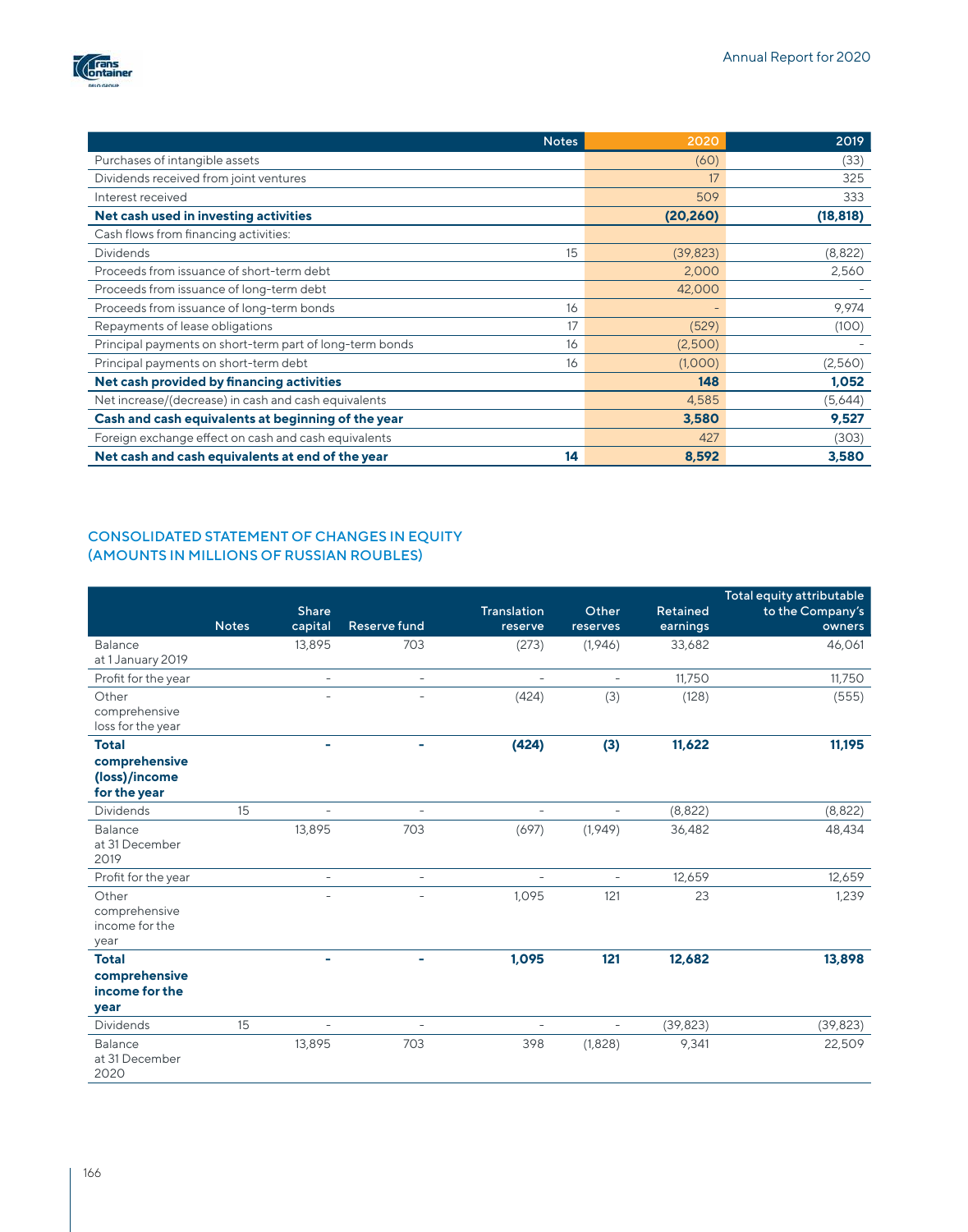

| <b>Notes</b>                                                   | 2020      | 2019      |
|----------------------------------------------------------------|-----------|-----------|
| Purchases of intangible assets                                 | (60)      | (33)      |
| Dividends received from joint ventures                         | 17        | 325       |
| Interest received                                              | 509       | 333       |
| Net cash used in investing activities                          | (20, 260) | (18, 818) |
| Cash flows from financing activities:                          |           |           |
| <b>Dividends</b><br>15                                         | (39, 823) | (8,822)   |
| Proceeds from issuance of short-term debt                      | 2,000     | 2,560     |
| Proceeds from issuance of long-term debt                       | 42,000    |           |
| Proceeds from issuance of long-term bonds<br>16                |           | 9,974     |
| Repayments of lease obligations<br>17                          | (529)     | (100)     |
| Principal payments on short-term part of long-term bonds<br>16 | (2,500)   |           |
| Principal payments on short-term debt<br>16                    | (1,000)   | (2,560)   |
| Net cash provided by financing activities                      | 148       | 1,052     |
| Net increase/(decrease) in cash and cash equivalents           | 4,585     | (5,644)   |
| Cash and cash equivalents at beginning of the year             | 3,580     | 9,527     |
| Foreign exchange effect on cash and cash equivalents           | 427       | (303)     |
| Net cash and cash equivalents at end of the year<br>14         | 8,592     | 3,580     |

## CONSOLIDATED STATEMENT OF CHANGES IN EQUITY (AMOUNTS IN MILLIONS OF RUSSIAN ROUBLES)

|                                                                | <b>Notes</b> | <b>Share</b><br>capital | Reserve fund             | <b>Translation</b><br>reserve | Other<br>reserves        | Retained<br>earnings | Total equity attributable<br>to the Company's<br>owners |
|----------------------------------------------------------------|--------------|-------------------------|--------------------------|-------------------------------|--------------------------|----------------------|---------------------------------------------------------|
| Balance<br>at 1 January 2019                                   |              | 13,895                  | 703                      | (273)                         | (1,946)                  | 33,682               | 46,061                                                  |
| Profit for the year                                            |              | $\bar{a}$               | $\overline{\phantom{a}}$ | $\overline{\phantom{a}}$      | ÷,                       | 11,750               | 11,750                                                  |
| Other<br>comprehensive<br>loss for the year                    |              |                         | $\overline{\phantom{a}}$ | (424)                         | (3)                      | (128)                | (555)                                                   |
| <b>Total</b><br>comprehensive<br>(loss)/income<br>for the year |              |                         |                          | (424)                         | (3)                      | 11,622               | 11,195                                                  |
| <b>Dividends</b>                                               | 15           | ÷                       |                          | $\overline{\phantom{a}}$      | L.                       | (8,822)              | (8,822)                                                 |
| <b>Balance</b><br>at 31 December<br>2019                       |              | 13,895                  | 703                      | (697)                         | (1,949)                  | 36,482               | 48,434                                                  |
| Profit for the year                                            |              | $\overline{a}$          | $\overline{\phantom{a}}$ | $\overline{a}$                |                          | 12,659               | 12,659                                                  |
| Other<br>comprehensive<br>income for the<br>year               |              | ۰                       |                          | 1,095                         | 121                      | 23                   | 1,239                                                   |
| <b>Total</b><br>comprehensive<br>income for the<br>year        |              |                         | ۰                        | 1,095                         | 121                      | 12,682               | 13,898                                                  |
| <b>Dividends</b>                                               | 15           | ÷,                      | $\overline{\phantom{a}}$ | $\equiv$                      | $\overline{\phantom{a}}$ | (39, 823)            | (39, 823)                                               |
| Balance<br>at 31 December<br>2020                              |              | 13,895                  | 703                      | 398                           | (1,828)                  | 9,341                | 22,509                                                  |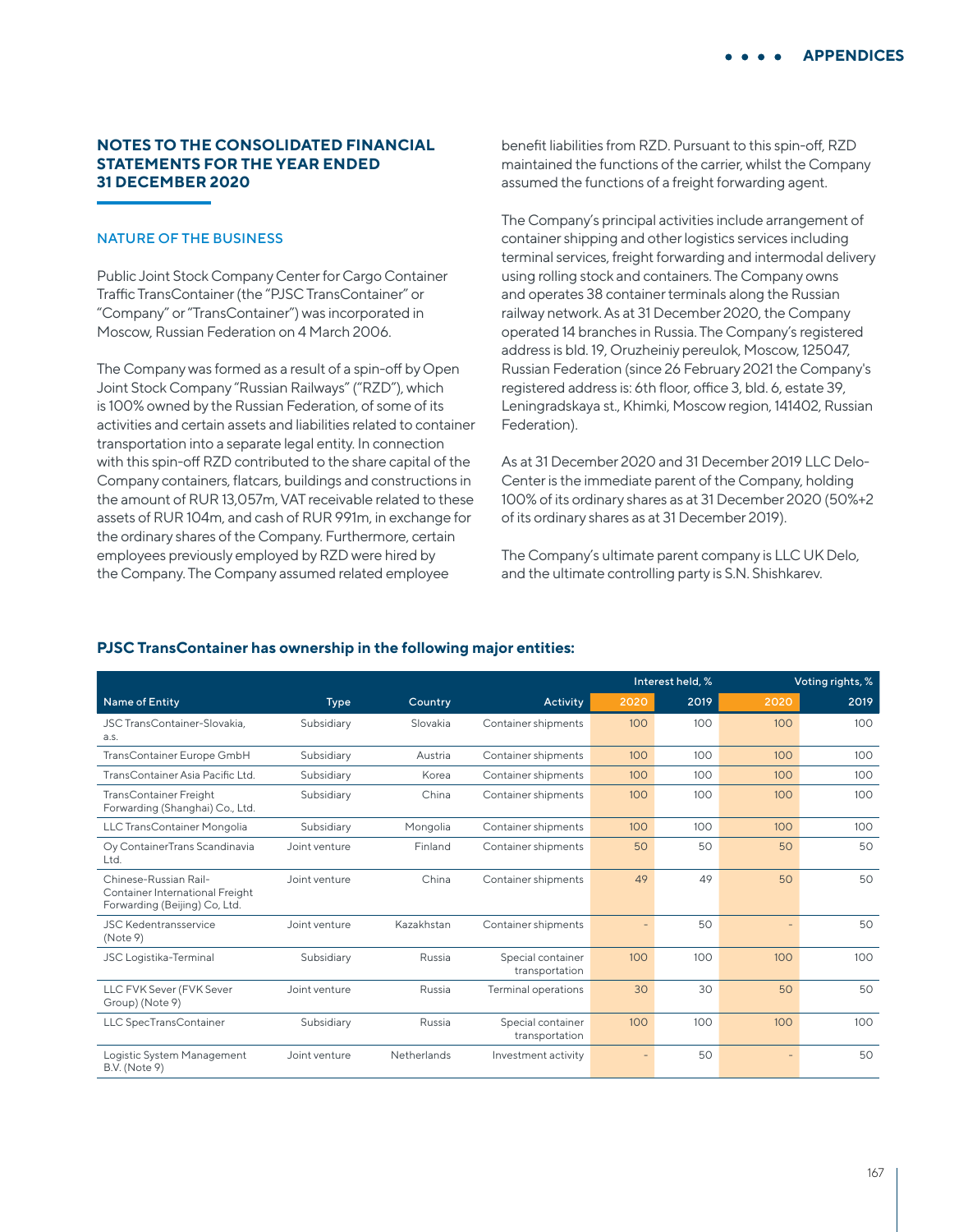## **NOTES TO THE CONSOLIDATED FINANCIAL STATEMENTS FOR THE YEAR ENDED 31 DECEMBER 2020**

## NATURE OF THE BUSINESS

Public Joint Stock Company Center for Cargo Container Traffic TransContainer (the "PJSC TransContainer" or "Company" or "TransContainer") was incorporated in Moscow, Russian Federation on 4 March 2006.

The Company was formed as a result of a spin-off by Open Joint Stock Company "Russian Railways" ("RZD"), which is 100% owned by the Russian Federation, of some of its activities and certain assets and liabilities related to container transportation into a separate legal entity. In connection with this spin-off RZD contributed to the share capital of the Company containers, flatcars, buildings and constructions in the amount of RUR 13,057m, VAT receivable related to these assets of RUR 104m, and cash of RUR 991m, in exchange for the ordinary shares of the Company. Furthermore, certain employees previously employed by RZD were hired by the Company. The Company assumed related employee

benefit liabilities from RZD. Pursuant to this spin-off, RZD maintained the functions of the carrier, whilst the Company assumed the functions of a freight forwarding agent.

The Company's principal activities include arrangement of container shipping and other logistics services including terminal services, freight forwarding and intermodal delivery using rolling stock and containers. The Company owns and operates 38 container terminals along the Russian railway network. As at 31 December 2020, the Company operated 14 branches in Russia. The Company's registered address is bld. 19, Oruzheiniy pereulok, Moscow, 125047, Russian Federation (since 26 February 2021 the Company's registered address is: 6th floor, office 3, bld. 6, estate 39, Leningradskaya st., Khimki, Moscow region, 141402, Russian Federation).

As at 31 December 2020 and 31 December 2019 LLC Delo-Center is the immediate parent of the Company, holding 100% of its ordinary shares as at 31 December 2020 (50%+2 of its ordinary shares as at 31 December 2019).

The Company's ultimate parent company is LLC UK Delo, and the ultimate controlling party is S.N. Shishkarev.

|                                                                                           |               |             |                                     |      | Interest held, % |                          | Voting rights, % |
|-------------------------------------------------------------------------------------------|---------------|-------------|-------------------------------------|------|------------------|--------------------------|------------------|
| Name of Entity                                                                            | <b>Type</b>   | Country     | Activity                            | 2020 | 2019             | 2020                     | 2019             |
| JSC TransContainer-Slovakia,<br>a.s.                                                      | Subsidiary    | Slovakia    | Container shipments                 | 100  | 100              | 100                      | 100              |
| TransContainer Europe GmbH                                                                | Subsidiary    | Austria     | Container shipments                 | 100  | 100              | 100                      | 100              |
| TransContainer Asia Pacific Ltd.                                                          | Subsidiary    | Korea       | Container shipments                 | 100  | 100              | 100                      | 100              |
| <b>TransContainer Freight</b><br>Forwarding (Shanghai) Co., Ltd.                          | Subsidiary    | China       | Container shipments                 | 100  | 100              | 100                      | 100              |
| LLC TransContainer Mongolia                                                               | Subsidiary    | Mongolia    | Container shipments                 | 100  | 100              | 100                      | 100              |
| Oy ContainerTrans Scandinavia<br>Ltd.                                                     | Joint venture | Finland     | Container shipments                 | 50   | 50               | 50                       | 50               |
| Chinese-Russian Rail-<br>Container International Freight<br>Forwarding (Beijing) Co, Ltd. | Joint venture | China       | Container shipments                 | 49   | 49               | 50                       | 50               |
| <b>JSC Kedentransservice</b><br>(Note 9)                                                  | Joint venture | Kazakhstan  | Container shipments                 |      | 50               | $\overline{\phantom{0}}$ | 50               |
| <b>JSC Logistika-Terminal</b>                                                             | Subsidiary    | Russia      | Special container<br>transportation | 100  | 100              | 100                      | 100              |
| LLC FVK Sever (FVK Sever<br>Group) (Note 9)                                               | Joint venture | Russia      | <b>Terminal operations</b>          | 30   | 30               | 50                       | 50               |
| LLC SpecTransContainer                                                                    | Subsidiary    | Russia      | Special container<br>transportation | 100  | 100              | 100                      | 100              |
| Logistic System Management<br><b>B.V.</b> (Note 9)                                        | Joint venture | Netherlands | Investment activity                 |      | 50               |                          | 50               |

#### **PJSC TransContainer has ownership in the following major entities:**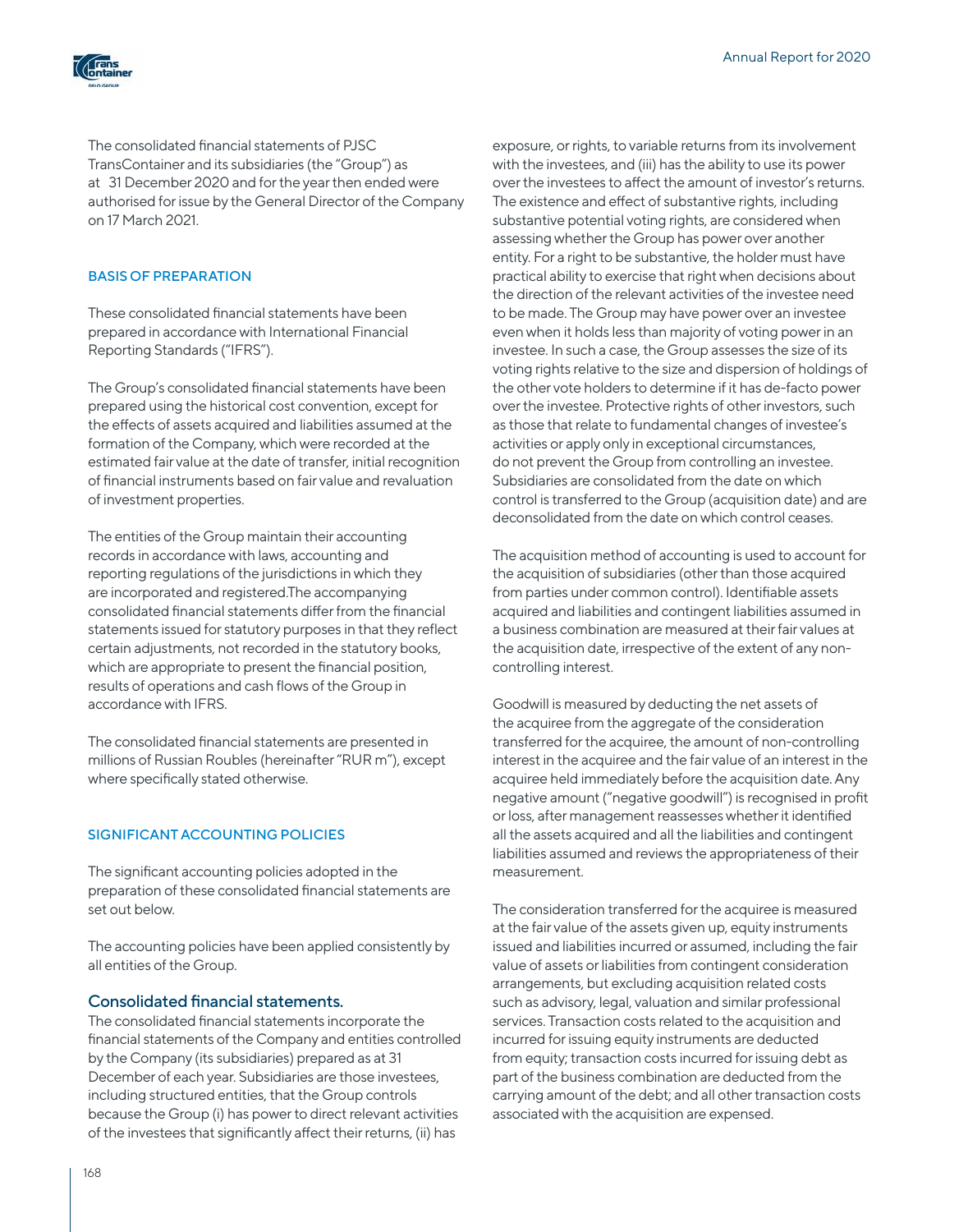

The consolidated financial statements of PJSC TransContainer and its subsidiaries (the "Group") as at 31 December 2020 and for the year then ended were authorised for issue by the General Director of the Company on 17 March 2021.

### BASIS OF PREPARATION

These consolidated financial statements have been prepared in accordance with International Financial Reporting Standards ("IFRS").

The Group's consolidated financial statements have been prepared using the historical cost convention, except for the effects of assets acquired and liabilities assumed at the formation of the Company, which were recorded at the estimated fair value at the date of transfer, initial recognition of financial instruments based on fair value and revaluation of investment properties.

The entities of the Group maintain their accounting records in accordance with laws, accounting and reporting regulations of the jurisdictions in which they are incorporated and registered.The accompanying consolidated financial statements differ from the financial statements issued for statutory purposes in that they reflect certain adjustments, not recorded in the statutory books, which are appropriate to present the financial position, results of operations and cash flows of the Group in accordance with IFRS.

The consolidated financial statements are presented in millions of Russian Roubles (hereinafter "RUR m"), except where specifically stated otherwise.

#### SIGNIFICANT ACCOUNTING POLICIES

The significant accounting policies adopted in the preparation of these consolidated financial statements are set out below.

The accounting policies have been applied consistently by all entities of the Group.

#### Consolidated financial statements.

The consolidated financial statements incorporate the financial statements of the Company and entities controlled by the Company (its subsidiaries) prepared as at 31 December of each year. Subsidiaries are those investees, including structured entities, that the Group controls because the Group (i) has power to direct relevant activities of the investees that significantly affect their returns, (ii) has

exposure, or rights, to variable returns from its involvement with the investees, and (iii) has the ability to use its power over the investees to affect the amount of investor's returns. The existence and effect of substantive rights, including substantive potential voting rights, are considered when assessing whether the Group has power over another entity. For a right to be substantive, the holder must have practical ability to exercise that right when decisions about the direction of the relevant activities of the investee need to be made. The Group may have power over an investee even when it holds less than majority of voting power in an investee. In such a case, the Group assesses the size of its voting rights relative to the size and dispersion of holdings of the other vote holders to determine if it has de-facto power over the investee. Protective rights of other investors, such as those that relate to fundamental changes of investee's activities or apply only in exceptional circumstances, do not prevent the Group from controlling an investee. Subsidiaries are consolidated from the date on which control is transferred to the Group (acquisition date) and are deconsolidated from the date on which control ceases.

The acquisition method of accounting is used to account for the acquisition of subsidiaries (other than those acquired from parties under common control). Identifiable assets acquired and liabilities and contingent liabilities assumed in a business combination are measured at their fair values at the acquisition date, irrespective of the extent of any noncontrolling interest.

Goodwill is measured by deducting the net assets of the acquiree from the aggregate of the consideration transferred for the acquiree, the amount of non-controlling interest in the acquiree and the fair value of an interest in the acquiree held immediately before the acquisition date. Any negative amount ("negative goodwill") is recognised in profit or loss, after management reassesses whether it identified all the assets acquired and all the liabilities and contingent liabilities assumed and reviews the appropriateness of their measurement.

The consideration transferred for the acquiree is measured at the fair value of the assets given up, equity instruments issued and liabilities incurred or assumed, including the fair value of assets or liabilities from contingent consideration arrangements, but excluding acquisition related costs such as advisory, legal, valuation and similar professional services. Transaction costs related to the acquisition and incurred for issuing equity instruments are deducted from equity; transaction costs incurred for issuing debt as part of the business combination are deducted from the carrying amount of the debt; and all other transaction costs associated with the acquisition are expensed.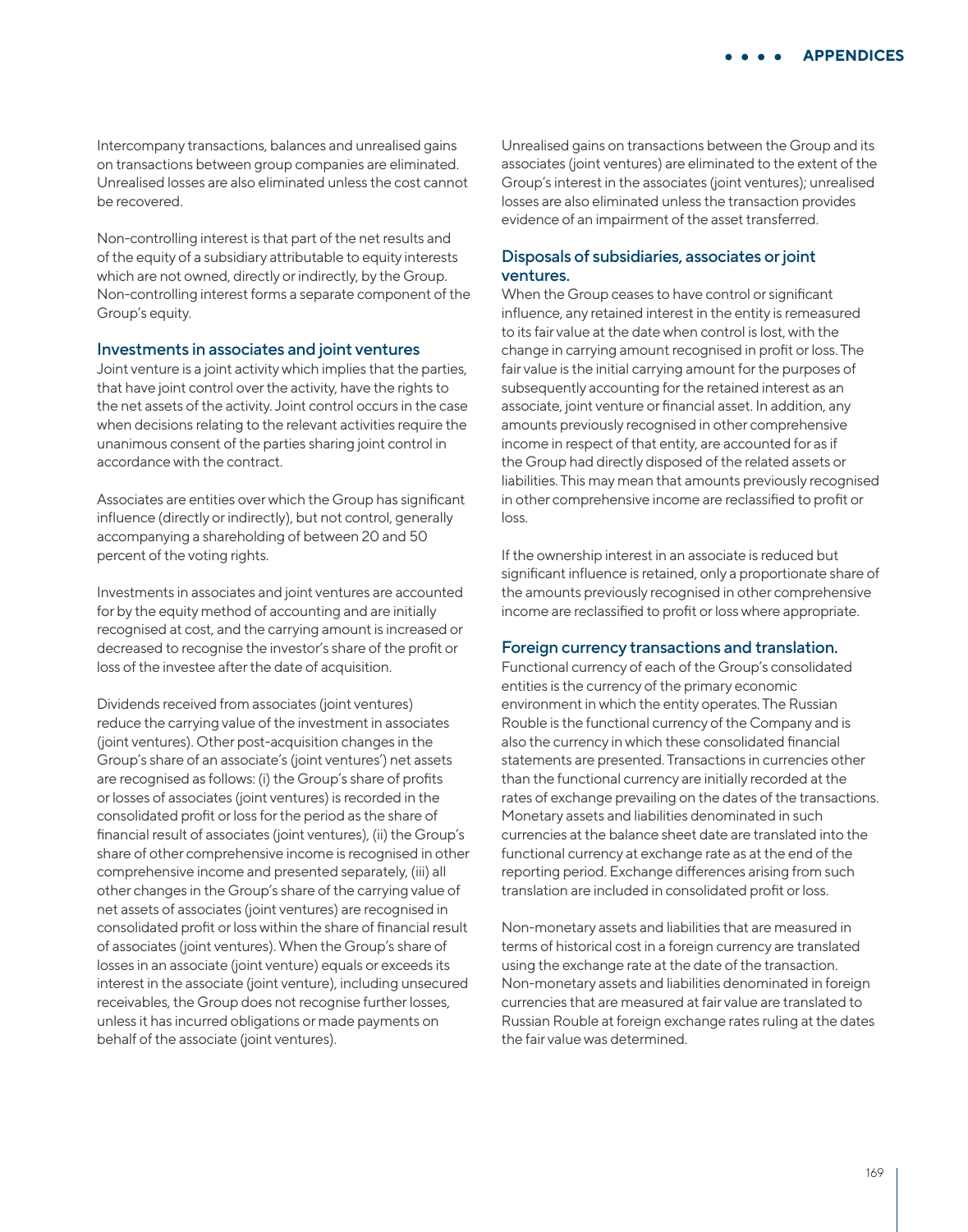Intercompany transactions, balances and unrealised gains on transactions between group companies are eliminated. Unrealised losses are also eliminated unless the cost cannot be recovered.

Non-controlling interest is that part of the net results and of the equity of a subsidiary attributable to equity interests which are not owned, directly or indirectly, by the Group. Non-controlling interest forms a separate component of the Group's equity.

#### Investments in associates and joint ventures

Joint venture is a joint activity which implies that the parties, that have joint control over the activity, have the rights to the net assets of the activity. Joint control occurs in the case when decisions relating to the relevant activities require the unanimous consent of the parties sharing joint control in accordance with the contract.

Associates are entities over which the Group has significant influence (directly or indirectly), but not control, generally accompanying a shareholding of between 20 and 50 percent of the voting rights.

Investments in associates and joint ventures are accounted for by the equity method of accounting and are initially recognised at cost, and the carrying amount is increased or decreased to recognise the investor's share of the profit or loss of the investee after the date of acquisition.

Dividends received from associates (joint ventures) reduce the carrying value of the investment in associates (joint ventures). Other post-acquisition changes in the Group's share of an associate's (joint ventures') net assets are recognised as follows: (i) the Group's share of profits or losses of associates (joint ventures) is recorded in the consolidated profit or loss for the period as the share of financial result of associates (joint ventures), (ii) the Group's share of other comprehensive income is recognised in other comprehensive income and presented separately, (iii) all other changes in the Group's share of the carrying value of net assets of associates (joint ventures) are recognised in consolidated profit or loss within the share of financial result of associates (joint ventures). When the Group's share of losses in an associate (joint venture) equals or exceeds its interest in the associate (joint venture), including unsecured receivables, the Group does not recognise further losses, unless it has incurred obligations or made payments on behalf of the associate (joint ventures).

Unrealised gains on transactions between the Group and its associates (joint ventures) are eliminated to the extent of the Group's interest in the associates (joint ventures); unrealised losses are also eliminated unless the transaction provides evidence of an impairment of the asset transferred.

### Disposals of subsidiaries, associates or joint ventures.

When the Group ceases to have control or significant influence, any retained interest in the entity is remeasured to its fair value at the date when control is lost, with the change in carrying amount recognised in profit or loss. The fair value is the initial carrying amount for the purposes of subsequently accounting for the retained interest as an associate, joint venture or financial asset. In addition, any amounts previously recognised in other comprehensive income in respect of that entity, are accounted for as if the Group had directly disposed of the related assets or liabilities. This may mean that amounts previously recognised in other comprehensive income are reclassified to profit or loss.

If the ownership interest in an associate is reduced but significant influence is retained, only a proportionate share of the amounts previously recognised in other comprehensive income are reclassified to profit or loss where appropriate.

#### Foreign currency transactions and translation.

Functional currency of each of the Group's consolidated entities is the currency of the primary economic environment in which the entity operates. The Russian Rouble is the functional currency of the Company and is also the currency in which these consolidated financial statements are presented. Transactions in currencies other than the functional currency are initially recorded at the rates of exchange prevailing on the dates of the transactions. Monetary assets and liabilities denominated in such currencies at the balance sheet date are translated into the functional currency at exchange rate as at the end of the reporting period. Exchange differences arising from such translation are included in consolidated profit or loss.

Non-monetary assets and liabilities that are measured in terms of historical cost in a foreign currency are translated using the exchange rate at the date of the transaction. Non-monetary assets and liabilities denominated in foreign currencies that are measured at fair value are translated to Russian Rouble at foreign exchange rates ruling at the dates the fair value was determined.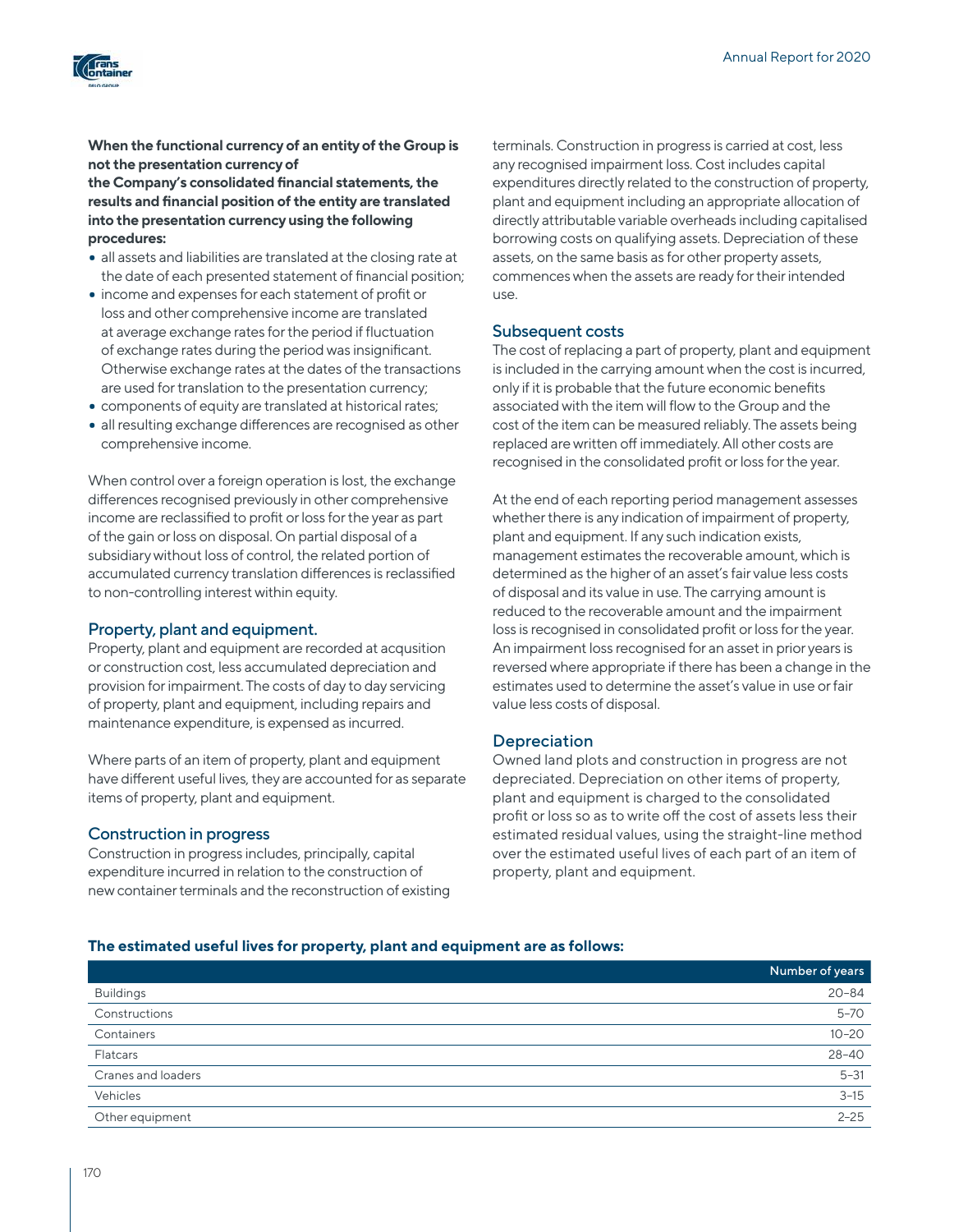

## **When the functional currency of an entity of the Group is not the presentation currency of**

**the Company's consolidated financial statements, the results and financial position of the entity are translated into the presentation currency using the following procedures:**

- all assets and liabilities are translated at the closing rate at the date of each presented statement of financial position;
- income and expenses for each statement of profit or loss and other comprehensive income are translated at average exchange rates for the period if fluctuation of exchange rates during the period was insignificant. Otherwise exchange rates at the dates of the transactions are used for translation to the presentation currency;
- components of equity are translated at historical rates;
- all resulting exchange differences are recognised as other comprehensive income.

When control over a foreign operation is lost, the exchange differences recognised previously in other comprehensive income are reclassified to profit or loss for the year as part of the gain or loss on disposal. On partial disposal of a subsidiary without loss of control, the related portion of accumulated currency translation differences is reclassified to non-controlling interest within equity.

## Property, plant and equipment.

Property, plant and equipment are recorded at acqusition or construction cost, less accumulated depreciation and provision for impairment. The costs of day to day servicing of property, plant and equipment, including repairs and maintenance expenditure, is expensed as incurred.

Where parts of an item of property, plant and equipment have different useful lives, they are accounted for as separate items of property, plant and equipment.

## Construction in progress

Construction in progress includes, principally, capital expenditure incurred in relation to the construction of new container terminals and the reconstruction of existing terminals. Construction in progress is carried at cost, less any recognised impairment loss. Cost includes capital expenditures directly related to the construction of property, plant and equipment including an appropriate allocation of directly attributable variable overheads including capitalised borrowing costs on qualifying assets. Depreciation of these assets, on the same basis as for other property assets, commences when the assets are ready for their intended use.

### Subsequent costs

The cost of replacing a part of property, plant and equipment is included in the carrying amount when the cost is incurred, only if it is probable that the future economic benefits associated with the item will flow to the Group and the cost of the item can be measured reliably. The assets being replaced are written off immediately. All other costs are recognised in the consolidated profit or loss for the year.

At the end of each reporting period management assesses whether there is any indication of impairment of property, plant and equipment. If any such indication exists, management estimates the recoverable amount, which is determined as the higher of an asset's fair value less costs of disposal and its value in use. The carrying amount is reduced to the recoverable amount and the impairment loss is recognised in consolidated profit or loss for the year. An impairment loss recognised for an asset in prior years is reversed where appropriate if there has been a change in the estimates used to determine the asset's value in use or fair value less costs of disposal.

## Depreciation

Owned land plots and construction in progress are not depreciated. Depreciation on other items of property, plant and equipment is charged to the consolidated profit or loss so as to write off the cost of assets less their estimated residual values, using the straight-line method over the estimated useful lives of each part of an item of property, plant and equipment.

#### **The estimated useful lives for property, plant and equipment are as follows:**

|                    | Number of years |
|--------------------|-----------------|
| <b>Buildings</b>   | $20 - 84$       |
| Constructions      | $5 - 70$        |
| Containers         | $10 - 20$       |
| Flatcars           | $28 - 40$       |
| Cranes and loaders | $5 - 31$        |
| Vehicles           | $3 - 15$        |
| Other equipment    | $2 - 25$        |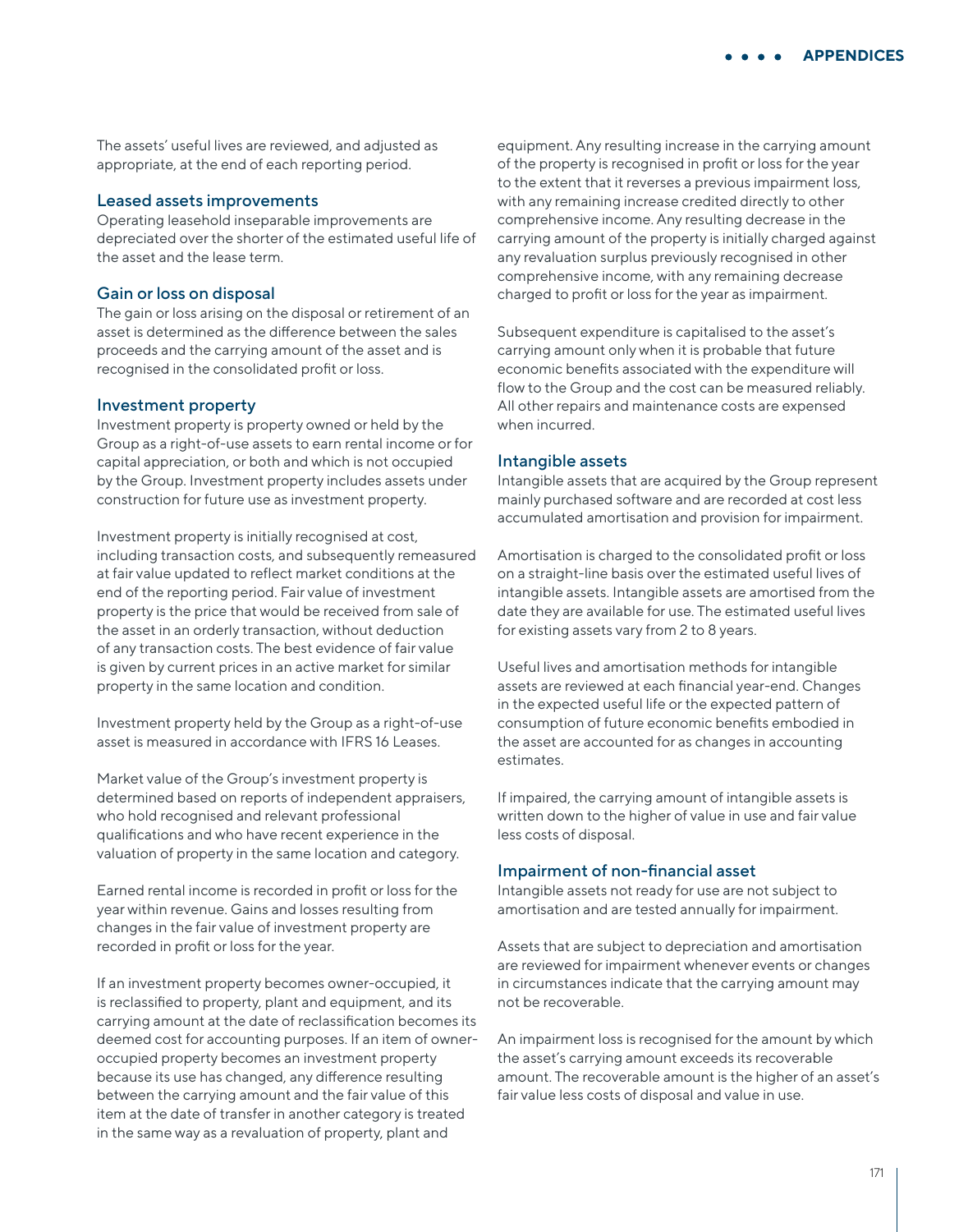The assets' useful lives are reviewed, and adjusted as appropriate, at the end of each reporting period.

### Leased assets improvements

Operating leasehold inseparable improvements are depreciated over the shorter of the estimated useful life of the asset and the lease term.

#### Gain or loss on disposal

The gain or loss arising on the disposal or retirement of an asset is determined as the difference between the sales proceeds and the carrying amount of the asset and is recognised in the consolidated profit or loss.

#### Investment property

Investment property is property owned or held by the Group as a right-of-use assets to earn rental income or for capital appreciation, or both and which is not occupied by the Group. Investment property includes assets under construction for future use as investment property.

Investment property is initially recognised at cost, including transaction costs, and subsequently remeasured at fair value updated to reflect market conditions at the end of the reporting period. Fair value of investment property is the price that would be received from sale of the asset in an orderly transaction, without deduction of any transaction costs. The best evidence of fair value is given by current prices in an active market for similar property in the same location and condition.

Investment property held by the Group as a right-of-use asset is measured in accordance with IFRS 16 Leases.

Market value of the Group's investment property is determined based on reports of independent appraisers, who hold recognised and relevant professional qualifications and who have recent experience in the valuation of property in the same location and category.

Earned rental income is recorded in profit or loss for the year within revenue. Gains and losses resulting from changes in the fair value of investment property are recorded in profit or loss for the year.

If an investment property becomes owner-occupied, it is reclassified to property, plant and equipment, and its carrying amount at the date of reclassification becomes its deemed cost for accounting purposes. If an item of owneroccupied property becomes an investment property because its use has changed, any difference resulting between the carrying amount and the fair value of this item at the date of transfer in another category is treated in the same way as a revaluation of property, plant and

equipment. Any resulting increase in the carrying amount of the property is recognised in profit or loss for the year to the extent that it reverses a previous impairment loss, with any remaining increase credited directly to other comprehensive income. Any resulting decrease in the carrying amount of the property is initially charged against any revaluation surplus previously recognised in other comprehensive income, with any remaining decrease charged to profit or loss for the year as impairment.

Subsequent expenditure is capitalised to the asset's carrying amount only when it is probable that future economic benefits associated with the expenditure will flow to the Group and the cost can be measured reliably. All other repairs and maintenance costs are expensed when incurred.

#### Intangible assets

Intangible assets that are acquired by the Group represent mainly purchased software and are recorded at cost less accumulated amortisation and provision for impairment.

Amortisation is charged to the consolidated profit or loss on a straight-line basis over the estimated useful lives of intangible assets. Intangible assets are amortised from the date they are available for use. The estimated useful lives for existing assets vary from 2 to 8 years.

Useful lives and amortisation methods for intangible assets are reviewed at each financial year-end. Changes in the expected useful life or the expected pattern of consumption of future economic benefits embodied in the asset are accounted for as changes in accounting estimates.

If impaired, the carrying amount of intangible assets is written down to the higher of value in use and fair value less costs of disposal.

### Impairment of non-financial asset

Intangible assets not ready for use are not subject to amortisation and are tested annually for impairment.

Assets that are subject to depreciation and amortisation are reviewed for impairment whenever events or changes in circumstances indicate that the carrying amount may not be recoverable.

An impairment loss is recognised for the amount by which the asset's carrying amount exceeds its recoverable amount. The recoverable amount is the higher of an asset's fair value less costs of disposal and value in use.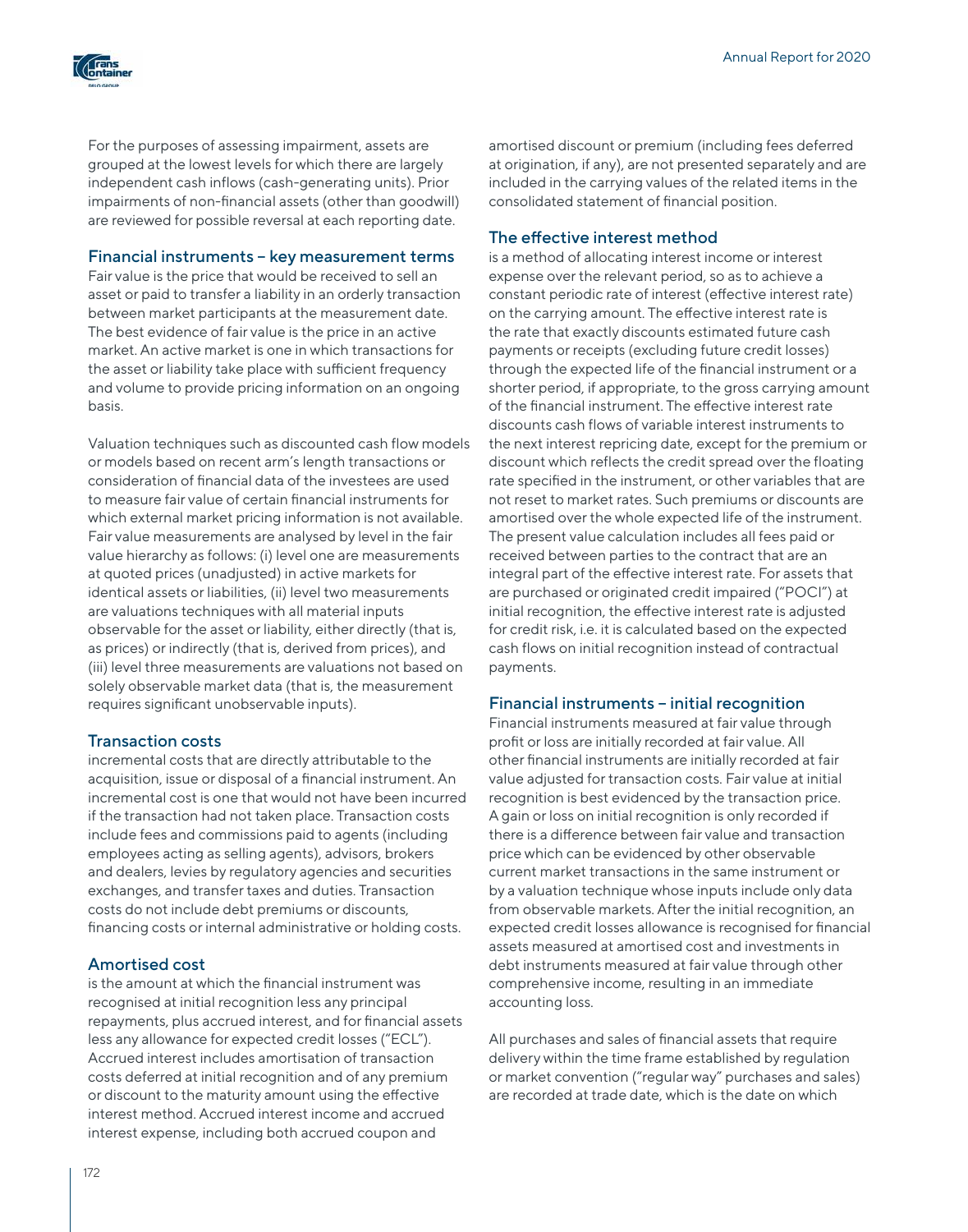

For the purposes of assessing impairment, assets are grouped at the lowest levels for which there are largely independent cash inflows (cash-generating units). Prior impairments of non-financial assets (other than goodwill) are reviewed for possible reversal at each reporting date.

## Financial instruments – key measurement terms

Fair value is the price that would be received to sell an asset or paid to transfer a liability in an orderly transaction between market participants at the measurement date. The best evidence of fair value is the price in an active market. An active market is one in which transactions for the asset or liability take place with sufficient frequency and volume to provide pricing information on an ongoing basis.

Valuation techniques such as discounted cash flow models or models based on recent arm's length transactions or consideration of financial data of the investees are used to measure fair value of certain financial instruments for which external market pricing information is not available. Fair value measurements are analysed by level in the fair value hierarchy as follows: (i) level one are measurements at quoted prices (unadjusted) in active markets for identical assets or liabilities, (ii) level two measurements are valuations techniques with all material inputs observable for the asset or liability, either directly (that is, as prices) or indirectly (that is, derived from prices), and (iii) level three measurements are valuations not based on solely observable market data (that is, the measurement requires significant unobservable inputs).

## Transaction costs

incremental costs that are directly attributable to the acquisition, issue or disposal of a financial instrument. An incremental cost is one that would not have been incurred if the transaction had not taken place. Transaction costs include fees and commissions paid to agents (including employees acting as selling agents), advisors, brokers and dealers, levies by regulatory agencies and securities exchanges, and transfer taxes and duties. Transaction costs do not include debt premiums or discounts, financing costs or internal administrative or holding costs.

## Amortised cost

is the amount at which the financial instrument was recognised at initial recognition less any principal repayments, plus accrued interest, and for financial assets less any allowance for expected credit losses ("ECL"). Accrued interest includes amortisation of transaction costs deferred at initial recognition and of any premium or discount to the maturity amount using the effective interest method. Accrued interest income and accrued interest expense, including both accrued coupon and

amortised discount or premium (including fees deferred at origination, if any), are not presented separately and are included in the carrying values of the related items in the consolidated statement of financial position.

## The effective interest method

is a method of allocating interest income or interest expense over the relevant period, so as to achieve a constant periodic rate of interest (effective interest rate) on the carrying amount. The effective interest rate is the rate that exactly discounts estimated future cash payments or receipts (excluding future credit losses) through the expected life of the financial instrument or a shorter period, if appropriate, to the gross carrying amount of the financial instrument. The effective interest rate discounts cash flows of variable interest instruments to the next interest repricing date, except for the premium or discount which reflects the credit spread over the floating rate specified in the instrument, or other variables that are not reset to market rates. Such premiums or discounts are amortised over the whole expected life of the instrument. The present value calculation includes all fees paid or received between parties to the contract that are an integral part of the effective interest rate. For assets that are purchased or originated credit impaired ("POCI") at initial recognition, the effective interest rate is adjusted for credit risk, i.e. it is calculated based on the expected cash flows on initial recognition instead of contractual payments.

## Financial instruments – initial recognition

Financial instruments measured at fair value through profit or loss are initially recorded at fair value. All other financial instruments are initially recorded at fair value adjusted for transaction costs. Fair value at initial recognition is best evidenced by the transaction price. A gain or loss on initial recognition is only recorded if there is a difference between fair value and transaction price which can be evidenced by other observable current market transactions in the same instrument or by a valuation technique whose inputs include only data from observable markets. After the initial recognition, an expected credit losses allowance is recognised for financial assets measured at amortised cost and investments in debt instruments measured at fair value through other comprehensive income, resulting in an immediate accounting loss.

All purchases and sales of financial assets that require delivery within the time frame established by regulation or market convention ("regular way" purchases and sales) are recorded at trade date, which is the date on which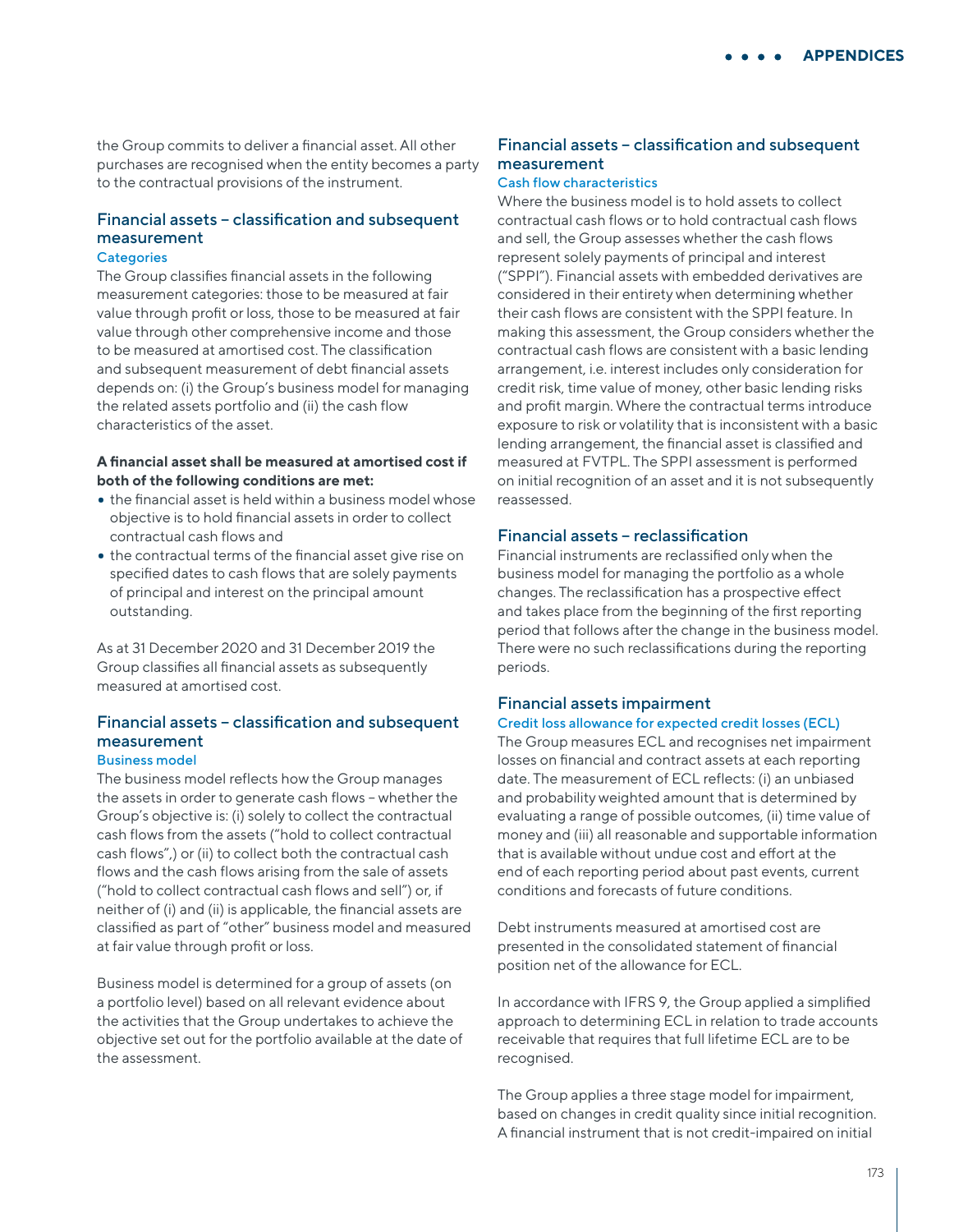the Group commits to deliver a financial asset. All other purchases are recognised when the entity becomes a party to the contractual provisions of the instrument.

# Financial assets – classification and subsequent measurement

## Сategories

The Group classifies financial assets in the following measurement categories: those to be measured at fair value through profit or loss, those to be measured at fair value through other comprehensive income and those to be measured at amortised cost. The classification and subsequent measurement of debt financial assets depends on: (i) the Group's business model for managing the related assets portfolio and (ii) the cash flow characteristics of the asset.

## **A financial asset shall be measured at amortised cost if both of the following conditions are met:**

- the financial asset is held within a business model whose objective is to hold financial assets in order to collect contractual cash flows and
- the contractual terms of the financial asset give rise on specified dates to cash flows that are solely payments of principal and interest on the principal amount outstanding.

As at 31 December 2020 and 31 December 2019 the Group classifies all financial assets as subsequently measured at amortised cost.

#### Financial assets – classification and subsequent measurement Business model

The business model reflects how the Group manages the assets in order to generate cash flows – whether the Group's objective is: (i) solely to collect the contractual cash flows from the assets ("hold to collect contractual cash flows",) or (ii) to collect both the contractual cash flows and the cash flows arising from the sale of assets ("hold to collect contractual cash flows and sell") or, if neither of (i) and (ii) is applicable, the financial assets are classified as part of "other" business model and measured at fair value through profit or loss.

Business model is determined for a group of assets (on a portfolio level) based on all relevant evidence about the activities that the Group undertakes to achieve the objective set out for the portfolio available at the date of the assessment.

## Financial assets – classification and subsequent measurement

## Cash flow characteristics

Where the business model is to hold assets to collect contractual cash flows or to hold contractual cash flows and sell, the Group assesses whether the cash flows represent solely payments of principal and interest ("SPPI"). Financial assets with embedded derivatives are considered in their entirety when determining whether their cash flows are consistent with the SPPI feature. In making this assessment, the Group considers whether the contractual cash flows are consistent with a basic lending arrangement, i.e. interest includes only consideration for credit risk, time value of money, other basic lending risks and profit margin. Where the contractual terms introduce exposure to risk or volatility that is inconsistent with a basic lending arrangement, the financial asset is classified and measured at FVTPL. The SPPI assessment is performed on initial recognition of an asset and it is not subsequently reassessed.

## Financial assets – reclassification

Financial instruments are reclassified only when the business model for managing the portfolio as a whole changes. The reclassification has a prospective effect and takes place from the beginning of the first reporting period that follows after the change in the business model. There were no such reclassifications during the reporting periods.

#### Financial assets impairment

### Credit loss allowance for expected credit losses (ECL)

The Group measures ECL and recognises net impairment losses on financial and contract assets at each reporting date. The measurement of ECL reflects: (i) an unbiased and probability weighted amount that is determined by evaluating a range of possible outcomes, (ii) time value of money and (iii) all reasonable and supportable information that is available without undue cost and effort at the end of each reporting period about past events, current conditions and forecasts of future conditions.

Debt instruments measured at amortised cost are presented in the consolidated statement of financial position net of the allowance for ECL.

In accordance with IFRS 9, the Group applied a simplified approach to determining ECL in relation to trade accounts receivable that requires that full lifetime ECL are to be recognised.

The Group applies a three stage model for impairment, based on changes in credit quality since initial recognition. A financial instrument that is not credit-impaired on initial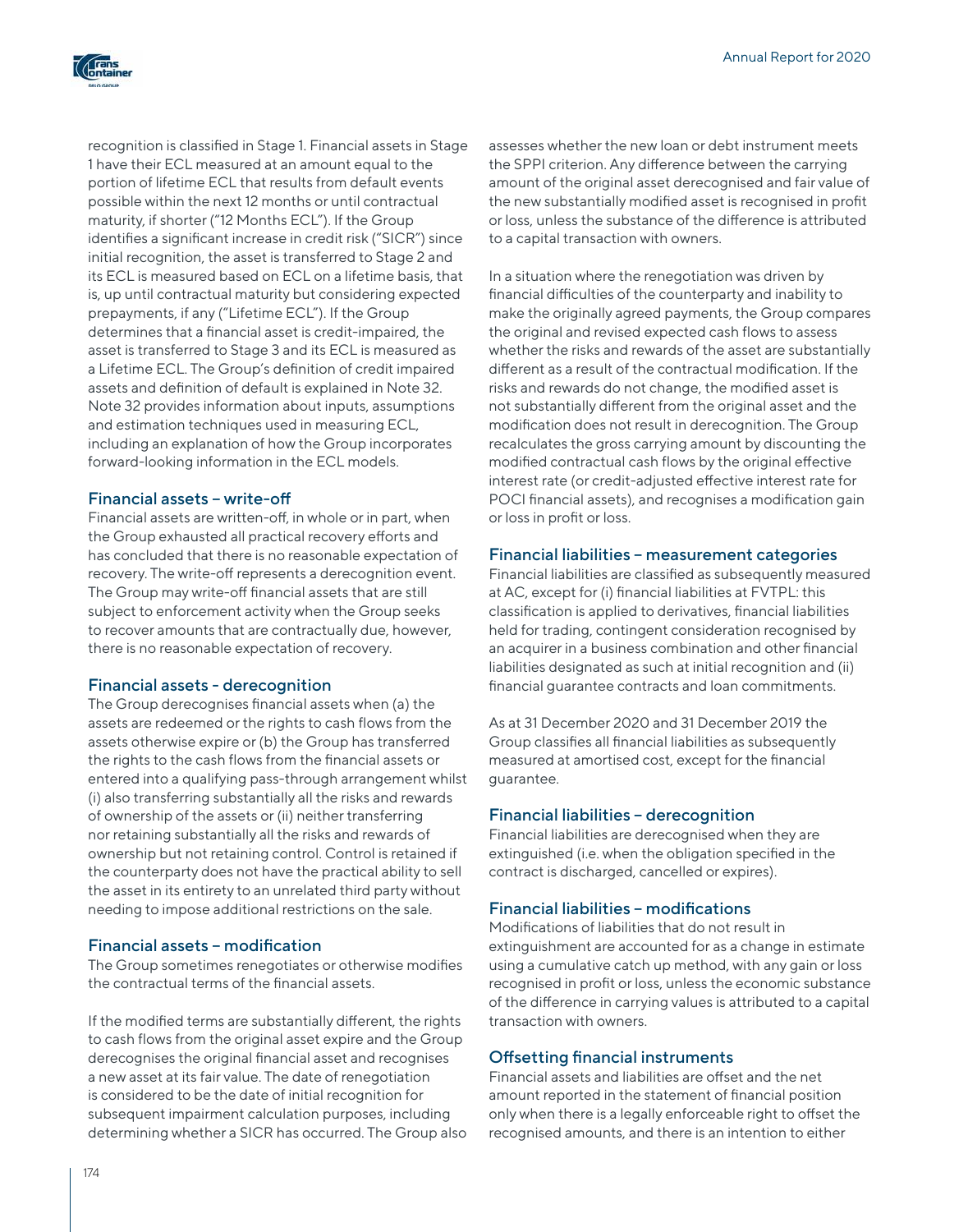

recognition is classified in Stage 1. Financial assets in Stage 1 have their ECL measured at an amount equal to the portion of lifetime ECL that results from default events possible within the next 12 months or until contractual maturity, if shorter ("12 Months ECL"). If the Group identifies a significant increase in credit risk ("SICR") since initial recognition, the asset is transferred to Stage 2 and its ECL is measured based on ECL on a lifetime basis, that is, up until contractual maturity but considering expected prepayments, if any ("Lifetime ECL"). If the Group determines that a financial asset is credit-impaired, the asset is transferred to Stage 3 and its ECL is measured as a Lifetime ECL. The Group's definition of credit impaired assets and definition of default is explained in Note 32. Note 32 provides information about inputs, assumptions and estimation techniques used in measuring ECL, including an explanation of how the Group incorporates forward-looking information in the ECL models.

## Financial assets – write-off

Financial assets are written-off, in whole or in part, when the Group exhausted all practical recovery efforts and has concluded that there is no reasonable expectation of recovery. The write-off represents a derecognition event. The Group may write-off financial assets that are still subject to enforcement activity when the Group seeks to recover amounts that are contractually due, however, there is no reasonable expectation of recovery.

## Financial assets - derecognition

The Group derecognises financial assets when (a) the assets are redeemed or the rights to cash flows from the assets otherwise expire or (b) the Group has transferred the rights to the cash flows from the financial assets or entered into a qualifying pass-through arrangement whilst (i) also transferring substantially all the risks and rewards of ownership of the assets or (ii) neither transferring nor retaining substantially all the risks and rewards of ownership but not retaining control. Control is retained if the counterparty does not have the practical ability to sell the asset in its entirety to an unrelated third party without needing to impose additional restrictions on the sale.

## Financial assets – modification

The Group sometimes renegotiates or otherwise modifies the contractual terms of the financial assets.

If the modified terms are substantially different, the rights to cash flows from the original asset expire and the Group derecognises the original financial asset and recognises a new asset at its fair value. The date of renegotiation is considered to be the date of initial recognition for subsequent impairment calculation purposes, including determining whether a SICR has occurred. The Group also assesses whether the new loan or debt instrument meets the SPPI criterion. Any difference between the carrying amount of the original asset derecognised and fair value of the new substantially modified asset is recognised in profit or loss, unless the substance of the difference is attributed to a capital transaction with owners.

In a situation where the renegotiation was driven by financial difficulties of the counterparty and inability to make the originally agreed payments, the Group compares the original and revised expected cash flows to assess whether the risks and rewards of the asset are substantially different as a result of the contractual modification. If the risks and rewards do not change, the modified asset is not substantially different from the original asset and the modification does not result in derecognition. The Group recalculates the gross carrying amount by discounting the modified contractual cash flows by the original effective interest rate (or credit-adjusted effective interest rate for POCI financial assets), and recognises a modification gain or loss in profit or loss.

## Financial liabilities – measurement categories

Financial liabilities are classified as subsequently measured at AC, except for (i) financial liabilities at FVTPL: this classification is applied to derivatives, financial liabilities held for trading, contingent consideration recognised by an acquirer in a business combination and other financial liabilities designated as such at initial recognition and (ii) financial guarantee contracts and loan commitments.

As at 31 December 2020 and 31 December 2019 the Group classifies all financial liabilities as subsequently measured at amortised cost, except for the financial guarantee.

## Financial liabilities – derecognition

Financial liabilities are derecognised when they are extinguished (i.e. when the obligation specified in the contract is discharged, cancelled or expires).

## Financial liabilities – modifications

Modifications of liabilities that do not result in extinguishment are accounted for as a change in estimate using a cumulative catch up method, with any gain or loss recognised in profit or loss, unless the economic substance of the difference in carrying values is attributed to a capital transaction with owners.

## Offsetting financial instruments

Financial assets and liabilities are offset and the net amount reported in the statement of financial position only when there is a legally enforceable right to offset the recognised amounts, and there is an intention to either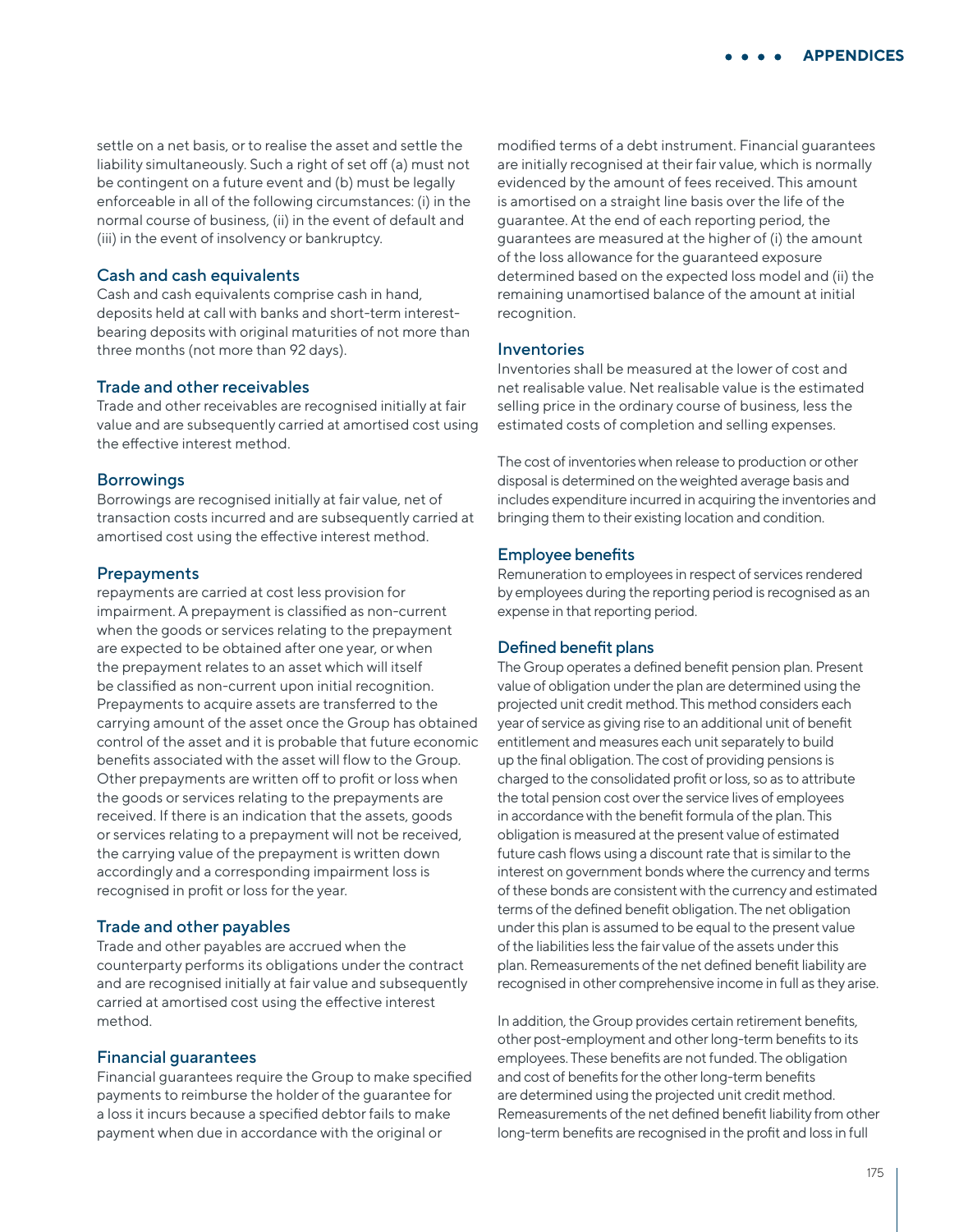settle on a net basis, or to realise the asset and settle the liability simultaneously. Such a right of set off (a) must not be contingent on a future event and (b) must be legally enforceable in all of the following circumstances: (i) in the normal course of business, (ii) in the event of default and (iii) in the event of insolvency or bankruptcy.

#### Cash and cash equivalents

Cash and cash equivalents comprise cash in hand, deposits held at call with banks and short-term interestbearing deposits with original maturities of not more than three months (not more than 92 days).

#### Trade and other receivables

Trade and other receivables are recognised initially at fair value and are subsequently carried at amortised cost using the effective interest method.

#### **Borrowings**

Borrowings are recognised initially at fair value, net of transaction costs incurred and are subsequently carried at amortised cost using the effective interest method.

#### **Prepayments**

repayments are carried at cost less provision for impairment. A prepayment is classified as non-current when the goods or services relating to the prepayment are expected to be obtained after one year, or when the prepayment relates to an asset which will itself be classified as non-current upon initial recognition. Prepayments to acquire assets are transferred to the carrying amount of the asset once the Group has obtained control of the asset and it is probable that future economic benefits associated with the asset will flow to the Group. Other prepayments are written off to profit or loss when the goods or services relating to the prepayments are received. If there is an indication that the assets, goods or services relating to a prepayment will not be received, the carrying value of the prepayment is written down accordingly and a corresponding impairment loss is recognised in profit or loss for the year.

### Trade and other payables

Trade and other payables are accrued when the counterparty performs its obligations under the contract and are recognised initially at fair value and subsequently carried at amortised cost using the effective interest method.

#### Financial guarantees

Financial guarantees require the Group to make specified payments to reimburse the holder of the guarantee for a loss it incurs because a specified debtor fails to make payment when due in accordance with the original or

modified terms of a debt instrument. Financial guarantees are initially recognised at their fair value, which is normally evidenced by the amount of fees received. This amount is amortised on a straight line basis over the life of the guarantee. At the end of each reporting period, the guarantees are measured at the higher of (i) the amount of the loss allowance for the guaranteed exposure determined based on the expected loss model and (ii) the remaining unamortised balance of the amount at initial recognition.

#### Inventories

Inventories shall be measured at the lower of cost and net realisable value. Net realisable value is the estimated selling price in the ordinary course of business, less the estimated costs of completion and selling expenses.

The cost of inventories when release to production or other disposal is determined on the weighted average basis and includes expenditure incurred in acquiring the inventories and bringing them to their existing location and condition.

#### Employee benefits

Remuneration to employees in respect of services rendered by employees during the reporting period is recognised as an expense in that reporting period.

#### Defined benefit plans

The Group operates a defined benefit pension plan. Present value of obligation under the plan are determined using the projected unit credit method. This method considers each year of service as giving rise to an additional unit of benefit entitlement and measures each unit separately to build up the final obligation. The cost of providing pensions is charged to the consolidated profit or loss, so as to attribute the total pension cost over the service lives of employees in accordance with the benefit formula of the plan. This obligation is measured at the present value of estimated future cash flows using a discount rate that is similar to the interest on government bonds where the currency and terms of these bonds are consistent with the currency and estimated terms of the defined benefit obligation. The net obligation under this plan is assumed to be equal to the present value of the liabilities less the fair value of the assets under this plan. Remeasurements of the net defined benefit liability are recognised in other comprehensive income in full as they arise.

In addition, the Group provides certain retirement benefits, other post-employment and other long-term benefits to its employees. These benefits are not funded. The obligation and cost of benefits for the other long-term benefits are determined using the projected unit credit method. Remeasurements of the net defined benefit liability from other long-term benefits are recognised in the profit and loss in full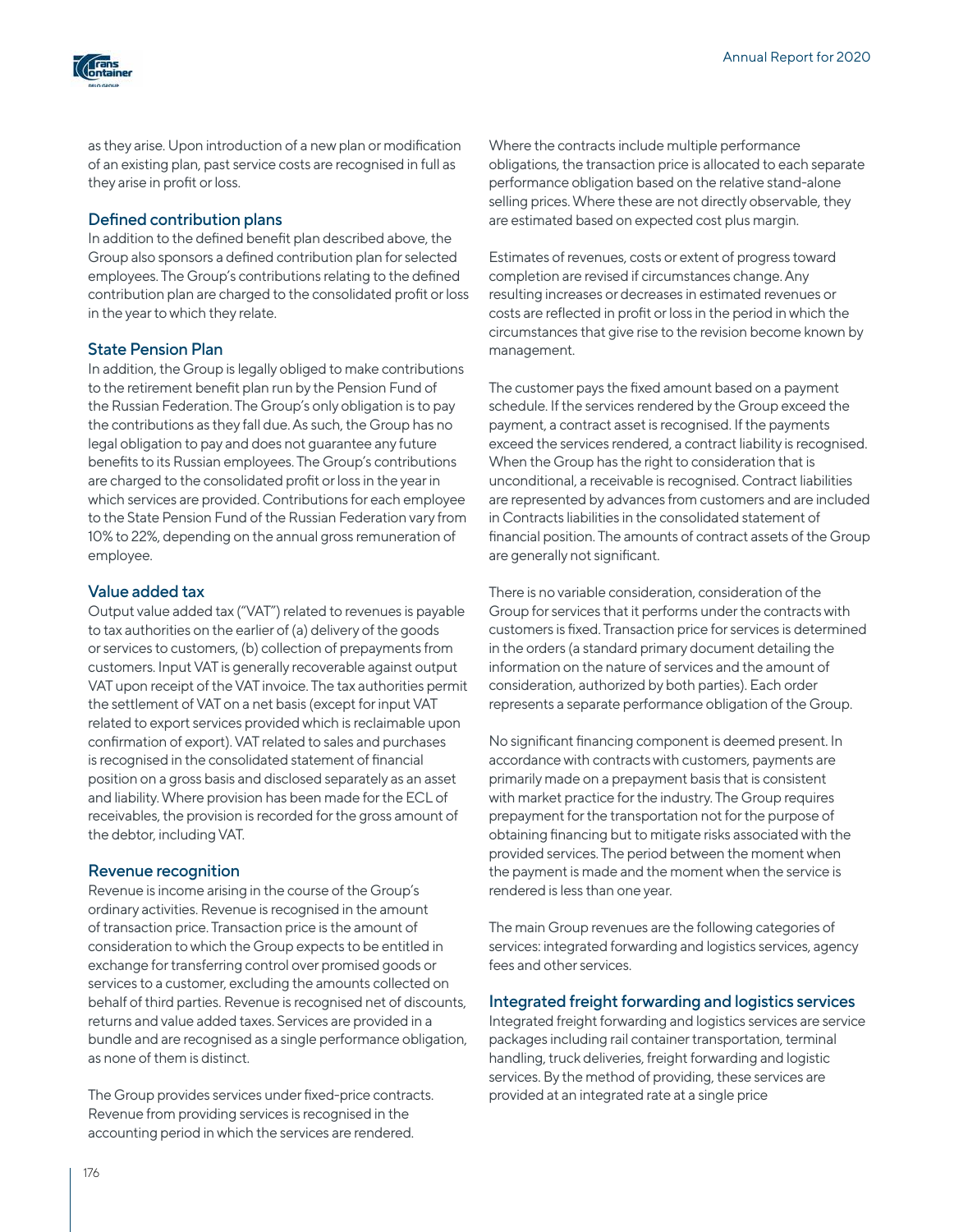

as they arise. Upon introduction of a new plan or modification of an existing plan, past service costs are recognised in full as they arise in profit or loss.

## Defined contribution plans

In addition to the defined benefit plan described above, the Group also sponsors a defined contribution plan for selected employees. The Group's contributions relating to the defined contribution plan are charged to the consolidated profit or loss in the year to which they relate.

## State Pension Plan

In addition, the Group is legally obliged to make contributions to the retirement benefit plan run by the Pension Fund of the Russian Federation. The Group's only obligation is to pay the contributions as they fall due. As such, the Group has no legal obligation to pay and does not guarantee any future benefits to its Russian employees. The Group's contributions are charged to the consolidated profit or loss in the year in which services are provided. Contributions for each employee to the State Pension Fund of the Russian Federation vary from 10% to 22%, depending on the annual gross remuneration of employee.

## Value added tax

Output value added tax ("VAT") related to revenues is payable to tax authorities on the earlier of (a) delivery of the goods or services to customers, (b) collection of prepayments from customers. Input VAT is generally recoverable against output VAT upon receipt of the VAT invoice. The tax authorities permit the settlement of VAT on a net basis (except for input VAT related to export services provided which is reclaimable upon confirmation of export). VAT related to sales and purchases is recognised in the consolidated statement of financial position on a gross basis and disclosed separately as an asset and liability. Where provision has been made for the ECL of receivables, the provision is recorded for the gross amount of the debtor, including VAT.

## Revenue recognition

Revenue is income arising in the course of the Group's ordinary activities. Revenue is recognised in the amount of transaction price. Transaction price is the amount of consideration to which the Group expects to be entitled in exchange for transferring control over promised goods or services to a customer, excluding the amounts collected on behalf of third parties. Revenue is recognised net of discounts, returns and value added taxes. Services are provided in a bundle and are recognised as a single performance obligation, as none of them is distinct.

The Group provides services under fixed-price contracts. Revenue from providing services is recognised in the accounting period in which the services are rendered.

Where the contracts include multiple performance obligations, the transaction price is allocated to each separate performance obligation based on the relative stand-alone selling prices. Where these are not directly observable, they are estimated based on expected cost plus margin.

Estimates of revenues, costs or extent of progress toward completion are revised if circumstances change. Any resulting increases or decreases in estimated revenues or costs are reflected in profit or loss in the period in which the circumstances that give rise to the revision become known by management.

The customer pays the fixed amount based on a payment schedule. If the services rendered by the Group exceed the payment, a contract asset is recognised. If the payments exceed the services rendered, a contract liability is recognised. When the Group has the right to consideration that is unconditional, a receivable is recognised. Contract liabilities are represented by advances from customers and are included in Contracts liabilities in the consolidated statement of financial position. The amounts of contract assets of the Group are generally not significant.

There is no variable consideration, consideration of the Group for services that it performs under the contracts with customers is fixed. Transaction price for services is determined in the orders (a standard primary document detailing the information on the nature of services and the amount of consideration, authorized by both parties). Each order represents a separate performance obligation of the Group.

No significant financing component is deemed present. In accordance with contracts with customers, payments are primarily made on a prepayment basis that is consistent with market practice for the industry. The Group requires prepayment for the transportation not for the purpose of obtaining financing but to mitigate risks associated with the provided services. The period between the moment when the payment is made and the moment when the service is rendered is less than one year.

The main Group revenues are the following categories of services: integrated forwarding and logistics services, agency fees and other services.

## Integrated freight forwarding and logistics services

Integrated freight forwarding and logistics services are service packages including rail container transportation, terminal handling, truck deliveries, freight forwarding and logistic services. By the method of providing, these services are provided at an integrated rate at a single price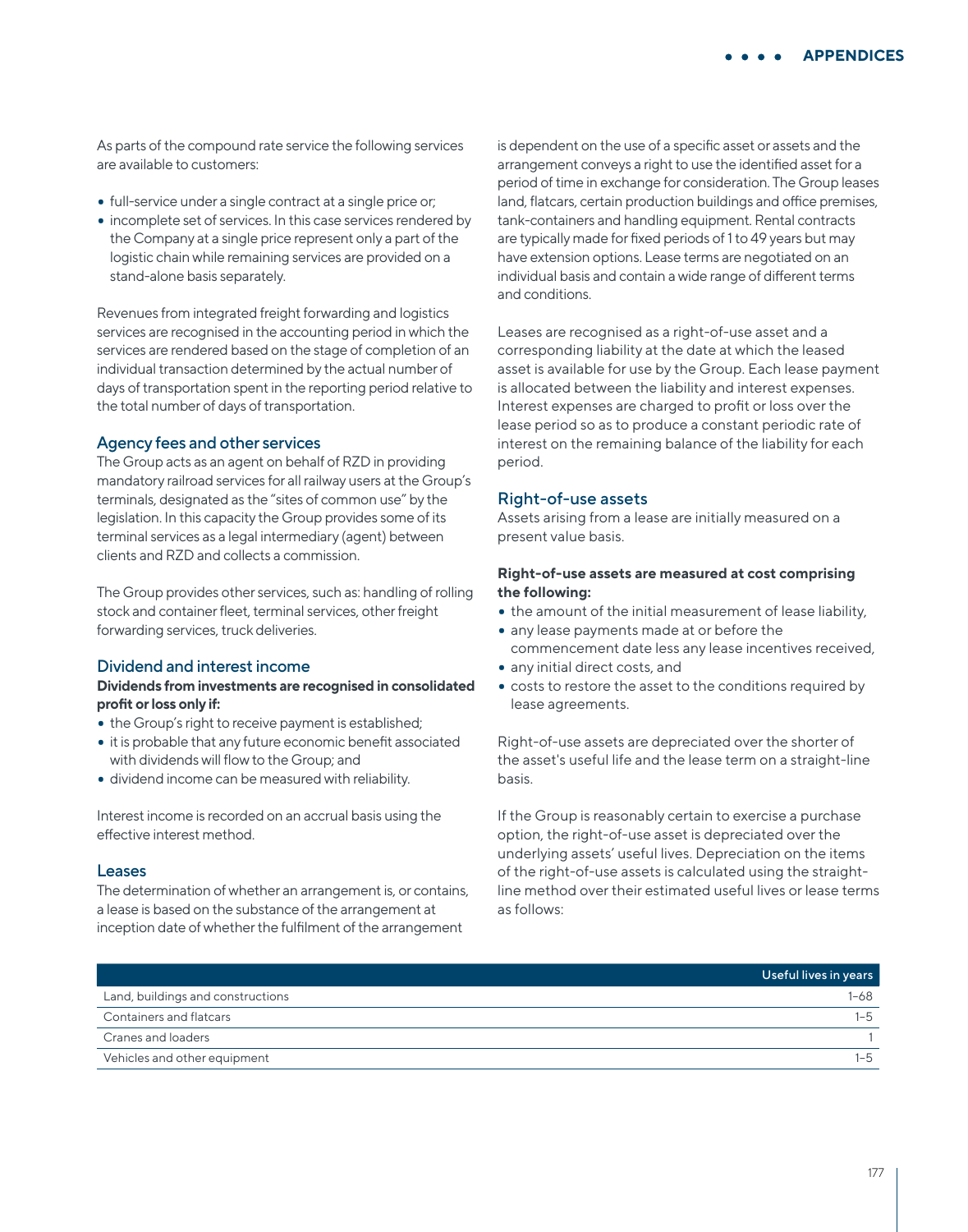As parts of the compound rate service the following services are available to customers:

- full-service under a single contract at a single price or;
- incomplete set of services. In this case services rendered by the Company at a single price represent only a part of the logistic chain while remaining services are provided on a stand-alone basis separately.

Revenues from integrated freight forwarding and logistics services are recognised in the accounting period in which the services are rendered based on the stage of completion of an individual transaction determined by the actual number of days of transportation spent in the reporting period relative to the total number of days of transportation.

#### Agency fees and other services

The Group acts as an agent on behalf of RZD in providing mandatory railroad services for all railway users at the Group's terminals, designated as the "sites of common use" by the legislation. In this capacity the Group provides some of its terminal services as a legal intermediary (agent) between clients and RZD and collects a commission.

The Group provides other services, such as: handling of rolling stock and container fleet, terminal services, other freight forwarding services, truck deliveries.

#### Dividend and interest income

### **Dividends from investments are recognised in consolidated profit or loss only if:**

- the Group's right to receive payment is established;
- it is probable that any future economic benefit associated with dividends will flow to the Group; and
- dividend income can be measured with reliability.

Interest income is recorded on an accrual basis using the effective interest method.

#### Leases

The determination of whether an arrangement is, or contains, a lease is based on the substance of the arrangement at inception date of whether the fulfilment of the arrangement

is dependent on the use of a specific asset or assets and the arrangement conveys a right to use the identified asset for a period of time in exchange for consideration. The Group leases land, flatcars, certain production buildings and office premises, tank-containers and handling equipment. Rental contracts are typically made for fixed periods of 1 to 49 years but may have extension options. Lease terms are negotiated on an individual basis and contain a wide range of different terms and conditions.

Leases are recognised as a right-of-use asset and a corresponding liability at the date at which the leased asset is available for use by the Group. Each lease payment is allocated between the liability and interest expenses. Interest expenses are charged to profit or loss over the lease period so as to produce a constant periodic rate of interest on the remaining balance of the liability for each period.

### Right-of-use assets

Assets arising from a lease are initially measured on a present value basis.

### **Right-of-use assets are measured at cost comprising the following:**

- the amount of the initial measurement of lease liability,
- any lease payments made at or before the commencement date less any lease incentives received,
- any initial direct costs, and
- costs to restore the asset to the conditions required by lease agreements.

Right-of-use assets are depreciated over the shorter of the asset's useful life and the lease term on a straight-line basis.

If the Group is reasonably certain to exercise a purchase option, the right-of-use asset is depreciated over the underlying assets' useful lives. Depreciation on the items of the right-of-use assets is calculated using the straightline method over their estimated useful lives or lease terms as follows:

|                                   | Useful lives in years |
|-----------------------------------|-----------------------|
| Land, buildings and constructions | $1 - 68$              |
| <b>Containers and flatcars</b>    | 1–5                   |
| Cranes and loaders                |                       |
| Vehicles and other equipment      | $-5$                  |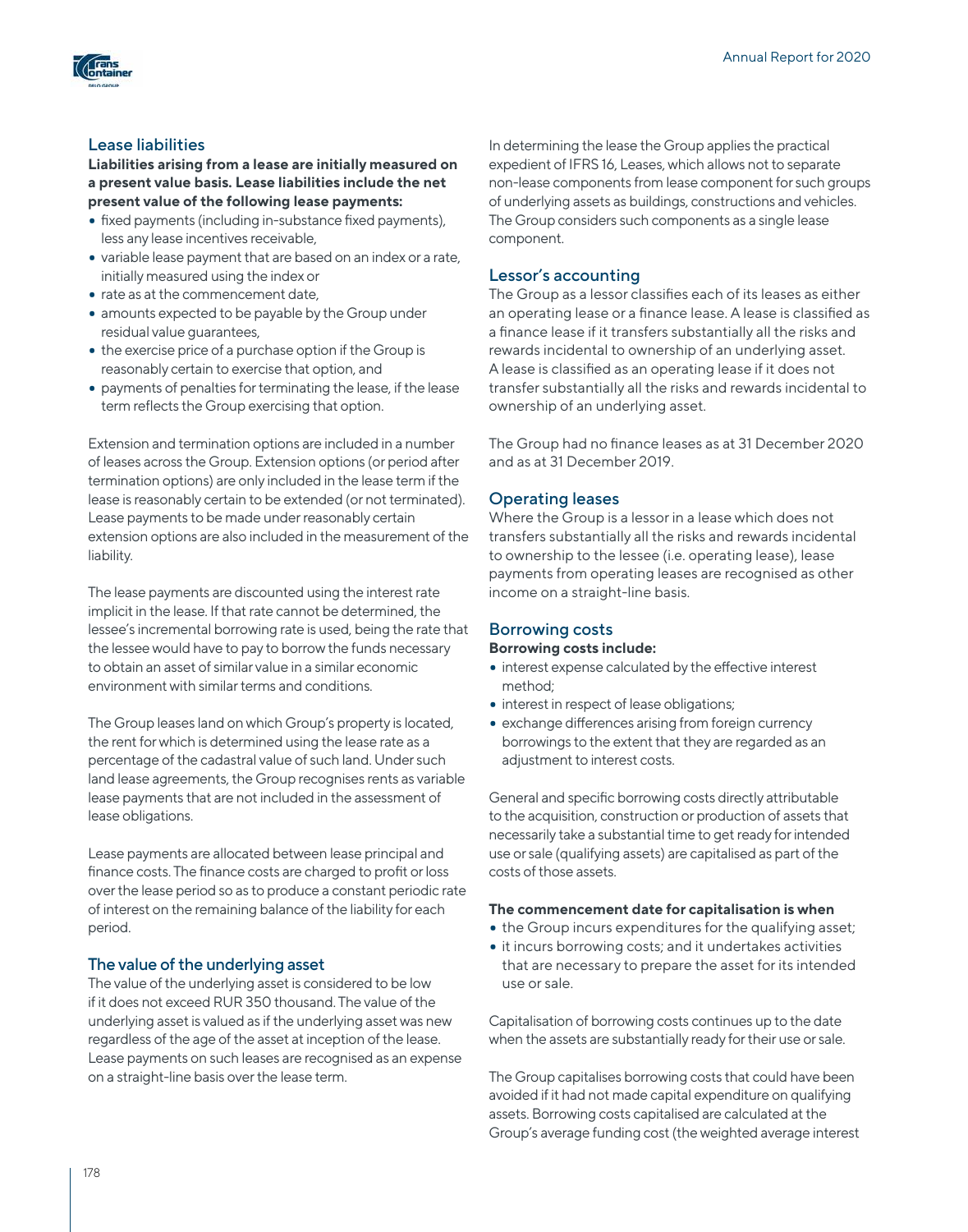

# Lease liabilities

**Liabilities arising from a lease are initially measured on a present value basis. Lease liabilities include the net present value of the following lease payments:**

- fixed payments (including in-substance fixed payments), less any lease incentives receivable,
- variable lease payment that are based on an index or a rate, initially measured using the index or
- rate as at the commencement date,
- amounts expected to be payable by the Group under residual value guarantees,
- the exercise price of a purchase option if the Group is reasonably certain to exercise that option, and
- payments of penalties for terminating the lease, if the lease term reflects the Group exercising that option.

Extension and termination options are included in a number of leases across the Group. Extension options (or period after termination options) are only included in the lease term if the lease is reasonably certain to be extended (or not terminated). Lease payments to be made under reasonably certain extension options are also included in the measurement of the liability.

The lease payments are discounted using the interest rate implicit in the lease. If that rate cannot be determined, the lessee's incremental borrowing rate is used, being the rate that the lessee would have to pay to borrow the funds necessary to obtain an asset of similar value in a similar economic environment with similar terms and conditions.

The Group leases land on which Group's property is located, the rent for which is determined using the lease rate as a percentage of the cadastral value of such land. Under such land lease agreements, the Group recognises rents as variable lease payments that are not included in the assessment of lease obligations.

Lease payments are allocated between lease principal and finance costs. The finance costs are charged to profit or loss over the lease period so as to produce a constant periodic rate of interest on the remaining balance of the liability for each period.

## The value of the underlying asset

The value of the underlying asset is considered to be low if it does not exceed RUR 350 thousand. The value of the underlying asset is valued as if the underlying asset was new regardless of the age of the asset at inception of the lease. Lease payments on such leases are recognised as an expense on a straight-line basis over the lease term.

In determining the lease the Group applies the practical expedient of IFRS 16, Leases, which allows not to separate non-lease components from lease component for such groups of underlying assets as buildings, constructions and vehicles. The Group considers such components as a single lease component.

## Lessor's accounting

The Group as a lessor classifies each of its leases as either an operating lease or a finance lease. A lease is classified as a finance lease if it transfers substantially all the risks and rewards incidental to ownership of an underlying asset. A lease is classified as an operating lease if it does not transfer substantially all the risks and rewards incidental to ownership of an underlying asset.

The Group had no finance leases as at 31 December 2020 and as at 31 December 2019.

## Operating leases

Where the Group is a lessor in a lease which does not transfers substantially all the risks and rewards incidental to ownership to the lessee (i.e. operating lease), lease payments from operating leases are recognised as other income on a straight-line basis.

## Borrowing costs

### **Borrowing costs include:**

- interest expense calculated by the effective interest method;
- interest in respect of lease obligations;
- exchange differences arising from foreign currency borrowings to the extent that they are regarded as an adjustment to interest costs.

General and specific borrowing costs directly attributable to the acquisition, construction or production of assets that necessarily take a substantial time to get ready for intended use or sale (qualifying assets) are capitalised as part of the costs of those assets.

## **The commencement date for capitalisation is when**

- the Group incurs expenditures for the qualifying asset;
- it incurs borrowing costs; and it undertakes activities that are necessary to prepare the asset for its intended use or sale.

Capitalisation of borrowing costs continues up to the date when the assets are substantially ready for their use or sale.

The Group capitalises borrowing costs that could have been avoided if it had not made capital expenditure on qualifying assets. Borrowing costs capitalised are calculated at the Group's average funding cost (the weighted average interest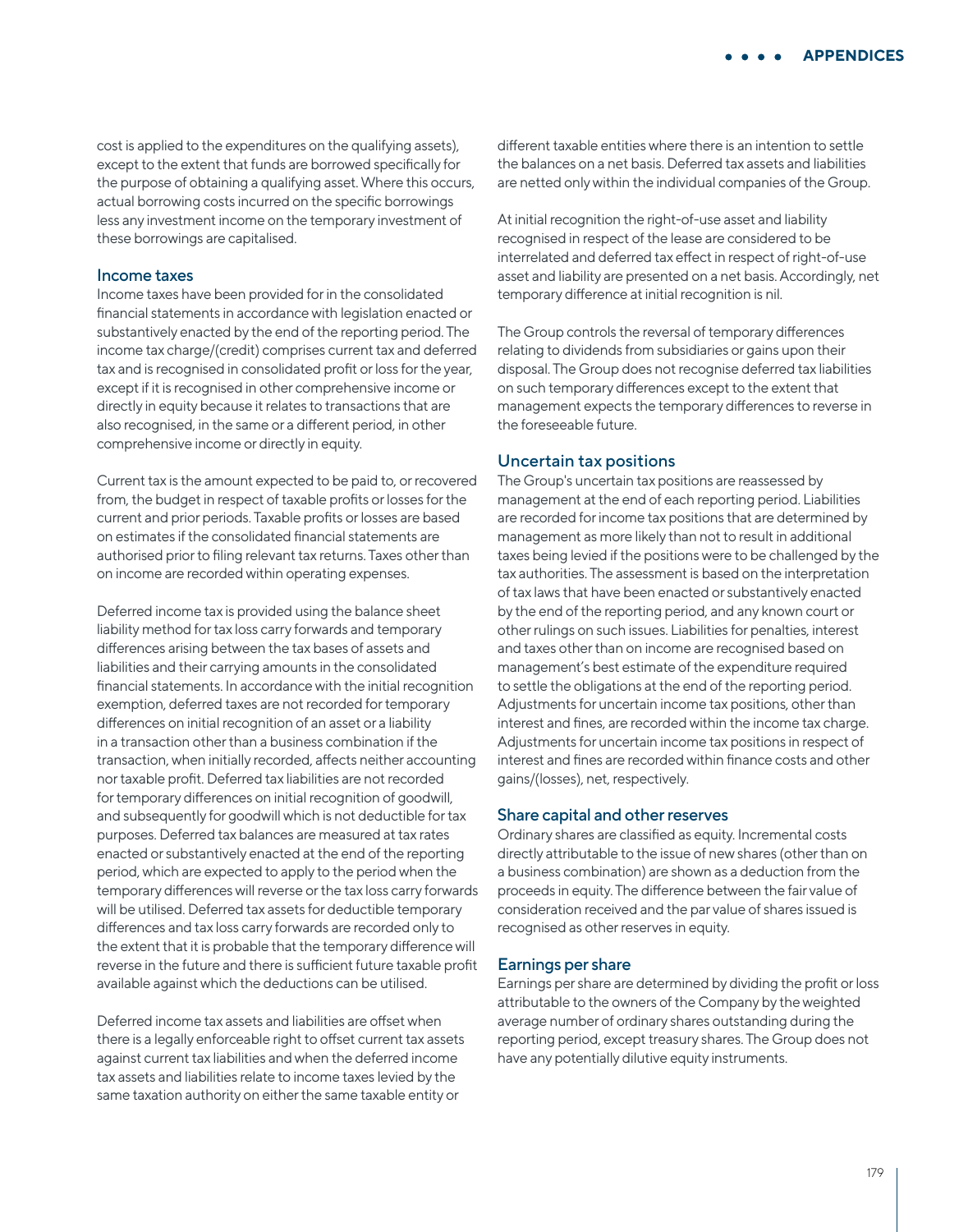cost is applied to the expenditures on the qualifying assets), except to the extent that funds are borrowed specifically for the purpose of obtaining a qualifying asset. Where this occurs, actual borrowing costs incurred on the specific borrowings less any investment income on the temporary investment of these borrowings are capitalised.

#### Income taxes

Income taxes have been provided for in the consolidated financial statements in accordance with legislation enacted or substantively enacted by the end of the reporting period. The income tax charge/(credit) comprises current tax and deferred tax and is recognised in consolidated profit or loss for the year. except if it is recognised in other comprehensive income or directly in equity because it relates to transactions that are also recognised, in the same or a different period, in other comprehensive income or directly in equity.

Current tax is the amount expected to be paid to, or recovered from, the budget in respect of taxable profits or losses for the current and prior periods. Taxable profits or losses are based on estimates if the consolidated financial statements are authorised prior to filing relevant tax returns. Taxes other than on income are recorded within operating expenses.

Deferred income tax is provided using the balance sheet liability method for tax loss carry forwards and temporary differences arising between the tax bases of assets and liabilities and their carrying amounts in the consolidated financial statements. In accordance with the initial recognition exemption, deferred taxes are not recorded for temporary differences on initial recognition of an asset or a liability in a transaction other than a business combination if the transaction, when initially recorded, affects neither accounting nor taxable profit. Deferred tax liabilities are not recorded for temporary differences on initial recognition of goodwill, and subsequently for goodwill which is not deductible for tax purposes. Deferred tax balances are measured at tax rates enacted or substantively enacted at the end of the reporting period, which are expected to apply to the period when the temporary differences will reverse or the tax loss carry forwards will be utilised. Deferred tax assets for deductible temporary differences and tax loss carry forwards are recorded only to the extent that it is probable that the temporary difference will reverse in the future and there is sufficient future taxable profit available against which the deductions can be utilised.

Deferred income tax assets and liabilities are offset when there is a legally enforceable right to offset current tax assets against current tax liabilities and when the deferred income tax assets and liabilities relate to income taxes levied by the same taxation authority on either the same taxable entity or

different taxable entities where there is an intention to settle the balances on a net basis. Deferred tax assets and liabilities are netted only within the individual companies of the Group.

At initial recognition the right-of-use asset and liability recognised in respect of the lease are considered to be interrelated and deferred tax effect in respect of right-of-use asset and liability are presented on a net basis. Accordingly, net temporary difference at initial recognition is nil.

The Group controls the reversal of temporary differences relating to dividends from subsidiaries or gains upon their disposal. The Group does not recognise deferred tax liabilities on such temporary differences except to the extent that management expects the temporary differences to reverse in the foreseeable future.

### Uncertain tax positions

The Group's uncertain tax positions are reassessed by management at the end of each reporting period. Liabilities are recorded for income tax positions that are determined by management as more likely than not to result in additional taxes being levied if the positions were to be challenged by the tax authorities. The assessment is based on the interpretation of tax laws that have been enacted or substantively enacted by the end of the reporting period, and any known court or other rulings on such issues. Liabilities for penalties, interest and taxes other than on income are recognised based on management's best estimate of the expenditure required to settle the obligations at the end of the reporting period. Adjustments for uncertain income tax positions, other than interest and fines, are recorded within the income tax charge. Adjustments for uncertain income tax positions in respect of interest and fines are recorded within finance costs and other gains/(losses), net, respectively.

#### Share capital and other reserves

Ordinary shares are classified as equity. Incremental costs directly attributable to the issue of new shares (other than on a business combination) are shown as a deduction from the proceeds in equity. The difference between the fair value of consideration received and the par value of shares issued is recognised as other reserves in equity.

#### Earnings per share

Earnings per share are determined by dividing the profit or loss attributable to the owners of the Company by the weighted average number of ordinary shares outstanding during the reporting period, except treasury shares. The Group does not have any potentially dilutive equity instruments.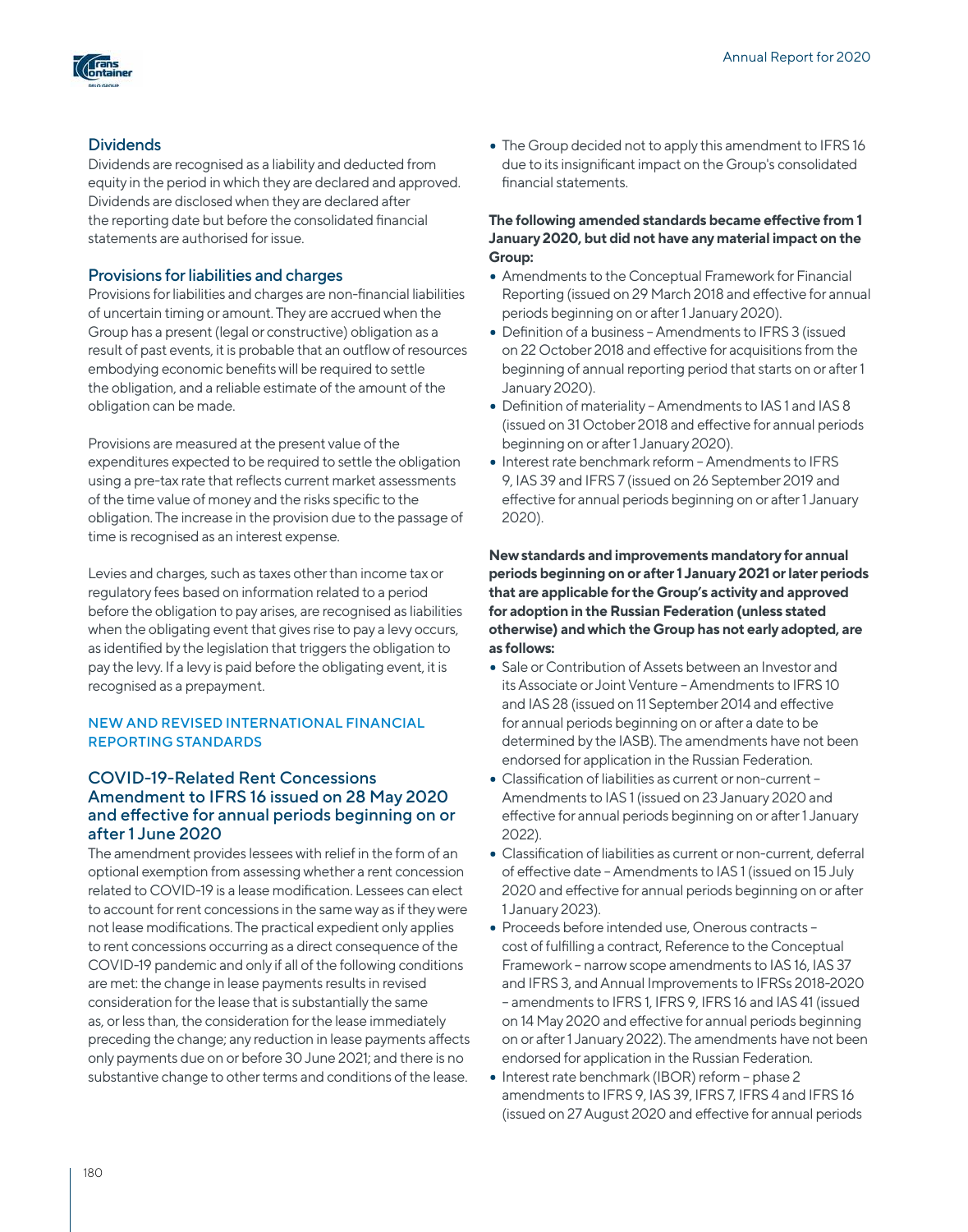

## **Dividends**

Dividends are recognised as a liability and deducted from equity in the period in which they are declared and approved. Dividends are disclosed when they are declared after the reporting date but before the consolidated financial statements are authorised for issue.

## Provisions for liabilities and charges

Provisions for liabilities and charges are non-financial liabilities of uncertain timing or amount. They are accrued when the Group has a present (legal or constructive) obligation as a result of past events, it is probable that an outflow of resources embodying economic benefits will be required to settle the obligation, and a reliable estimate of the amount of the obligation can be made.

Provisions are measured at the present value of the expenditures expected to be required to settle the obligation using a pre-tax rate that reflects current market assessments of the time value of money and the risks specific to the obligation. The increase in the provision due to the passage of time is recognised as an interest expense.

Levies and charges, such as taxes other than income tax or regulatory fees based on information related to a period before the obligation to pay arises, are recognised as liabilities when the obligating event that gives rise to pay a levy occurs, as identified by the legislation that triggers the obligation to pay the levy. If a levy is paid before the obligating event, it is recognised as a prepayment.

## NEW AND REVISED INTERNATIONAL FINANCIAL REPORTING STANDARDS

## COVID-19-Related Rent Concessions Amendment to IFRS 16 issued on 28 May 2020 and effective for annual periods beginning on or after 1 June 2020

The amendment provides lessees with relief in the form of an optional exemption from assessing whether a rent concession related to COVID-19 is a lease modification. Lessees can elect to account for rent concessions in the same way as if they were not lease modifications. The practical expedient only applies to rent concessions occurring as a direct consequence of the COVID-19 pandemic and only if all of the following conditions are met: the change in lease payments results in revised consideration for the lease that is substantially the same as, or less than, the consideration for the lease immediately preceding the change; any reduction in lease payments affects only payments due on or before 30 June 2021; and there is no substantive change to other terms and conditions of the lease.

• The Group decided not to apply this amendment to IFRS 16 due to its insignificant impact on the Group's consolidated financial statements.

## **The following amended standards became effective from 1 January 2020, but did not have any material impact on the Group:**

- Amendments to the Conceptual Framework for Financial Reporting (issued on 29 March 2018 and effective for annual periods beginning on or after 1 January 2020).
- Definition of a business Amendments to IFRS 3 (issued on 22 October 2018 and effective for acquisitions from the beginning of annual reporting period that starts on or after 1 January 2020).
- Definition of materiality Amendments to IAS 1 and IAS 8 (issued on 31 October 2018 and effective for annual periods beginning on or after 1 January 2020).
- Interest rate benchmark reform Amendments to IFRS 9, IAS 39 and IFRS 7 (issued on 26 September 2019 and effective for annual periods beginning on or after 1 January 2020).

**New standards and improvements mandatory for annual periods beginning on or after 1 January 2021 or later periods that are applicable for the Group's activity and approved for adoption in the Russian Federation (unless stated otherwise) and which the Group has not early adopted, are as follows:**

- Sale or Contribution of Assets between an Investor and its Associate or Joint Venture – Amendments to IFRS 10 and IAS 28 (issued on 11 September 2014 and effective for annual periods beginning on or after a date to be determined by the IASB). The amendments have not been endorsed for application in the Russian Federation.
- Classification of liabilities as current or non-current Amendments to IAS 1 (issued on 23 January 2020 and effective for annual periods beginning on or after 1 January 2022).
- Classification of liabilities as current or non-current, deferral of effective date – Amendments to IAS 1 (issued on 15 July 2020 and effective for annual periods beginning on or after 1 January 2023).
- Proceeds before intended use, Onerous contracts cost of fulfilling a contract, Reference to the Conceptual Framework – narrow scope amendments to IAS 16, IAS 37 and IFRS 3, and Annual Improvements to IFRSs 2018-2020 – amendments to IFRS 1, IFRS 9, IFRS 16 and IAS 41 (issued on 14 May 2020 and effective for annual periods beginning on or after 1 January 2022). The amendments have not been endorsed for application in the Russian Federation.
- Interest rate benchmark (IBOR) reform phase 2 amendments to IFRS 9, IAS 39, IFRS 7, IFRS 4 and IFRS 16 (issued on 27 August 2020 and effective for annual periods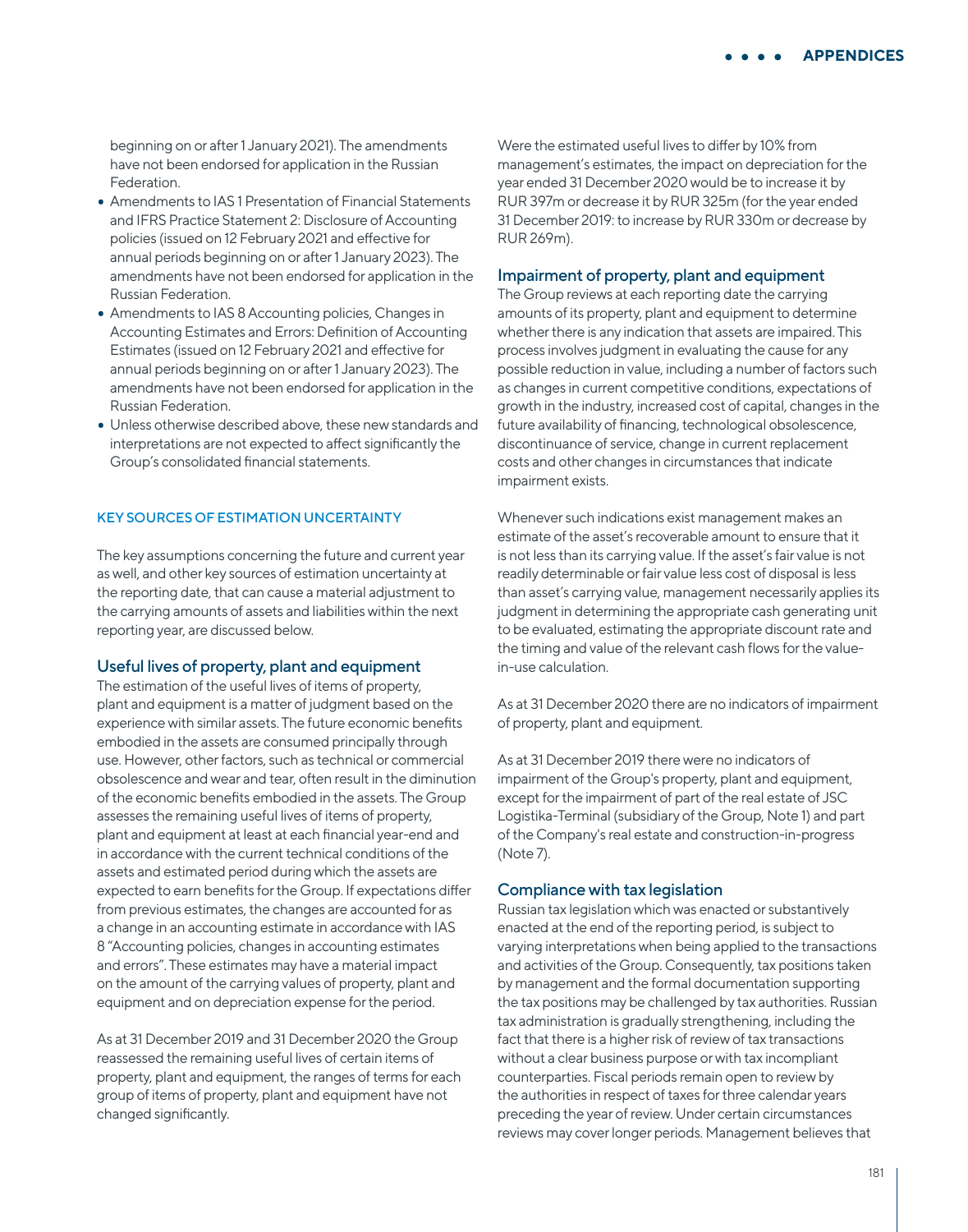beginning on or after 1 January 2021). The amendments have not been endorsed for application in the Russian Federation.

- Amendments to IAS 1 Presentation of Financial Statements and IFRS Practice Statement 2: Disclosure of Accounting policies (issued on 12 February 2021 and effective for annual periods beginning on or after 1 January 2023). The amendments have not been endorsed for application in the Russian Federation.
- Amendments to IAS 8 Accounting policies, Changes in Accounting Estimates and Errors: Definition of Accounting Estimates (issued on 12 February 2021 and effective for annual periods beginning on or after 1 January 2023). The amendments have not been endorsed for application in the Russian Federation.
- Unless otherwise described above, these new standards and interpretations are not expected to affect significantly the Group's consolidated financial statements.

#### KEY SOURCES OF ESTIMATION UNCERTAINTY

The key assumptions concerning the future and current year as well, and other key sources of estimation uncertainty at the reporting date, that can cause a material adjustment to the carrying amounts of assets and liabilities within the next reporting year, are discussed below.

#### Useful lives of property, plant and equipment

The estimation of the useful lives of items of property, plant and equipment is a matter of judgment based on the experience with similar assets. The future economic benefits embodied in the assets are consumed principally through use. However, other factors, such as technical or commercial obsolescence and wear and tear, often result in the diminution of the economic benefits embodied in the assets. The Group assesses the remaining useful lives of items of property, plant and equipment at least at each financial year-end and in accordance with the current technical conditions of the assets and estimated period during which the assets are expected to earn benefits for the Group. If expectations differ from previous estimates, the changes are accounted for as a change in an accounting estimate in accordance with IAS 8 "Accounting policies, changes in accounting estimates and errors". These estimates may have a material impact on the amount of the carrying values of property, plant and equipment and on depreciation expense for the period.

As at 31 December 2019 and 31 December 2020 the Group reassessed the remaining useful lives of certain items of property, plant and equipment, the ranges of terms for each group of items of property, plant and equipment have not changed significantly.

Were the estimated useful lives to differ by 10% from management's estimates, the impact on depreciation for the year ended 31 December 2020 would be to increase it by RUR 397m or decrease it by RUR 325m (for the year ended 31 December 2019: to increase by RUR 330m or decrease by RUR 269m).

### Impairment of property, plant and equipment

The Group reviews at each reporting date the carrying amounts of its property, plant and equipment to determine whether there is any indication that assets are impaired. This process involves judgment in evaluating the cause for any possible reduction in value, including a number of factors such as changes in current competitive conditions, expectations of growth in the industry, increased cost of capital, changes in the future availability of financing, technological obsolescence, discontinuance of service, change in current replacement costs and other changes in circumstances that indicate impairment exists.

Whenever such indications exist management makes an estimate of the asset's recoverable amount to ensure that it is not less than its carrying value. If the asset's fair value is not readily determinable or fair value less cost of disposal is less than asset's carrying value, management necessarily applies its judgment in determining the appropriate cash generating unit to be evaluated, estimating the appropriate discount rate and the timing and value of the relevant cash flows for the valuein-use calculation.

As at 31 December 2020 there are no indicators of impairment of property, plant and equipment.

As at 31 December 2019 there were no indicators of impairment of the Group's property, plant and equipment, except for the impairment of part of the real estate of JSC Logistika-Terminal (subsidiary of the Group, Note 1) and part of the Company's real estate and construction-in-progress (Note 7).

#### Compliance with tax legislation

Russian tax legislation which was enacted or substantively enacted at the end of the reporting period, is subject to varying interpretations when being applied to the transactions and activities of the Group. Consequently, tax positions taken by management and the formal documentation supporting the tax positions may be challenged by tax authorities. Russian tax administration is gradually strengthening, including the fact that there is a higher risk of review of tax transactions without a clear business purpose or with tax incompliant counterparties. Fiscal periods remain open to review by the authorities in respect of taxes for three calendar years preceding the year of review. Under certain circumstances reviews may cover longer periods. Management believes that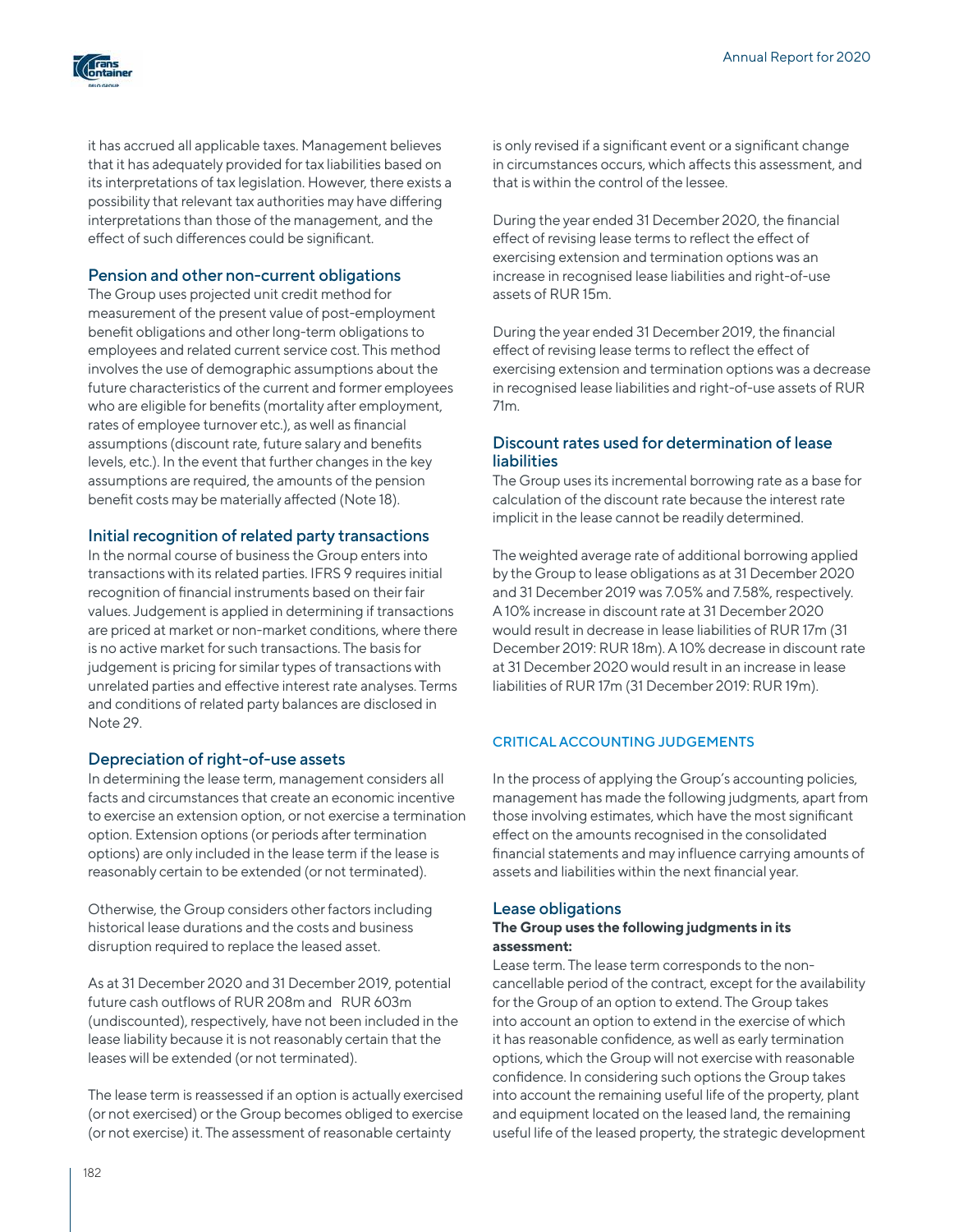

it has accrued all applicable taxes. Management believes that it has adequately provided for tax liabilities based on its interpretations of tax legislation. However, there exists a possibility that relevant tax authorities may have differing interpretations than those of the management, and the effect of such differences could be significant.

## Pension and other non-current obligations

The Group uses projected unit credit method for measurement of the present value of post-employment benefit obligations and other long-term obligations to employees and related current service cost. This method involves the use of demographic assumptions about the future characteristics of the current and former employees who are eligible for benefits (mortality after employment, rates of employee turnover etc.), as well as financial assumptions (discount rate, future salary and benefits levels, etc.). In the event that further changes in the key assumptions are required, the amounts of the pension benefit costs may be materially affected (Note 18).

## Initial recognition of related party transactions

In the normal course of business the Group enters into transactions with its related parties. IFRS 9 requires initial recognition of financial instruments based on their fair values. Judgement is applied in determining if transactions are priced at market or non-market conditions, where there is no active market for such transactions. The basis for judgement is pricing for similar types of transactions with unrelated parties and effective interest rate analyses. Terms and conditions of related party balances are disclosed in Note 29.

## Depreciation of right-of-use assets

In determining the lease term, management considers all facts and circumstances that create an economic incentive to exercise an extension option, or not exercise a termination option. Extension options (or periods after termination options) are only included in the lease term if the lease is reasonably certain to be extended (or not terminated).

Otherwise, the Group considers other factors including historical lease durations and the costs and business disruption required to replace the leased asset.

As at 31 December 2020 and 31 December 2019, potential future cash outflows of RUR 208m and RUR 603m (undiscounted), respectively, have not been included in the lease liability because it is not reasonably certain that the leases will be extended (or not terminated).

The lease term is reassessed if an option is actually exercised (or not exercised) or the Group becomes obliged to exercise (or not exercise) it. The assessment of reasonable certainty

is only revised if a significant event or a significant change in circumstances occurs, which affects this assessment, and that is within the control of the lessee.

During the year ended 31 December 2020, the financial effect of revising lease terms to reflect the effect of exercising extension and termination options was an increase in recognised lease liabilities and right-of-use assets of RUR 15m.

During the year ended 31 December 2019, the financial effect of revising lease terms to reflect the effect of exercising extension and termination options was a decrease in recognised lease liabilities and right-of-use assets of RUR 71m.

### Discount rates used for determination of lease liabilities

The Group uses its incremental borrowing rate as a base for calculation of the discount rate because the interest rate implicit in the lease cannot be readily determined.

The weighted average rate of additional borrowing applied by the Group to lease obligations as at 31 December 2020 and 31 December 2019 was 7.05% and 7.58%, respectively. A 10% increase in discount rate at 31 December 2020 would result in decrease in lease liabilities of RUR 17m (31 December 2019: RUR 18m). A 10% decrease in discount rate at 31 December 2020 would result in an increase in lease liabilities of RUR 17m (31 December 2019: RUR 19m).

## CRITICAL ACCOUNTING JUDGEMENTS

In the process of applying the Group's accounting policies, management has made the following judgments, apart from those involving estimates, which have the most significant effect on the amounts recognised in the consolidated financial statements and may influence carrying amounts of assets and liabilities within the next financial year.

### Lease obligations

### **The Group uses the following judgments in its assessment:**

Lease term. The lease term corresponds to the noncancellable period of the contract, except for the availability for the Group of an option to extend. The Group takes into account an option to extend in the exercise of which it has reasonable confidence, as well as early termination options, which the Group will not exercise with reasonable confidence. In considering such options the Group takes into account the remaining useful life of the property, plant and equipment located on the leased land, the remaining useful life of the leased property, the strategic development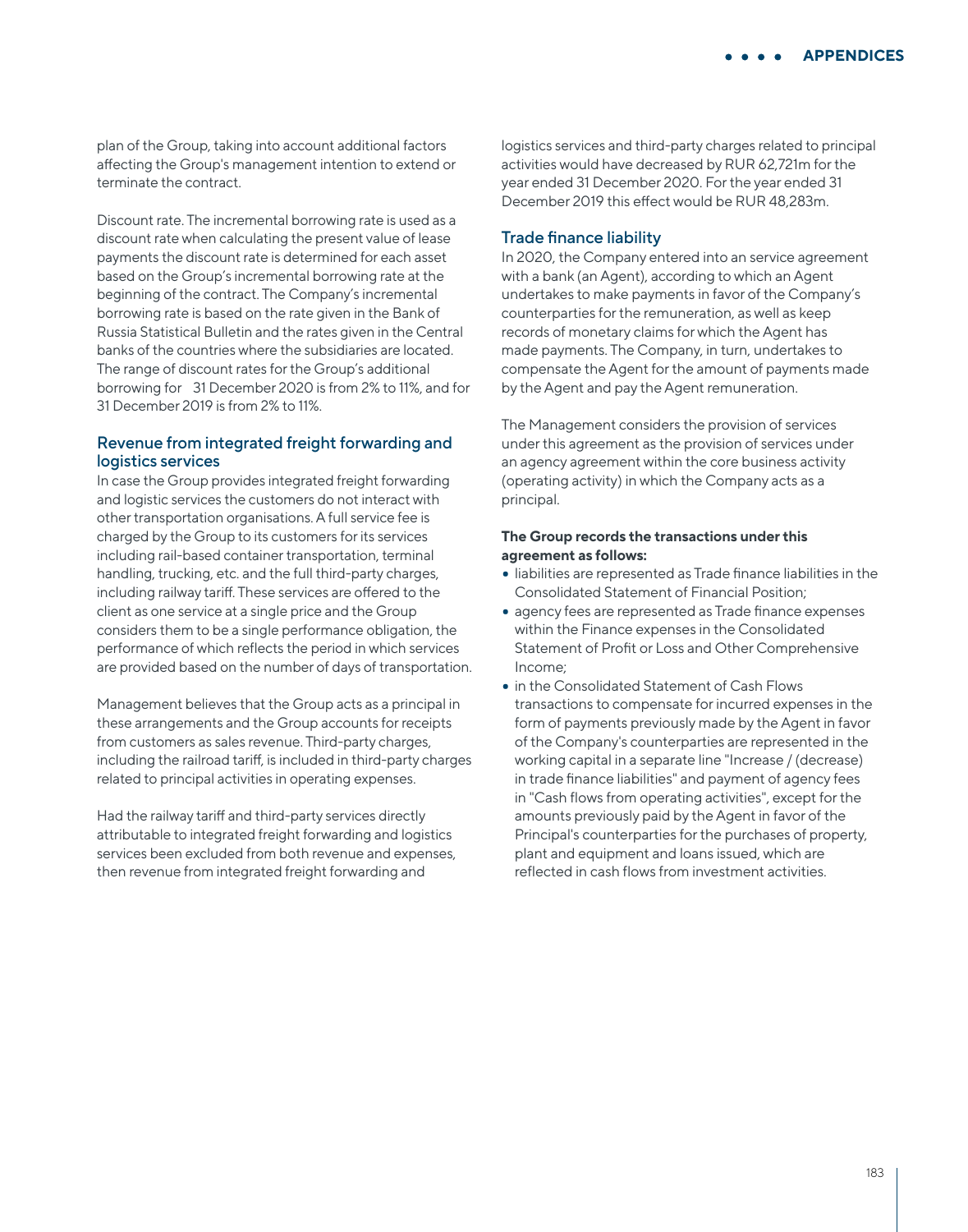plan of the Group, taking into account additional factors affecting the Group's management intention to extend or terminate the contract.

Discount rate. The incremental borrowing rate is used as a discount rate when calculating the present value of lease payments the discount rate is determined for each asset based on the Group's incremental borrowing rate at the beginning of the contract. The Company's incremental borrowing rate is based on the rate given in the Bank of Russia Statistical Bulletin and the rates given in the Central banks of the countries where the subsidiaries are located. The range of discount rates for the Group's additional borrowing for 31 December 2020 is from 2% to 11%, and for 31 December 2019 is from 2% to 11%.

## Revenue from integrated freight forwarding and logistics services

In case the Group provides integrated freight forwarding and logistic services the customers do not interact with other transportation organisations. A full service fee is charged by the Group to its customers for its services including rail-based container transportation, terminal handling, trucking, etc. and the full third-party charges, including railway tariff. These services are offered to the client as one service at a single price and the Group considers them to be a single performance obligation, the performance of which reflects the period in which services are provided based on the number of days of transportation.

Management believes that the Group acts as a principal in these arrangements and the Group accounts for receipts from customers as sales revenue. Third-party charges, including the railroad tariff, is included in third-party charges related to principal activities in operating expenses.

Had the railway tariff and third-party services directly attributable to integrated freight forwarding and logistics services been excluded from both revenue and expenses, then revenue from integrated freight forwarding and

logistics services and third-party charges related to principal activities would have decreased by RUR 62,721m for the year ended 31 December 2020. For the year ended 31 December 2019 this effect would be RUR 48,283m.

#### Trade finance liability

In 2020, the Company entered into an service agreement with a bank (an Agent), according to which an Agent undertakes to make payments in favor of the Company's counterparties for the remuneration, as well as keep records of monetary claims for which the Agent has made payments. The Company, in turn, undertakes to compensate the Agent for the amount of payments made by the Agent and pay the Agent remuneration.

The Management considers the provision of services under this agreement as the provision of services under an agency agreement within the core business activity (operating activity) in which the Company acts as a principal.

### **The Group records the transactions under this agreement as follows:**

- liabilities are represented as Trade finance liabilities in the Consolidated Statement of Financial Position;
- agency fees are represented as Trade finance expenses within the Finance expenses in the Consolidated Statement of Profit or Loss and Other Comprehensive Income;
- in the Consolidated Statement of Cash Flows transactions to compensate for incurred expenses in the form of payments previously made by the Agent in favor of the Company's counterparties are represented in the working capital in a separate line "Increase / (decrease) in trade finance liabilities" and payment of agency fees in "Cash flows from operating activities", except for the amounts previously paid by the Agent in favor of the Principal's counterparties for the purchases of property, plant and equipment and loans issued, which are reflected in cash flows from investment activities.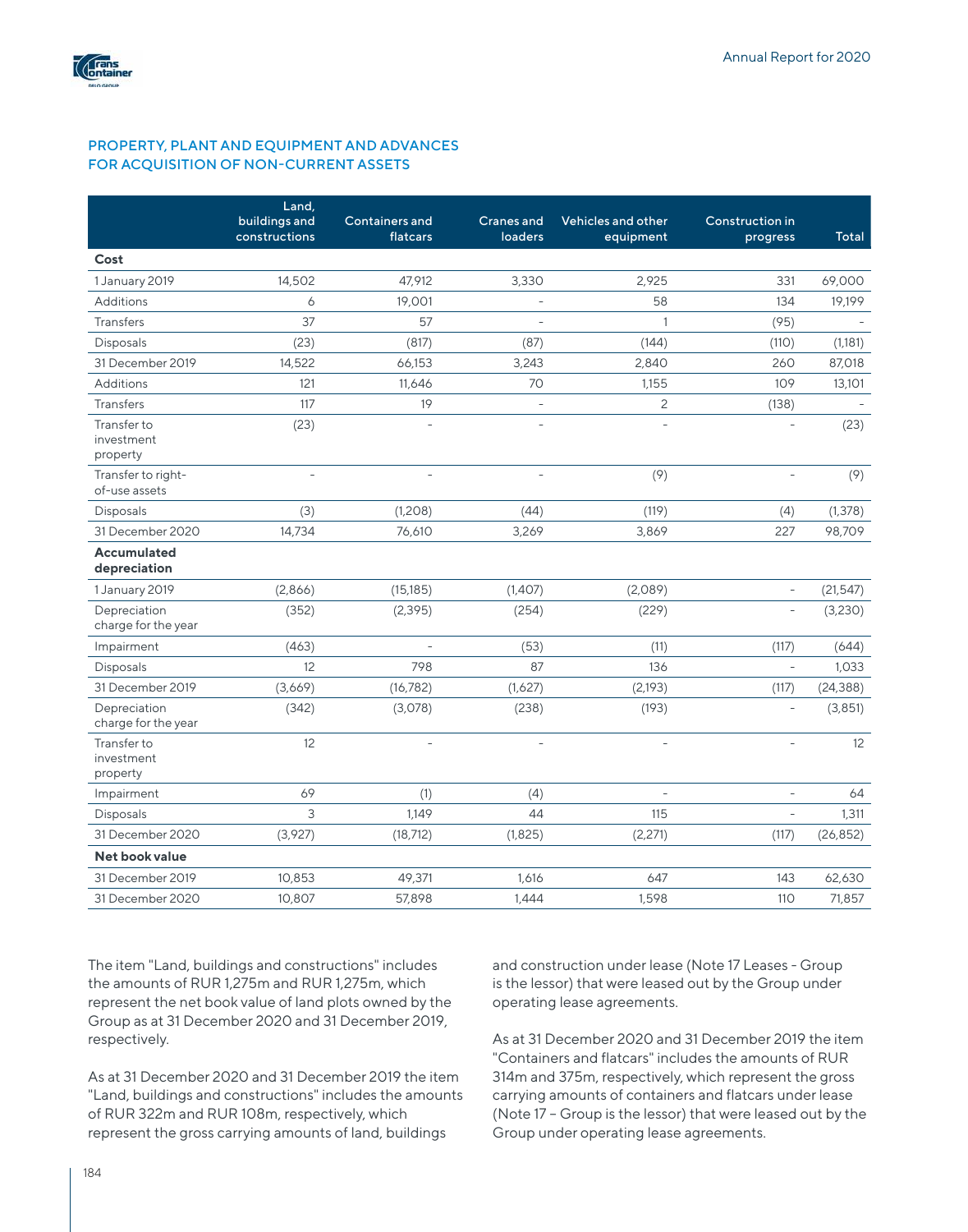

## PROPERTY, PLANT AND EQUIPMENT AND ADVANCES FOR ACQUISITION OF NON-CURRENT ASSETS

|                                       | Land,<br>buildings and | <b>Containers and</b>                                      | <b>Cranes</b> and        | Vehicles and other       | Construction in          |           |
|---------------------------------------|------------------------|------------------------------------------------------------|--------------------------|--------------------------|--------------------------|-----------|
|                                       | constructions          | flatcars                                                   | loaders                  | equipment                | progress                 | Total     |
| Cost                                  |                        |                                                            |                          |                          |                          |           |
| 1 January 2019                        | 14,502                 | 47,912                                                     | 3,330                    | 2,925                    | 331                      | 69,000    |
| Additions                             | 6                      | 19,001                                                     | $\equiv$                 | 58                       | 134                      | 19,199    |
| <b>Transfers</b>                      | 37                     | 57                                                         | $\overline{a}$           | $\mathbf{1}$             | (95)                     |           |
| <b>Disposals</b>                      | (23)                   | (817)                                                      | (87)                     | (144)                    | (110)                    | (1,181)   |
| 31 December 2019                      | 14,522                 | 66,153                                                     | 3,243                    | 2,840                    | 260                      | 87,018    |
| <b>Additions</b>                      | 121                    | 11.646                                                     | 70                       | 1.155                    | 109                      | 13,101    |
| <b>Transfers</b>                      | 117                    | 19                                                         | $\overline{\phantom{a}}$ | $\overline{c}$           | (138)                    |           |
| Transfer to<br>investment<br>property | (23)                   | $\mathbf{r} = \mathbf{r} \mathbf{r} \mathbf{r} \mathbf{r}$ | $\bar{\phantom{a}}$      |                          | $\overline{a}$           | (23)      |
| Transfer to right-<br>of-use assets   |                        |                                                            |                          | (9)                      |                          | (9)       |
| <b>Disposals</b>                      | (3)                    | (1,208)                                                    | (44)                     | (119)                    | (4)                      | (1, 378)  |
| 31 December 2020                      | 14,734                 | 76,610                                                     | 3,269                    | 3,869                    | 227                      | 98,709    |
| <b>Accumulated</b><br>depreciation    |                        |                                                            |                          |                          |                          |           |
| 1 January 2019                        | (2,866)                | (15, 185)                                                  | (1,407)                  | (2,089)                  | $\qquad \qquad -$        | (21, 547) |
| Depreciation<br>charge for the year   | (352)                  | (2, 395)                                                   | (254)                    | (229)                    |                          | (3,230)   |
| Impairment                            | (463)                  |                                                            | (53)                     | (11)                     | (117)                    | (644)     |
| <b>Disposals</b>                      | 12                     | 798                                                        | 87                       | 136                      | $\overline{\phantom{a}}$ | 1,033     |
| 31 December 2019                      | (3,669)                | (16, 782)                                                  | (1,627)                  | (2,193)                  | (117)                    | (24, 388) |
| Depreciation<br>charge for the year   | (342)                  | (3,078)                                                    | (238)                    | (193)                    | $\overline{\phantom{a}}$ | (3, 851)  |
| Transfer to<br>investment<br>property | 12                     | $\mathbf{r} = \mathbf{r} \mathbf{r} \mathbf{r} \mathbf{r}$ | $\overline{\phantom{a}}$ | $\overline{\phantom{a}}$ | $\overline{a}$           | 12        |
| Impairment                            | 69                     | (1)                                                        | (4)                      | $\bar{a}$                | $\equiv$                 | 64        |
| <b>Disposals</b>                      | 3                      | 1.149                                                      | 44                       | 115                      | $\overline{a}$           | 1,311     |
| 31 December 2020                      | (3,927)                | (18, 712)                                                  | (1,825)                  | (2,271)                  | (117)                    | (26, 852) |
| Net book value                        |                        |                                                            |                          |                          |                          |           |
| 31 December 2019                      | 10,853                 | 49,371                                                     | 1,616                    | 647                      | 143                      | 62,630    |
| 31 December 2020                      | 10,807                 | 57,898                                                     | 1,444                    | 1,598                    | 110                      | 71,857    |

The item "Land, buildings and constructions" includes the amounts of RUR 1,275m and RUR 1,275m, which represent the net book value of land plots owned by the Group as at 31 December 2020 and 31 December 2019, respectively.

As at 31 December 2020 and 31 December 2019 the item "Land, buildings and constructions" includes the amounts of RUR 322m and RUR 108m, respectively, which represent the gross carrying amounts of land, buildings

and construction under lease (Note 17 Leases - Group is the lessor) that were leased out by the Group under operating lease agreements.

As at 31 December 2020 and 31 December 2019 the item "Containers and flatcars" includes the amounts of RUR 314m and 375m, respectively, which represent the gross carrying amounts of containers and flatcars under lease (Note 17 – Group is the lessor) that were leased out by the Group under operating lease agreements.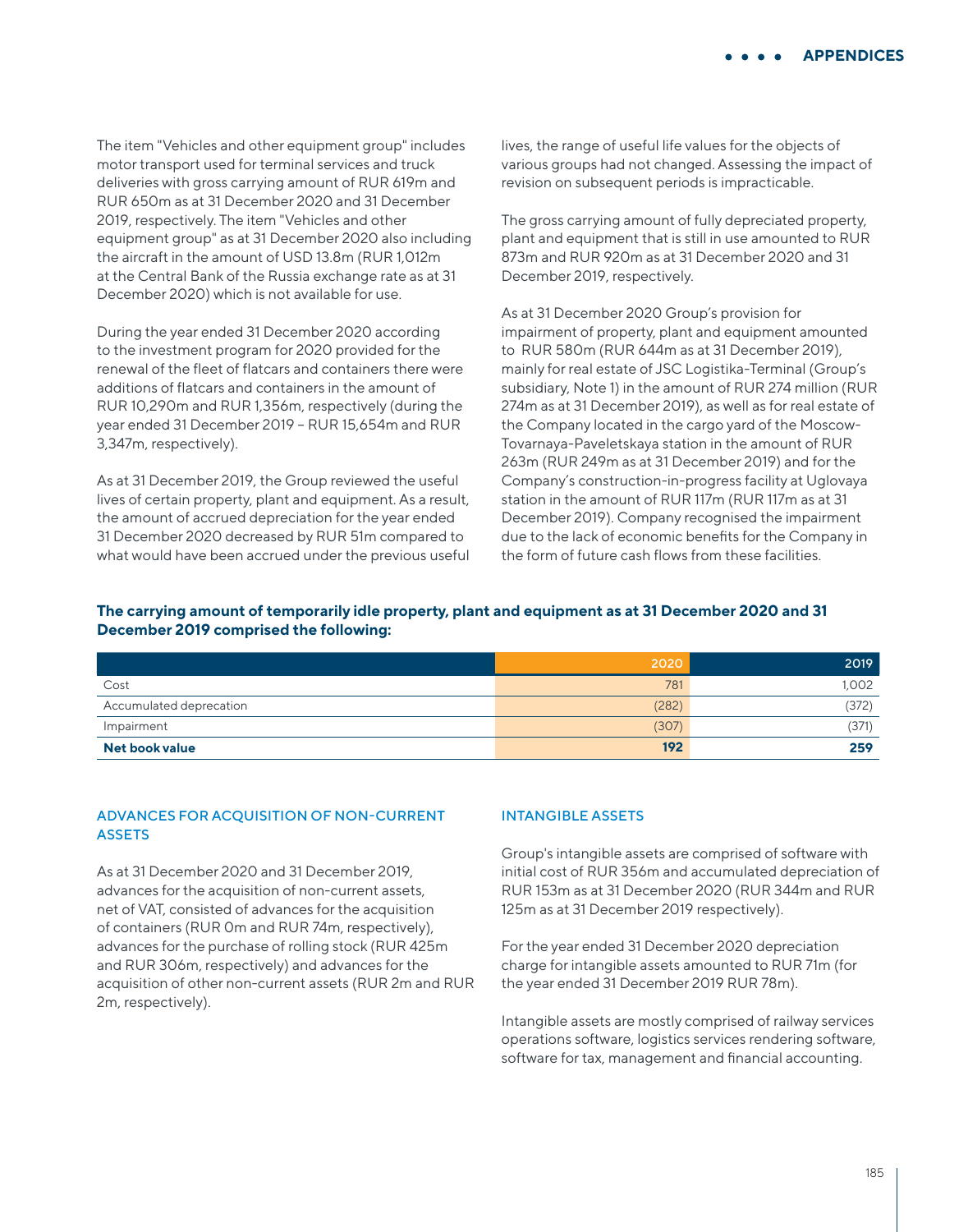The item "Vehicles and other equipment group" includes motor transport used for terminal services and truck deliveries with gross carrying amount of RUR 619m and RUR 650m as at 31 December 2020 and 31 December 2019, respectively. The item "Vehicles and other equipment group" as at 31 December 2020 also including the aircraft in the amount of USD 13.8m (RUR 1,012m at the Central Bank of the Russia exchange rate as at 31 December 2020) which is not available for use.

During the year ended 31 December 2020 according to the investment program for 2020 provided for the renewal of the fleet of flatcars and containers there were additions of flatcars and containers in the amount of RUR 10,290m and RUR 1,356m, respectively (during the year ended 31 December 2019 – RUR 15,654m and RUR 3,347m, respectively).

As at 31 December 2019, the Group reviewed the useful lives of certain property, plant and equipment. As a result, the amount of accrued depreciation for the year ended 31 December 2020 decreased by RUR 51m compared to what would have been accrued under the previous useful

lives, the range of useful life values for the objects of various groups had not changed. Assessing the impact of revision on subsequent periods is impracticable.

The gross carrying amount of fully depreciated property, plant and equipment that is still in use amounted to RUR 873m and RUR 920m as at 31 December 2020 and 31 December 2019, respectively.

As at 31 December 2020 Group's provision for impairment of property, plant and equipment amounted to RUR 580m (RUR 644m as at 31 December 2019), mainly for real estate of JSC Logistika-Terminal (Group's subsidiary, Note 1) in the amount of RUR 274 million (RUR 274m as at 31 December 2019), as well as for real estate of the Company located in the cargo yard of the Moscow-Tovarnaya-Paveletskaya station in the amount of RUR 263m (RUR 249m as at 31 December 2019) and for the Company's construction-in-progress facility at Uglovaya station in the amount of RUR 117m (RUR 117m as at 31 December 2019). Company recognised the impairment due to the lack of economic benefits for the Company in the form of future cash flows from these facilities.

## **The carrying amount of temporarily idle property, plant and equipment as at 31 December 2020 and 31 December 2019 comprised the following:**

|                         | 2020  | 2019  |
|-------------------------|-------|-------|
| Cost                    | 781   | 1,002 |
| Accumulated deprecation | (282) | (372) |
| Impairment              | (307) | (371  |
| Net book value          | 192   | 259   |

## ADVANCES FOR ACQUISITION OF NON-CURRENT **ASSETS**

As at 31 December 2020 and 31 December 2019, advances for the acquisition of non-current assets, net of VAT, consisted of advances for the acquisition of containers (RUR 0m and RUR 74m, respectively), advances for the purchase of rolling stock (RUR 425m and RUR 306m, respectively) and advances for the acquisition of other non-current assets (RUR 2m and RUR 2m, respectively).

## INTANGIBLE ASSETS

Group's intangible assets are comprised of software with initial cost of RUR 356m and accumulated depreciation of RUR 153m as at 31 December 2020 (RUR 344m and RUR 125m as at 31 December 2019 respectively).

For the year ended 31 December 2020 depreciation charge for intangible assets amounted to RUR 71m (for the year ended 31 December 2019 RUR 78m).

Intangible assets are mostly comprised of railway services operations software, logistics services rendering software, software for tax, management and financial accounting.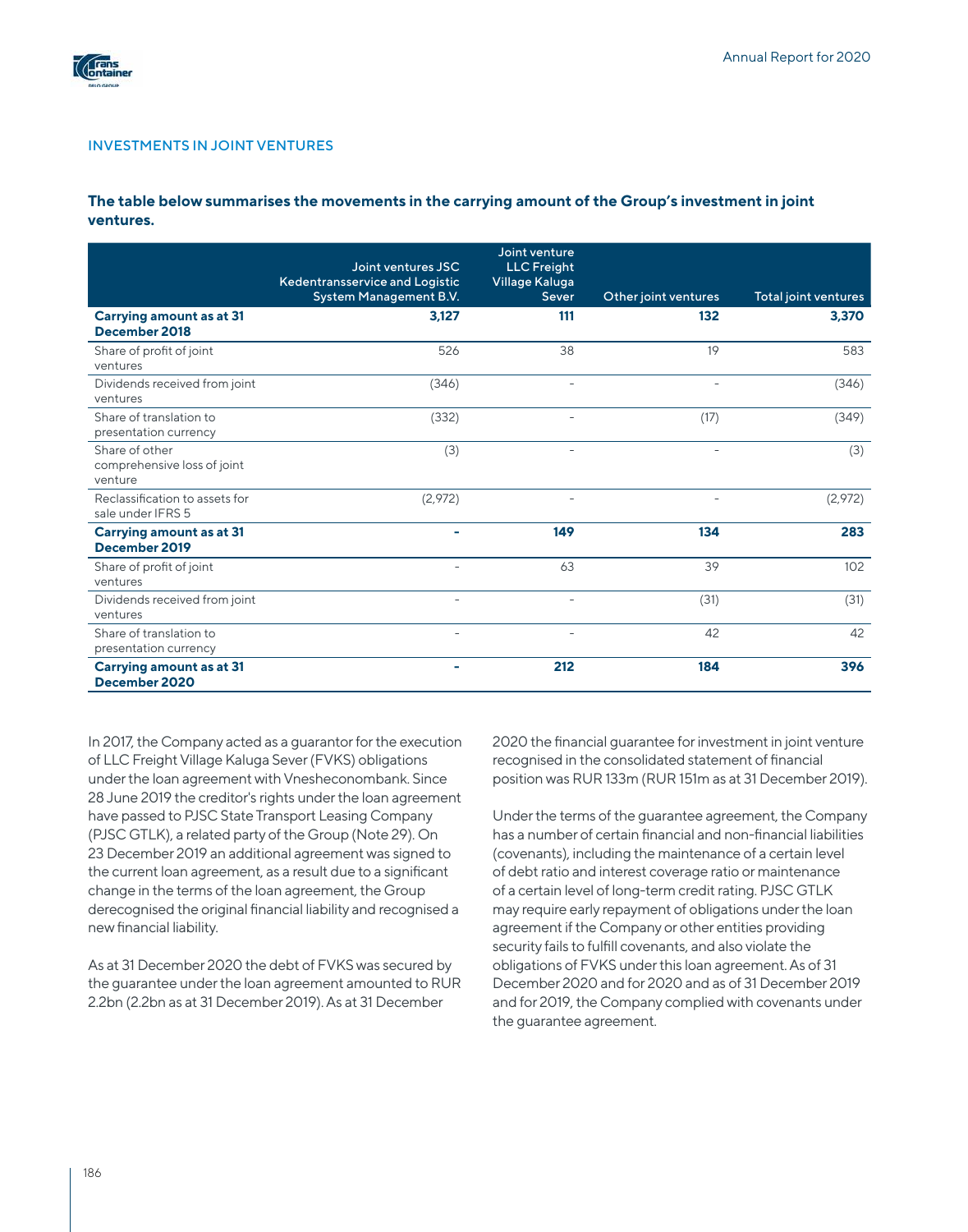

#### INVESTMENTS IN JOINT VENTURES

### **The table below summarises the movements in the carrying amount of the Group's investment in joint ventures.**

|                                                          | Joint ventures JSC<br>Kedentransservice and Logistic<br>System Management B.V. | Joint venture<br><b>LLC</b> Freight<br>Village Kaluga<br>Sever | Other joint ventures     | Total joint ventures |
|----------------------------------------------------------|--------------------------------------------------------------------------------|----------------------------------------------------------------|--------------------------|----------------------|
| <b>Carrying amount as at 31</b><br>December 2018         | 3.127                                                                          | 111                                                            | 132                      | 3,370                |
| Share of profit of joint<br>ventures                     | 526                                                                            | 38                                                             | 19                       | 583                  |
| Dividends received from joint<br>ventures                | (346)                                                                          | $\overline{\phantom{a}}$                                       | $\overline{\phantom{0}}$ | (346)                |
| Share of translation to<br>presentation currency         | (332)                                                                          | $\overline{\phantom{a}}$                                       | (17)                     | (349)                |
| Share of other<br>comprehensive loss of joint<br>venture | (3)                                                                            |                                                                |                          | (3)                  |
| Reclassification to assets for<br>sale under IFRS 5      | (2,972)                                                                        | ٠                                                              |                          | (2,972)              |
| <b>Carrying amount as at 31</b><br>December 2019         | $\overline{\phantom{0}}$                                                       | 149                                                            | 134                      | 283                  |
| Share of profit of joint<br>ventures                     | $\overline{\phantom{a}}$                                                       | 63                                                             | 39                       | 102                  |
| Dividends received from joint<br>ventures                | $\overline{\phantom{0}}$                                                       | $\overline{\phantom{a}}$                                       | (31)                     | (31)                 |
| Share of translation to<br>presentation currency         | $\overline{\phantom{a}}$                                                       | $\overline{\phantom{a}}$                                       | 42                       | 42                   |
| <b>Carrying amount as at 31</b><br>December 2020         |                                                                                | 212                                                            | 184                      | 396                  |

In 2017, the Company acted as a guarantor for the execution of LLC Freight Village Kaluga Sever (FVKS) obligations under the loan agreement with Vnesheconombank. Since 28 June 2019 the creditor's rights under the loan agreement have passed to PJSC State Transport Leasing Company (PJSC GTLK), a related party of the Group (Note 29). On 23 December 2019 an additional agreement was signed to the current loan agreement, as a result due to a significant change in the terms of the loan agreement, the Group derecognised the original financial liability and recognised a new financial liability.

As at 31 December 2020 the debt of FVKS was secured by the guarantee under the loan agreement amounted to RUR 2.2bn (2.2bn as at 31 December 2019). As at 31 December

2020 the financial guarantee for investment in joint venture recognised in the consolidated statement of financial position was RUR 133m (RUR 151m as at 31 December 2019).

Under the terms of the guarantee agreement, the Company has a number of certain financial and non-financial liabilities (covenants), including the maintenance of a certain level of debt ratio and interest coverage ratio or maintenance of a certain level of long-term credit rating. PJSC GTLK may require early repayment of obligations under the loan agreement if the Company or other entities providing security fails to fulfill covenants, and also violate the obligations of FVKS under this loan agreement. As of 31 December 2020 and for 2020 and as of 31 December 2019 and for 2019, the Company complied with covenants under the guarantee agreement.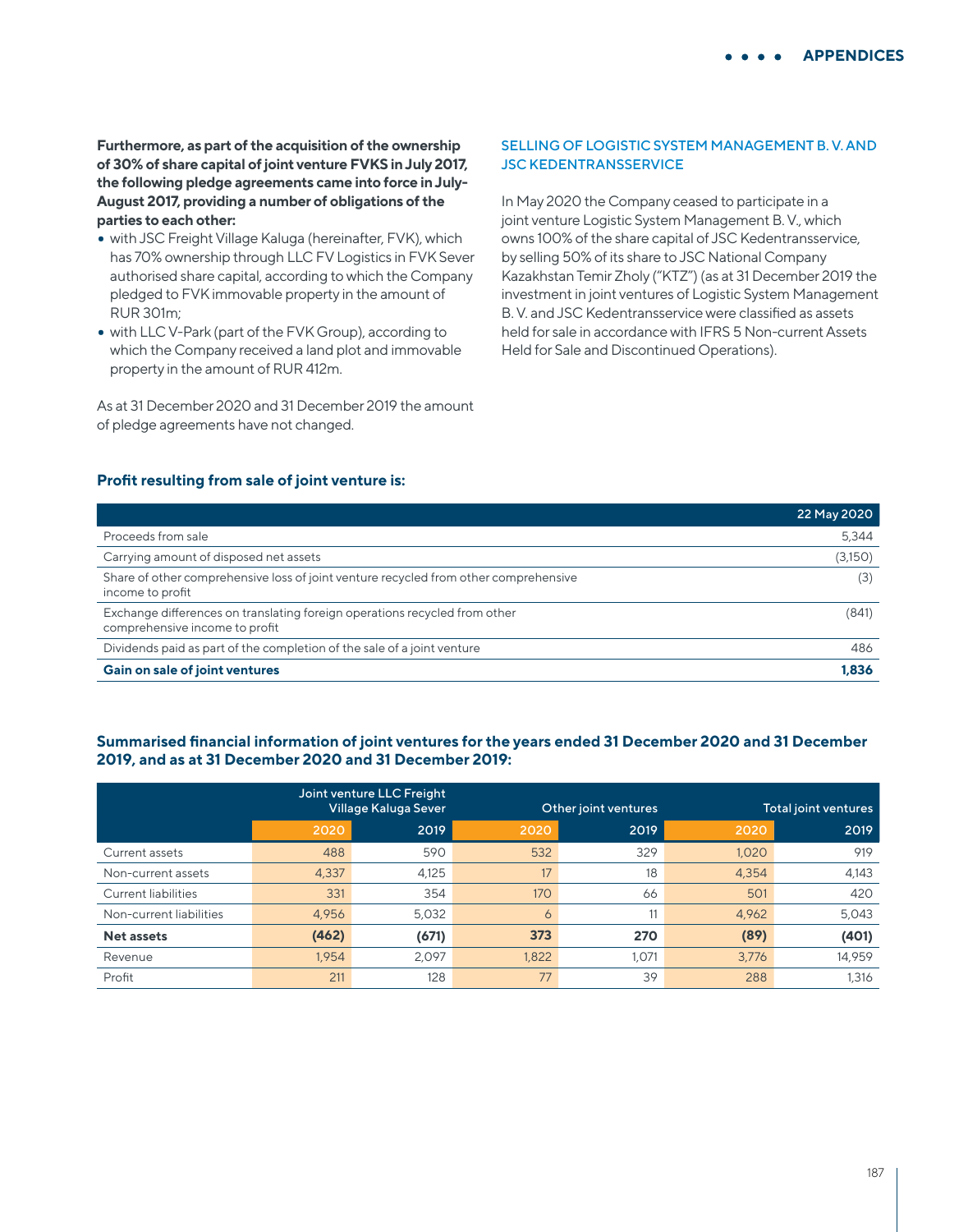**Furthermore, as part of the acquisition of the ownership of 30% of share capital of joint venture FVKS in July 2017, the following pledge agreements came into force in July-August 2017, providing a number of obligations of the parties to each other:**

- with JSC Freight Village Kaluga (hereinafter, FVK), which has 70% ownership through LLC FV Logistics in FVK Sever authorised share capital, according to which the Company pledged to FVK immovable property in the amount of RUR 301m;
- with LLC V-Park (part of the FVK Group), according to which the Company received a land plot and immovable property in the amount of RUR 412m.

As at 31 December 2020 and 31 December 2019 the amount of pledge agreements have not changed.

### SELLING OF LOGISTIC SYSTEM MANAGEMENT B. V. AND JSC KEDENTRANSSERVICE

In May 2020 the Company ceased to participate in a joint venture Logistic System Management B. V., which owns 100% of the share capital of JSC Kedentransservice, by selling 50% of its share to JSC National Company Kazakhstan Temir Zholy ("KTZ") (as at 31 December 2019 the investment in joint ventures of Logistic System Management B. V. and JSC Kedentransservice were classified as assets held for sale in accordance with IFRS 5 Non-current Assets Held for Sale and Discontinued Operations).

## **Profit resulting from sale of joint venture is:**

|                                                                                                              | 22 May 2020 |
|--------------------------------------------------------------------------------------------------------------|-------------|
| Proceeds from sale                                                                                           | 5,344       |
| Carrying amount of disposed net assets                                                                       | (3,150)     |
| Share of other comprehensive loss of joint venture recycled from other comprehensive<br>income to profit     | (3)         |
| Exchange differences on translating foreign operations recycled from other<br>comprehensive income to profit | (841)       |
| Dividends paid as part of the completion of the sale of a joint venture                                      | 486         |
| <b>Gain on sale of joint ventures</b>                                                                        | 1.836       |

### **Summarised financial information of joint ventures for the years ended 31 December 2020 and 31 December 2019, and as at 31 December 2020 and 31 December 2019:**

|                            | Joint venture LLC Freight<br>Village Kaluga Sever |       | Other joint ventures |       |       | Total joint ventures |
|----------------------------|---------------------------------------------------|-------|----------------------|-------|-------|----------------------|
|                            | 2020                                              | 2019  | 2020                 | 2019  | 2020  | 2019                 |
| Current assets             | 488                                               | 590   | 532                  | 329   | 1,020 | 919                  |
| Non-current assets         | 4,337                                             | 4,125 | 17                   | 18    | 4,354 | 4,143                |
| <b>Current liabilities</b> | 331                                               | 354   | 170                  | 66    | 501   | 420                  |
| Non-current liabilities    | 4,956                                             | 5,032 | $\circ$              | 11    | 4,962 | 5,043                |
| <b>Net assets</b>          | (462)                                             | (671) | 373                  | 270   | (89)  | (401)                |
| Revenue                    | 1.954                                             | 2,097 | 1.822                | 1,071 | 3.776 | 14,959               |
| Profit                     | 211                                               | 128   | 77                   | 39    | 288   | 1,316                |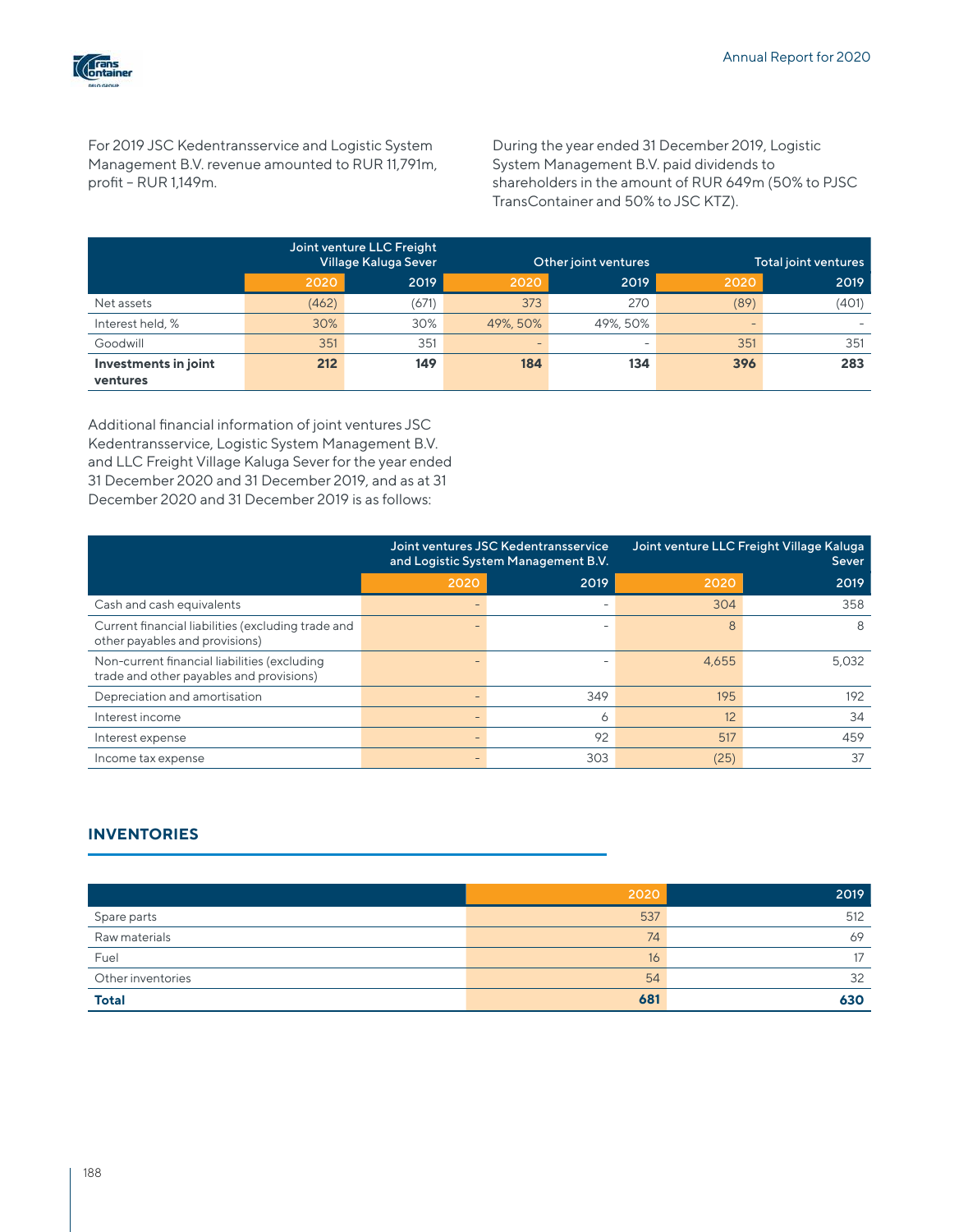

For 2019 JSC Kedentransservice and Logistic System Management B.V. revenue amounted to RUR 11,791m, profit – RUR 1,149m.

During the year ended 31 December 2019, Logistic System Management B.V. paid dividends to shareholders in the amount of RUR 649m (50% to PJSC TransContainer and 50% to JSC KTZ).

|                      |       | Joint venture LLC Freight<br>Village Kaluga Sever |                          | Other joint ventures     |                          | Total joint ventures |
|----------------------|-------|---------------------------------------------------|--------------------------|--------------------------|--------------------------|----------------------|
|                      | 2020  | 2019                                              | 2020                     | 2019                     | 2020                     | 2019                 |
| Net assets           | (462) | (671)                                             | 373                      | 270                      | (89)                     | (401)                |
| Interest held, %     | 30%   | 30%                                               | 49%, 50%                 | 49%, 50%                 | $\overline{\phantom{0}}$ |                      |
| Goodwill             | 351   | 351                                               | $\overline{\phantom{a}}$ | $\overline{\phantom{a}}$ | 351                      | 351                  |
| Investments in joint | 212   | 149                                               | 184                      | 134                      | 396                      | 283                  |
| ventures             |       |                                                   |                          |                          |                          |                      |

Additional financial information of joint ventures JSC Kedentransservice, Logistic System Management B.V. and LLC Freight Village Kaluga Sever for the year ended 31 December 2020 and 31 December 2019, and as at 31 December 2020 and 31 December 2019 is as follows:

|                                                                                          | Joint ventures JSC Kedentransservice<br>and Logistic System Management B.V. |         | Joint venture LLC Freight Village Kaluga<br>Sever |       |
|------------------------------------------------------------------------------------------|-----------------------------------------------------------------------------|---------|---------------------------------------------------|-------|
|                                                                                          | 2020                                                                        | 2019    | 2020                                              | 2019  |
| Cash and cash equivalents                                                                |                                                                             |         | 304                                               | 358   |
| Current financial liabilities (excluding trade and<br>other payables and provisions)     |                                                                             |         |                                                   | 8     |
| Non-current financial liabilities (excluding<br>trade and other payables and provisions) |                                                                             |         | 4,655                                             | 5,032 |
| Depreciation and amortisation                                                            |                                                                             | 349     | 195                                               | 192   |
| Interest income                                                                          |                                                                             | $\circ$ | 12                                                | 34    |
| Interest expense                                                                         |                                                                             | 92      | 517                                               | 459   |
| Income tax expense                                                                       |                                                                             | 303     | (25)                                              | 37    |

## **INVENTORIES**

|                   | 2020 | 2019 |
|-------------------|------|------|
| Spare parts       | 537  | 512  |
| Raw materials     | 74   | 69   |
| Fuel              | 16   | 17   |
| Other inventories | 54   | 32   |
| <b>Total</b>      | 681  | 630  |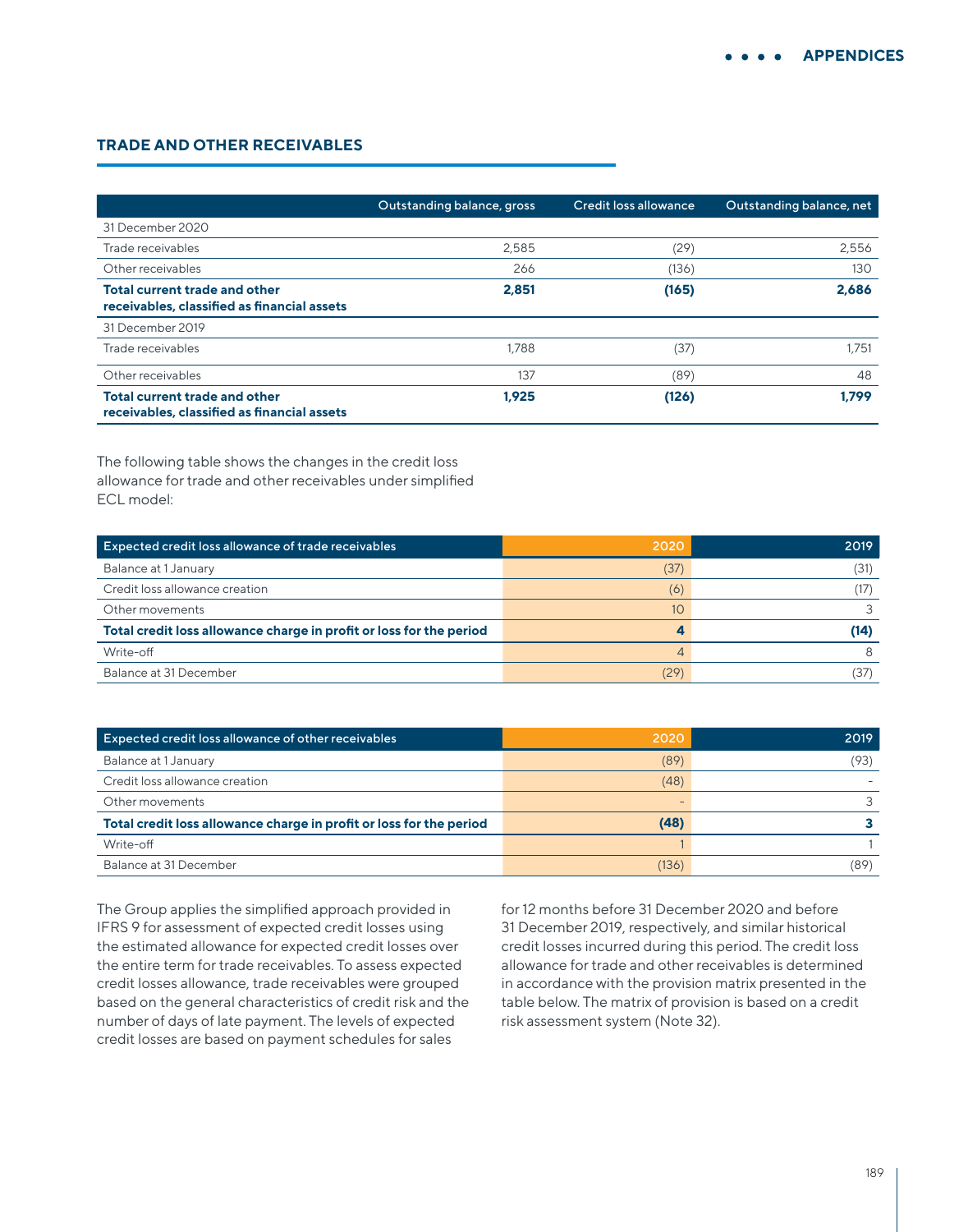## **TRADE AND OTHER RECEIVABLES**

|                                                                                     | Outstanding balance, gross | Credit loss allowance | Outstanding balance, net |
|-------------------------------------------------------------------------------------|----------------------------|-----------------------|--------------------------|
| 31 December 2020                                                                    |                            |                       |                          |
| Trade receivables                                                                   | 2,585                      | (29)                  | 2,556                    |
| Other receivables                                                                   | 266                        | (136)                 | 130                      |
| Total current trade and other<br>receivables, classified as financial assets        | 2.851                      | (165)                 | 2.686                    |
| 31 December 2019                                                                    |                            |                       |                          |
| Trade receivables                                                                   | 1.788                      | (37)                  | 1.751                    |
| Other receivables                                                                   | 137                        | (89)                  | 48                       |
| <b>Total current trade and other</b><br>receivables, classified as financial assets | 1.925                      | (126)                 | 1.799                    |

The following table shows the changes in the credit loss allowance for trade and other receivables under simplified ECL model:

| Expected credit loss allowance of trade receivables                 | 2020 | 2019 |
|---------------------------------------------------------------------|------|------|
| Balance at 1 January                                                | (37  | (31) |
| Credit loss allowance creation                                      | (6)  |      |
| Other movements                                                     | 10   |      |
| Total credit loss allowance charge in profit or loss for the period |      | (14) |
| Write-off                                                           |      |      |
| Balance at 31 December                                              | (29  |      |

| Expected credit loss allowance of other receivables                 | 2020  | 2019 |
|---------------------------------------------------------------------|-------|------|
| Balance at 1 January                                                | (89)  | (93) |
| Credit loss allowance creation                                      | (48)  |      |
| Other movements                                                     | -     |      |
| Total credit loss allowance charge in profit or loss for the period | (48)  |      |
| Write-off                                                           |       |      |
| Balance at 31 December                                              | (136) | (89) |

The Group applies the simplified approach provided in IFRS 9 for assessment of expected credit losses using the estimated allowance for expected credit losses over the entire term for trade receivables. To assess expected credit losses allowance, trade receivables were grouped based on the general characteristics of credit risk and the number of days of late payment. The levels of expected credit losses are based on payment schedules for sales

for 12 months before 31 December 2020 and before 31 December 2019, respectively, and similar historical credit losses incurred during this period. The credit loss allowance for trade and other receivables is determined in accordance with the provision matrix presented in the table below. The matrix of provision is based on a credit risk assessment system (Note 32).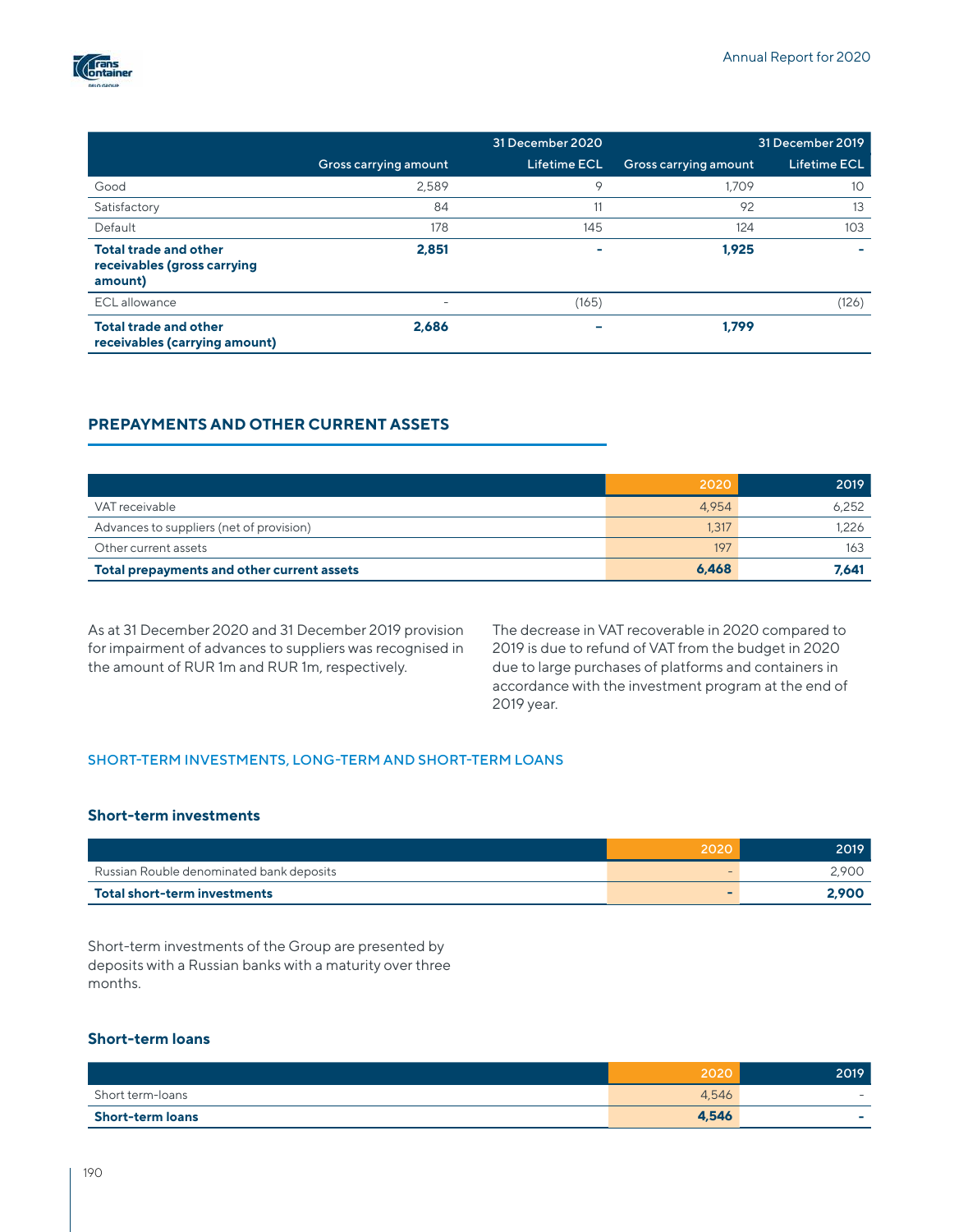

|                                                                        |                          | 31 December 2020 |                       | 31 December 2019    |
|------------------------------------------------------------------------|--------------------------|------------------|-----------------------|---------------------|
|                                                                        | Gross carrying amount    | Lifetime ECL     | Gross carrying amount | <b>Lifetime ECL</b> |
| Good                                                                   | 2,589                    | 9                | 1.709                 | 10                  |
| Satisfactory                                                           | 84                       | 11               | 92                    | 13                  |
| Default                                                                | 178                      | 145              | 124                   | 103                 |
| <b>Total trade and other</b><br>receivables (gross carrying<br>amount) | 2,851                    | $\sim$           | 1.925                 |                     |
| ECL allowance                                                          | $\overline{\phantom{0}}$ | (165)            |                       | (126)               |
| <b>Total trade and other</b><br>receivables (carrying amount)          | 2,686                    |                  | 1.799                 |                     |

# **PREPAYMENTS AND OTHER CURRENT ASSETS**

|                                            | 2020  | 2019  |
|--------------------------------------------|-------|-------|
| VAT receivable                             | 4.954 | 6.252 |
| Advances to suppliers (net of provision)   | 1,317 | 1.226 |
| Other current assets                       | 197   | 163   |
| Total prepayments and other current assets | 6.468 | 7,641 |

As at 31 December 2020 and 31 December 2019 provision for impairment of advances to suppliers was recognised in the amount of RUR 1m and RUR 1m, respectively.

The decrease in VAT recoverable in 2020 compared to 2019 is due to refund of VAT from the budget in 2020 due to large purchases of platforms and containers in accordance with the investment program at the end of 2019 year.

#### SHORT-TERM INVESTMENTS, LONG-TERM AND SHORT-TERM LOANS

## **Short-term investments**

|                                          | 2020 | 2019 ' |
|------------------------------------------|------|--------|
| Russian Rouble denominated bank deposits |      | 2.900  |
| Total short-term investments             |      | 2.900  |

Short-term investments of the Group are presented by deposits with a Russian banks with a maturity over three months.

## **Short-term loans**

|                         | 2020  | 2019                     |
|-------------------------|-------|--------------------------|
| Short term-loans        | 4,546 | $\overline{\phantom{0}}$ |
| <b>Short-term loans</b> | 4,546 | -                        |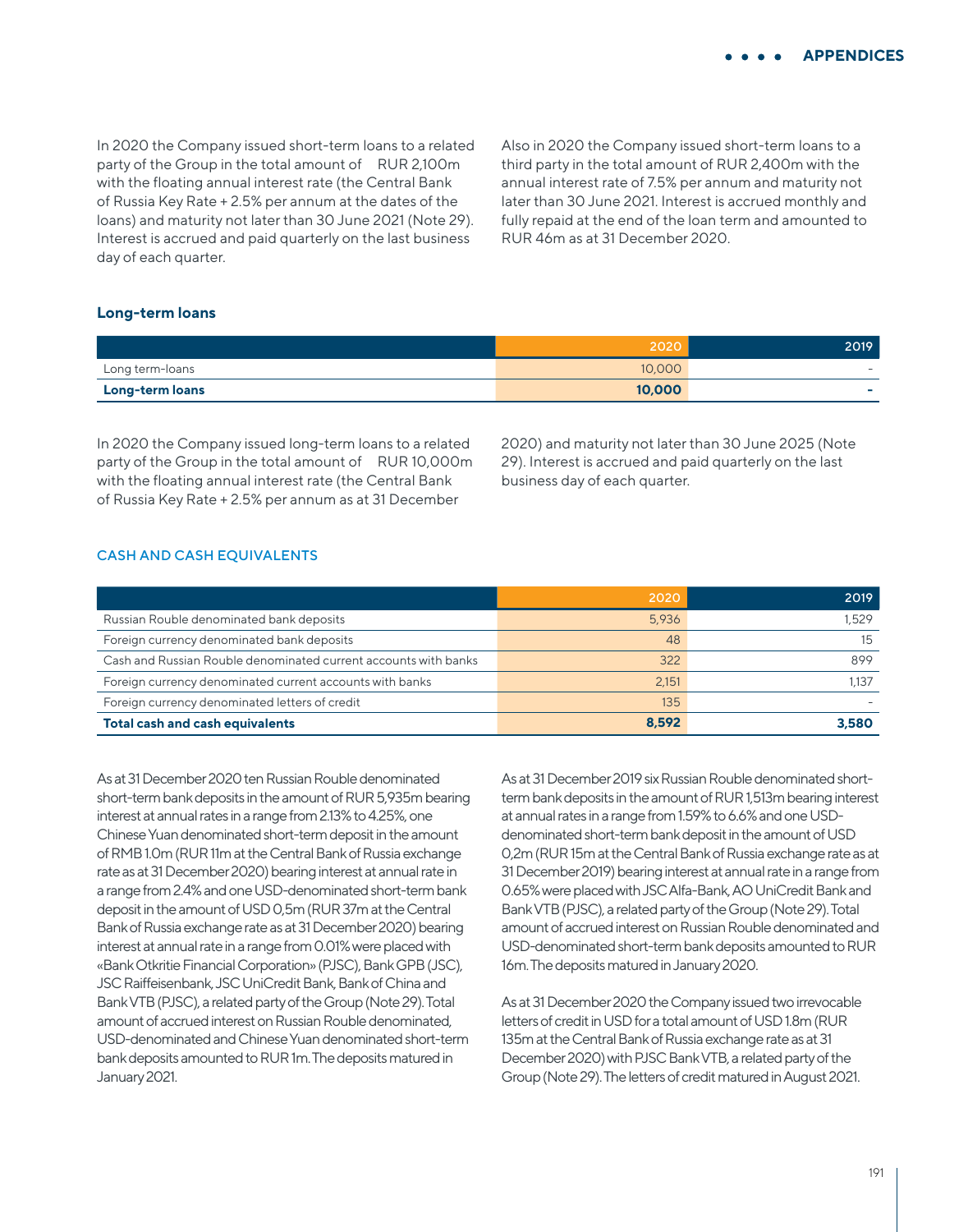In 2020 the Company issued short-term loans to a related party of the Group in the total amount of RUR 2,100m with the floating annual interest rate (the Central Bank of Russia Key Rate + 2.5% per annum at the dates of the loans) and maturity not later than 30 June 2021 (Note 29). Interest is accrued and paid quarterly on the last business day of each quarter.

Also in 2020 the Company issued short-term loans to a third party in the total amount of RUR 2,400m with the annual interest rate of 7.5% per annum and maturity not later than 30 June 2021. Interest is accrued monthly and fully repaid at the end of the loan term and amounted to RUR 46m as at 31 December 2020.

### **Long-term loans**

|                 | 2020   | 2019                     |
|-----------------|--------|--------------------------|
| Long term-loans | 10,000 | -                        |
| Long-term loans | 10,000 | $\overline{\phantom{a}}$ |

In 2020 the Company issued long-term loans to a related party of the Group in the total amount of RUR 10,000m with the floating annual interest rate (the Central Bank of Russia Key Rate + 2.5% per annum as at 31 December

2020) and maturity not later than 30 June 2025 (Note 29). Interest is accrued and paid quarterly on the last business day of each quarter.

#### CASH AND CASH EQUIVALENTS

|                                                                 | 2020  | 2019  |
|-----------------------------------------------------------------|-------|-------|
| Russian Rouble denominated bank deposits                        | 5.936 | .529  |
| Foreign currency denominated bank deposits                      | 48    | 15    |
| Cash and Russian Rouble denominated current accounts with banks | 322   | 899   |
| Foreign currency denominated current accounts with banks        | 2,151 | .137  |
| Foreign currency denominated letters of credit                  | 135   |       |
| <b>Total cash and cash equivalents</b>                          | 8.592 | 3.580 |

As at 31 December 2020 ten Russian Rouble denominated short-term bank deposits in the amount of RUR 5,935m bearing interest at annual rates in a range from 2.13% to 4.25%, one Chinese Yuan denominated short-term deposit in the amount of RMB 1.0m (RUR 11m at the Central Bank of Russia exchange rate as at 31 December 2020) bearing interest at annual rate in a range from 2.4% and one USD-denominated short-term bank deposit in the amount of USD 0,5m (RUR 37m at the Central Bank of Russia exchange rate as at 31 December 2020) bearing interest at annual rate in a range from 0.01% were placed with «Bank Otkritie Financial Corporation» (PJSC), Bank GPB (JSC), JSC Raiffeisenbank, JSC UniCredit Bank, Bank of China and Bank VTB (PJSC), a related party of the Group (Note 29). Total amount of accrued interest on Russian Rouble denominated, USD-denominated and Chinese Yuan denominated short-term bank deposits amounted to RUR 1m. The deposits matured in January 2021.

As at 31 December 2019 six Russian Rouble denominated shortterm bank deposits in the amount of RUR 1,513m bearing interest at annual rates in a range from 1.59% to 6.6% and one USDdenominated short-term bank deposit in the amount of USD 0,2m (RUR 15m at the Central Bank of Russia exchange rate as at 31 December 2019) bearing interest at annual rate in a range from 0.65% were placed with JSC Alfa-Bank, AO UniCredit Bank and Bank VTB (PJSC), a related party of the Group (Note 29). Total amount of accrued interest on Russian Rouble denominated and USD-denominated short-term bank deposits amounted to RUR 16m. The deposits matured in January 2020.

As at 31 December 2020 the Company issued two irrevocable letters of credit in USD for a total amount of USD 1.8m (RUR 135m at the Central Bank of Russia exchange rate as at 31 December 2020) with PJSC Bank VTB, a related party of the Group (Note 29). The letters of credit matured in August 2021.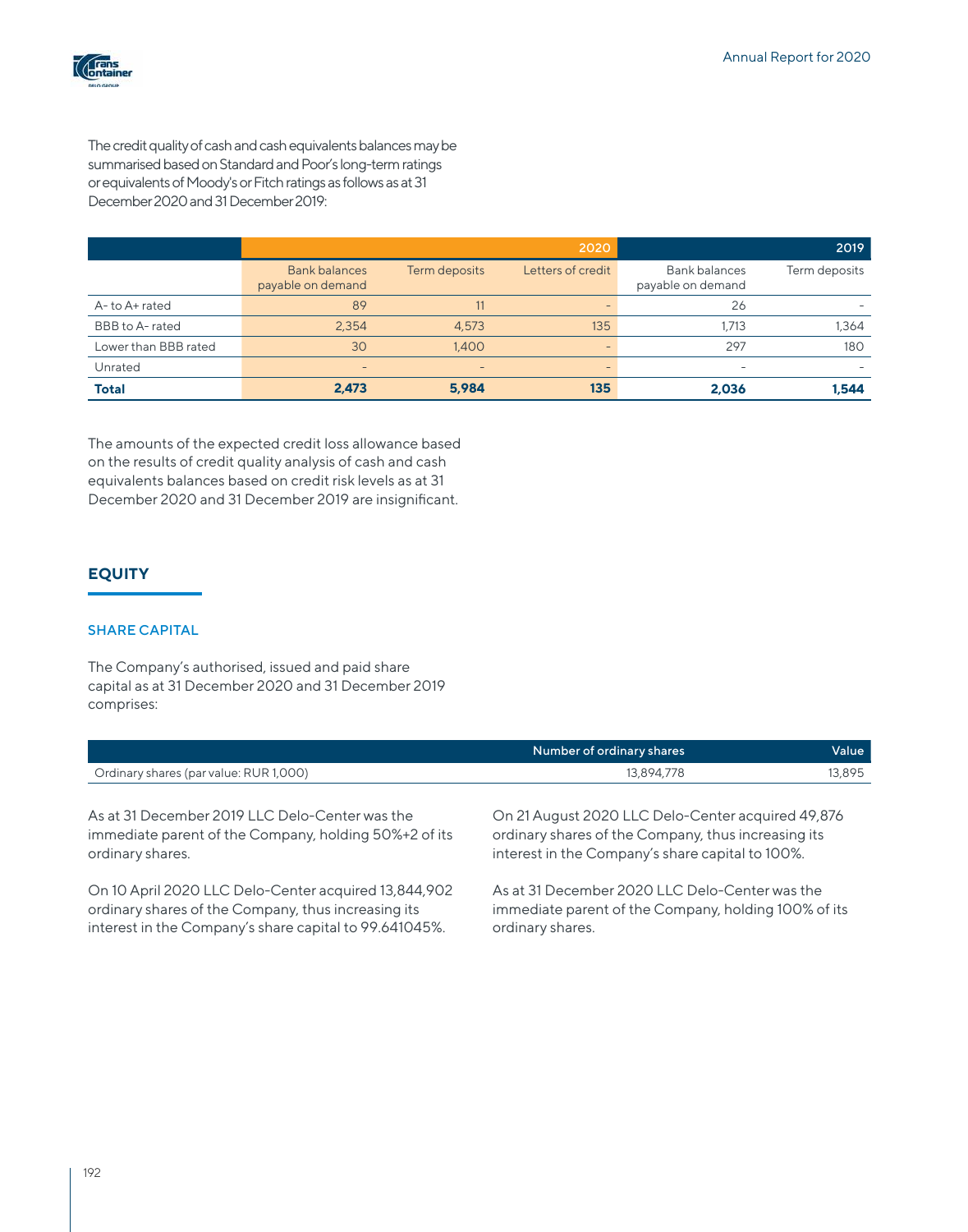

The credit quality of cash and cash equivalents balances may be summarised based on Standard and Poor's long-term ratings or equivalents of Moody's or Fitch ratings as follows as at 31 December 2020 and 31 December 2019:

|                      |                                           |               | 2020                     |                                    | 2019          |
|----------------------|-------------------------------------------|---------------|--------------------------|------------------------------------|---------------|
|                      | <b>Bank balances</b><br>payable on demand | Term deposits | Letters of credit        | Bank balances<br>payable on demand | Term deposits |
| A-to A+ rated        | 89                                        |               |                          | 26                                 |               |
| BBB to A-rated       | 2,354                                     | 4,573         | 135                      | 1,713                              | 1,364         |
| Lower than BBB rated | 30                                        | 1.400         | $\overline{\phantom{0}}$ | 297                                | 180           |
| Unrated              | $\overline{\phantom{0}}$                  |               |                          | $\overline{\phantom{a}}$           |               |
| <b>Total</b>         | 2,473                                     | 5,984         | 135                      | 2,036                              | 1,544         |

The amounts of the expected credit loss allowance based on the results of credit quality analysis of cash and cash equivalents balances based on credit risk levels as at 31 December 2020 and 31 December 2019 are insignificant.

# **EQUITY**

## SHARE CAPITAL

The Company's authorised, issued and paid share capital as at 31 December 2020 and 31 December 2019 comprises:

|                                        | Number of ordinary shares | Value  |
|----------------------------------------|---------------------------|--------|
| Ordinary shares (par value: RUR 1,000) | 13.894.778                | 13,895 |
|                                        |                           |        |

As at 31 December 2019 LLC Delo-Center was the immediate parent of the Company, holding 50%+2 of its ordinary shares.

On 10 April 2020 LLC Delo-Center acquired 13,844,902 ordinary shares of the Company, thus increasing its interest in the Company's share capital to 99.641045%.

On 21 August 2020 LLC Delo-Center acquired 49,876 ordinary shares of the Company, thus increasing its interest in the Company's share capital to 100%.

As at 31 December 2020 LLC Delo-Center was the immediate parent of the Company, holding 100% of its ordinary shares.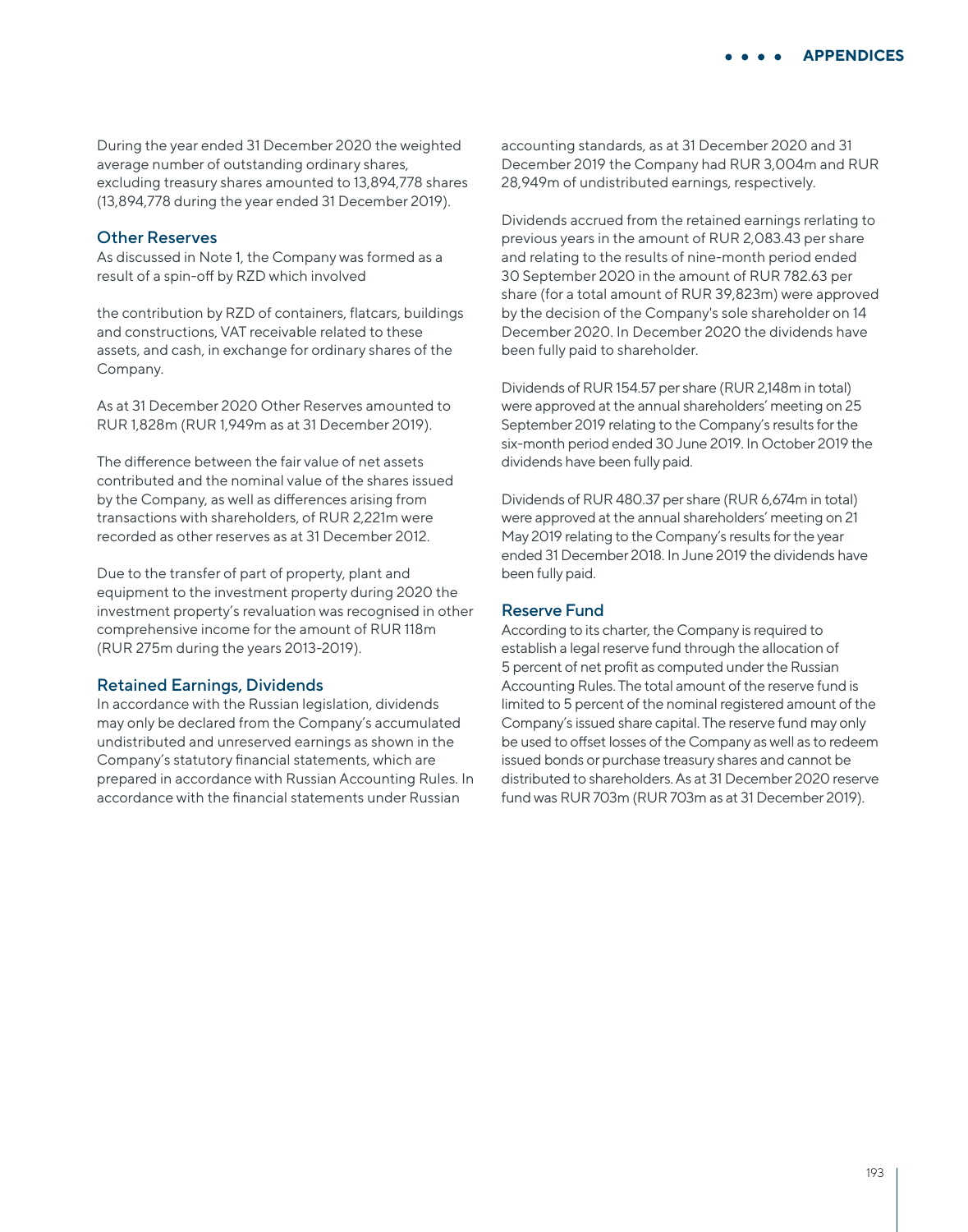During the year ended 31 December 2020 the weighted average number of outstanding ordinary shares, excluding treasury shares amounted to 13,894,778 shares (13,894,778 during the year ended 31 December 2019).

#### Other Reserves

As discussed in Note 1, the Company was formed as a result of a spin-off by RZD which involved

the contribution by RZD of containers, flatcars, buildings and constructions, VAT receivable related to these assets, and cash, in exchange for ordinary shares of the Company.

As at 31 December 2020 Other Reserves amounted to RUR 1,828m (RUR 1,949m as at 31 December 2019).

The difference between the fair value of net assets contributed and the nominal value of the shares issued by the Company, as well as differences arising from transactions with shareholders, of RUR 2,221m were recorded as other reserves as at 31 December 2012.

Due to the transfer of part of property, plant and equipment to the investment property during 2020 the investment property's revaluation was recognised in other comprehensive income for the amount of RUR 118m (RUR 275m during the years 2013-2019).

#### Retained Earnings, Dividends

In accordance with the Russian legislation, dividends may only be declared from the Company's accumulated undistributed and unreserved earnings as shown in the Company's statutory financial statements, which are prepared in accordance with Russian Accounting Rules. In accordance with the financial statements under Russian

accounting standards, as at 31 December 2020 and 31 December 2019 the Company had RUR 3,004m and RUR 28,949m of undistributed earnings, respectively.

Dividends accrued from the retained earnings rerlating to previous years in the amount of RUR 2,083.43 per share and relating to the results of nine-month period ended 30 September 2020 in the amount of RUR 782.63 per share (for a total amount of RUR 39,823m) were approved by the decision of the Company's sole shareholder on 14 December 2020. In December 2020 the dividends have been fully paid to shareholder.

Dividends of RUR 154.57 per share (RUR 2,148m in total) were approved at the annual shareholders' meeting on 25 September 2019 relating to the Company's results for the six-month period ended 30 June 2019. In October 2019 the dividends have been fully paid.

Dividends of RUR 480.37 per share (RUR 6,674m in total) were approved at the annual shareholders' meeting on 21 May 2019 relating to the Company's results for the year ended 31 December 2018. In June 2019 the dividends have been fully paid.

#### Reserve Fund

According to its charter, the Company is required to establish a legal reserve fund through the allocation of 5 percent of net profit as computed under the Russian Accounting Rules. The total amount of the reserve fund is limited to 5 percent of the nominal registered amount of the Company's issued share capital. The reserve fund may only be used to offset losses of the Company as well as to redeem issued bonds or purchase treasury shares and cannot be distributed to shareholders. As at 31 December 2020 reserve fund was RUR 703m (RUR 703m as at 31 December 2019).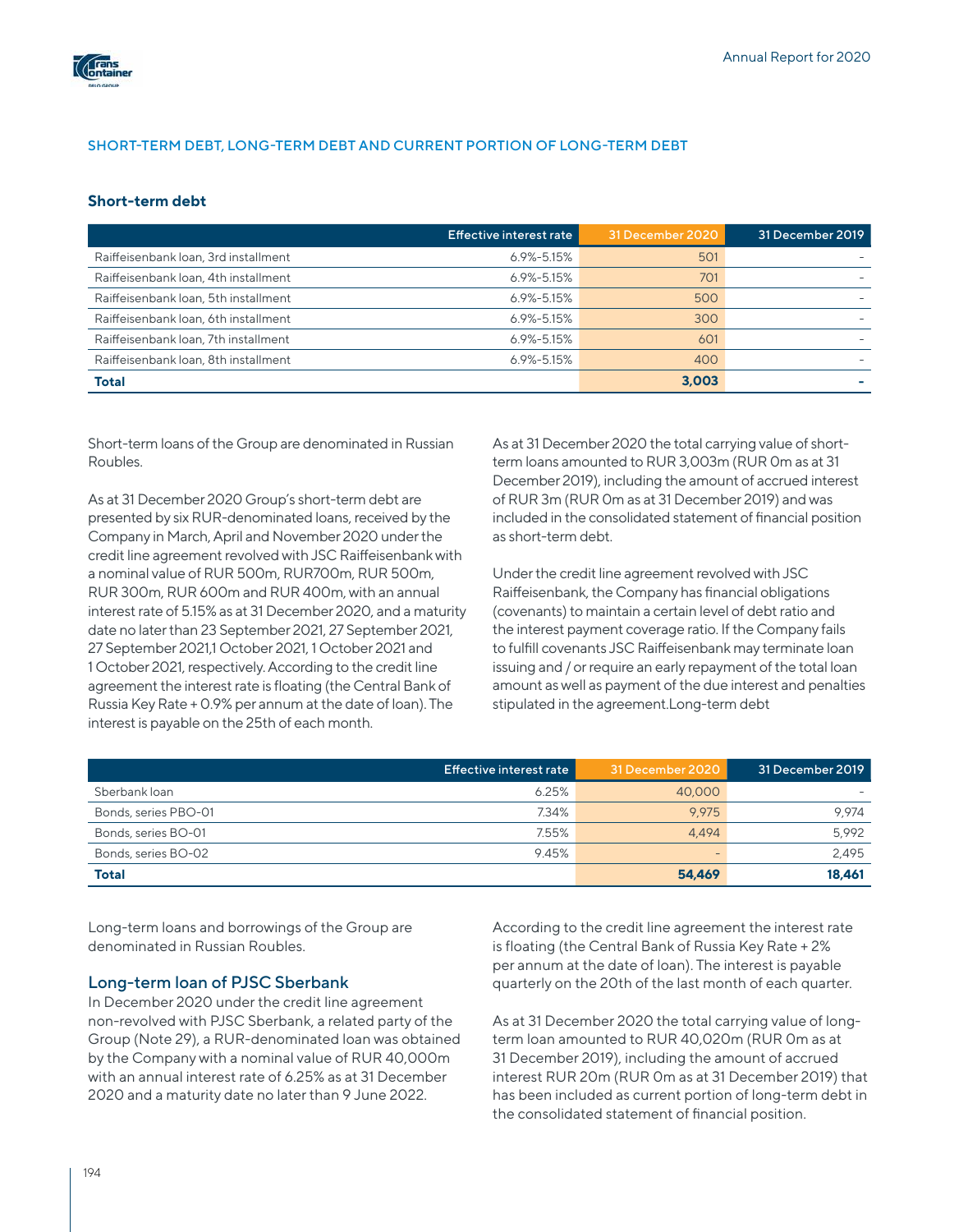

## SHORT-TERM DEBT, LONG-TERM DEBT AND CURRENT PORTION OF LONG-TERM DEBT

### **Short-term debt**

|                                      | Effective interest rate | 31 December 2020 | 31 December 2019 |
|--------------------------------------|-------------------------|------------------|------------------|
| Raiffeisenbank loan, 3rd installment | $6.9\% - 5.15\%$        | 501              |                  |
| Raiffeisenbank loan, 4th installment | $6.9\% - 5.15\%$        | 701              |                  |
| Raiffeisenbank loan, 5th installment | $6.9\% - 5.15\%$        | 500              |                  |
| Raiffeisenbank loan, 6th installment | $6.9\% - 5.15\%$        | 300              |                  |
| Raiffeisenbank loan, 7th installment | $6.9\% - 5.15\%$        | 601              |                  |
| Raiffeisenbank loan, 8th installment | $6.9\% - 5.15\%$        | 400              |                  |
| <b>Total</b>                         |                         | 3.003            |                  |

Short-term loans of the Group are denominated in Russian Roubles.

As at 31 December 2020 Group's short-term debt are presented by six RUR-denominated loans, received by the Company in March, April and November 2020 under the credit line agreement revolved with JSC Raiffeisenbank with a nominal value of RUR 500m, RUR700m, RUR 500m, RUR 300m, RUR 600m and RUR 400m, with an annual interest rate of 5.15% as at 31 December 2020, and a maturity date no later than 23 September 2021, 27 September 2021, 27 September 2021,1 October 2021, 1 October 2021 and 1 October 2021, respectively. According to the credit line agreement the interest rate is floating (the Central Bank of Russia Key Rate + 0.9% per annum at the date of loan). The interest is payable on the 25th of each month.

As at 31 December 2020 the total carrying value of shortterm loans amounted to RUR 3,003m (RUR 0m as at 31 December 2019), including the amount of accrued interest of RUR 3m (RUR 0m as at 31 December 2019) and was included in the consolidated statement of financial position as short-term debt.

Under the credit line agreement revolved with JSC Raiffeisenbank, the Company has financial obligations (covenants) to maintain a certain level of debt ratio and the interest payment coverage ratio. If the Company fails to fulfill covenants JSC Raiffeisenbank may terminate loan issuing and / or require an early repayment of the total loan amount as well as payment of the due interest and penalties stipulated in the agreement.Long-term debt

|                      | Effective interest rate | 31 December 2020         | 31 December 2019 |
|----------------------|-------------------------|--------------------------|------------------|
| Sberbank loan        | 6.25%                   | 40,000                   |                  |
| Bonds, series PBO-01 | 7.34%                   | 9.975                    | 9.974            |
| Bonds, series BO-01  | 7.55%                   | 4.494                    | 5.992            |
| Bonds, series BO-02  | 9.45%                   | $\overline{\phantom{a}}$ | 2.495            |
| <b>Total</b>         |                         | 54,469                   | 18.461           |

Long-term loans and borrowings of the Group are denominated in Russian Roubles.

#### Long-term loan of PJSC Sberbank

In December 2020 under the credit line agreement non-revolved with PJSC Sberbank, a related party of the Group (Note 29), a RUR-denominated loan was obtained by the Company with a nominal value of RUR 40,000m with an annual interest rate of 6.25% as at 31 December 2020 and a maturity date no later than 9 June 2022.

According to the credit line agreement the interest rate is floating (the Central Bank of Russia Key Rate + 2% per annum at the date of loan). The interest is payable quarterly on the 20th of the last month of each quarter.

As at 31 December 2020 the total carrying value of longterm loan amounted to RUR 40,020m (RUR 0m as at 31 December 2019), including the amount of accrued interest RUR 20m (RUR 0m as at 31 December 2019) that has been included as current portion of long-term debt in the consolidated statement of financial position.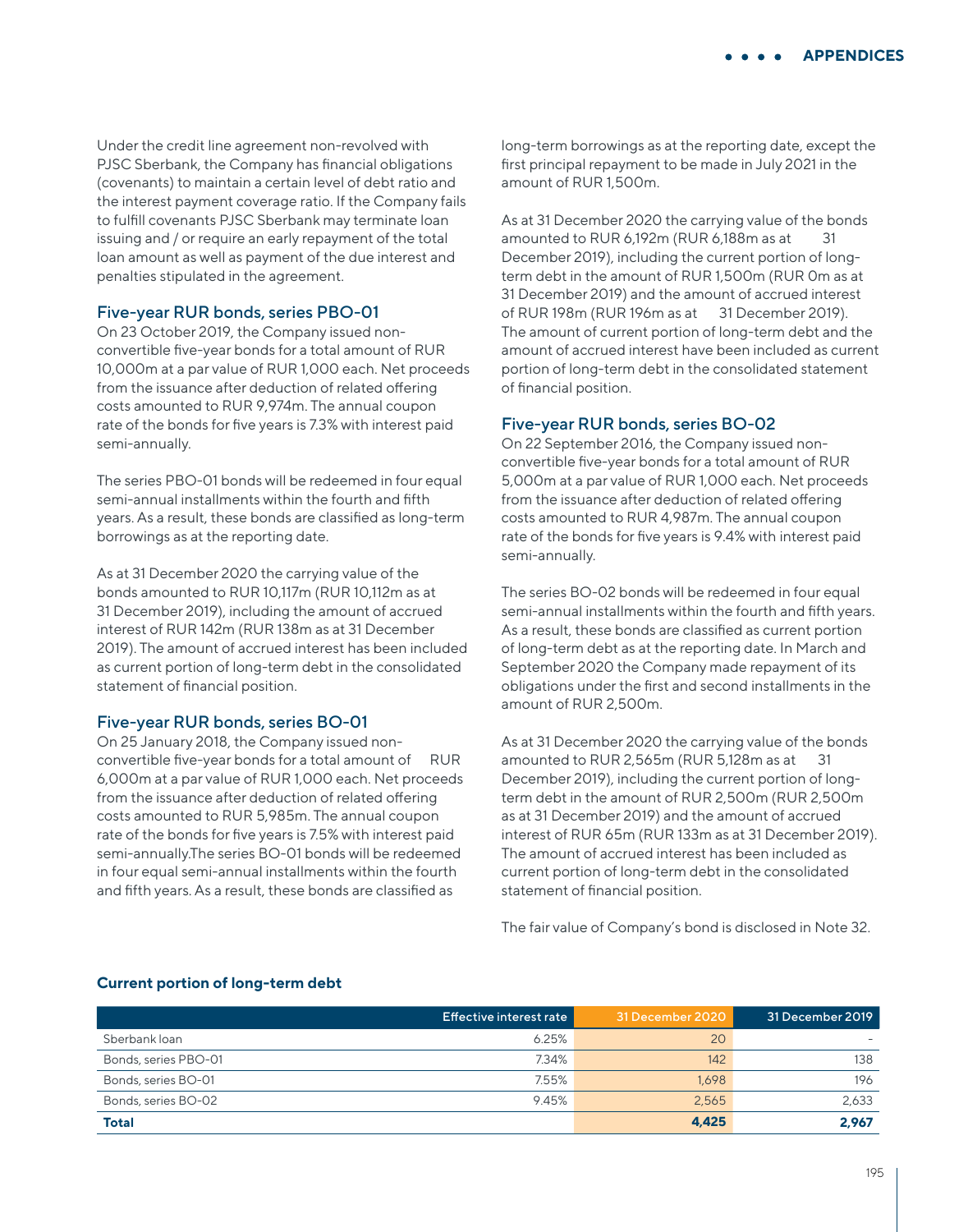Under the credit line agreement non-revolved with PJSC Sberbank, the Company has financial obligations (covenants) to maintain a certain level of debt ratio and the interest payment coverage ratio. If the Company fails to fulfill covenants PJSC Sberbank may terminate loan issuing and / or require an early repayment of the total loan amount as well as payment of the due interest and penalties stipulated in the agreement.

## Five-year RUR bonds, series PBO-01

On 23 October 2019, the Company issued nonconvertible five-year bonds for a total amount of RUR 10,000m at a par value of RUR 1,000 each. Net proceeds from the issuance after deduction of related offering costs amounted to RUR 9,974m. The annual coupon rate of the bonds for five years is 7.3% with interest paid semi-annually.

The series PBO-01 bonds will be redeemed in four equal semi-annual installments within the fourth and fifth years. As a result, these bonds are classified as long-term borrowings as at the reporting date.

As at 31 December 2020 the carrying value of the bonds amounted to RUR 10,117m (RUR 10,112m as at 31 December 2019), including the amount of accrued interest of RUR 142m (RUR 138m as at 31 December 2019). The amount of accrued interest has been included as current portion of long-term debt in the consolidated statement of financial position.

## Five-year RUR bonds, series BO-01

On 25 January 2018, the Company issued nonconvertible five-year bonds for a total amount of RUR 6,000m at a par value of RUR 1,000 each. Net proceeds from the issuance after deduction of related offering costs amounted to RUR 5,985m. The annual coupon rate of the bonds for five years is 7.5% with interest paid semi-annually.The series BO-01 bonds will be redeemed in four equal semi-annual installments within the fourth and fifth years. As a result, these bonds are classified as

long-term borrowings as at the reporting date, except the first principal repayment to be made in July 2021 in the amount of RUR 1,500m.

As at 31 December 2020 the carrying value of the bonds amounted to RUR 6,192m (RUR 6,188m as at 31 December 2019), including the current portion of longterm debt in the amount of RUR 1,500m (RUR 0m as at 31 December 2019) and the amount of accrued interest of RUR 198m (RUR 196m as at 31 December 2019). The amount of current portion of long-term debt and the amount of accrued interest have been included as current portion of long-term debt in the consolidated statement of financial position.

### Five-year RUR bonds, series BO-02

On 22 September 2016, the Company issued nonconvertible five-year bonds for a total amount of RUR 5,000m at a par value of RUR 1,000 each. Net proceeds from the issuance after deduction of related offering costs amounted to RUR 4,987m. The annual coupon rate of the bonds for five years is 9.4% with interest paid semi-annually.

The series BO-02 bonds will be redeemed in four equal semi-annual installments within the fourth and fifth years. As a result, these bonds are classified as current portion of long-term debt as at the reporting date. In March and September 2020 the Company made repayment of its obligations under the first and second installments in the amount of RUR 2,500m.

As at 31 December 2020 the carrying value of the bonds amounted to RUR 2,565m (RUR 5,128m as at 31 December 2019), including the current portion of longterm debt in the amount of RUR 2,500m (RUR 2,500m as at 31 December 2019) and the amount of accrued interest of RUR 65m (RUR 133m as at 31 December 2019). The amount of accrued interest has been included as current portion of long-term debt in the consolidated statement of financial position.

The fair value of Company's bond is disclosed in Note 32.

#### **Current portion of long-term debt**

|                      | Effective interest rate | 31 December 2020 | 31 December 2019 |
|----------------------|-------------------------|------------------|------------------|
| Sberbank loan        | 6.25%                   | 20               |                  |
| Bonds, series PBO-01 | 7.34%                   | 142              | 138              |
| Bonds, series BO-01  | 7.55%                   | 1.698            | 196              |
| Bonds, series BO-02  | 9.45%                   | 2.565            | 2.633            |
| <b>Total</b>         |                         | 4,425            | 2.967            |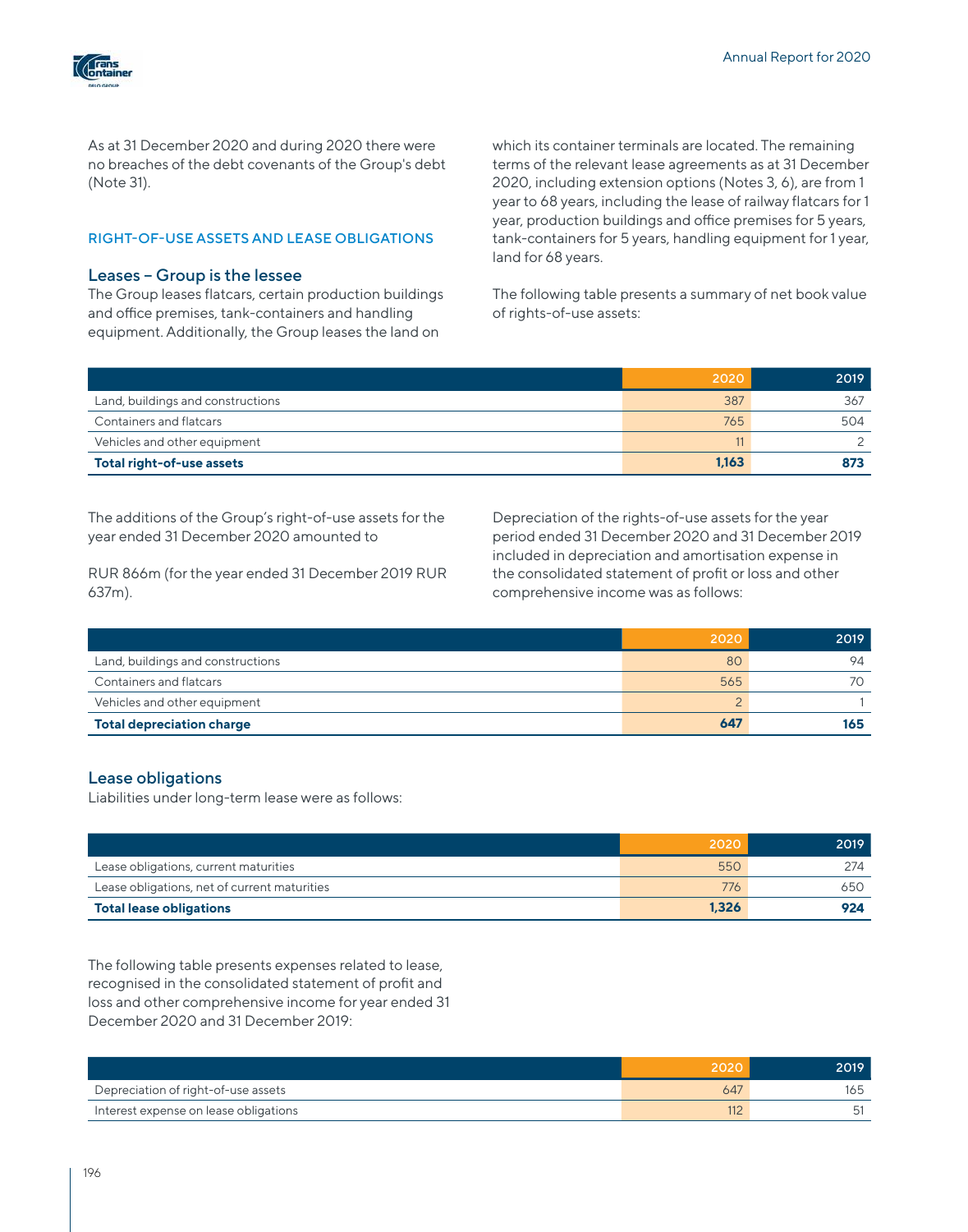

As at 31 December 2020 and during 2020 there were no breaches of the debt covenants of the Group's debt (Note 31).

#### RIGHT-OF-USE ASSETS AND LEASE OBLIGATIONS

#### Leases – Group is the lessee

The Group leases flatcars, certain production buildings and office premises, tank-containers and handling equipment. Additionally, the Group leases the land on

which its container terminals are located. The remaining terms of the relevant lease agreements as at 31 December 2020, including extension options (Notes 3, 6), are from 1 year to 68 years, including the lease of railway flatcars for 1 year, production buildings and office premises for 5 years, tank-containers for 5 years, handling equipment fоr 1 year, land for 68 years.

The following table presents a summary of net book value of rights-of-use assets:

|                                   | 2020  | 2019 |
|-----------------------------------|-------|------|
| Land, buildings and constructions | 387   | 367  |
| Containers and flatcars           | 765   | 504  |
| Vehicles and other equipment      |       |      |
| Total right-of-use assets         | 1.163 | 873  |

The additions of the Group's right-of-use assets for the year ended 31 December 2020 amounted to

RUR 866m (for the year ended 31 December 2019 RUR 637m).

Depreciation of the rights-of-use assets for the year period ended 31 December 2020 and 31 December 2019 included in depreciation and amortisation expense in the consolidated statement of profit or loss and other comprehensive income was as follows:

|                                   | 2020 | 2019 |
|-----------------------------------|------|------|
| Land, buildings and constructions | 80   | 94   |
| <b>Containers and flatcars</b>    | 565  |      |
| Vehicles and other equipment      |      |      |
| <b>Total depreciation charge</b>  | 647  | 165  |

### Lease obligations

Liabilities under long-term lease were as follows:

|                                              | 2020  | 2019 |
|----------------------------------------------|-------|------|
| Lease obligations, current maturities        | 550   | 274  |
| Lease obligations, net of current maturities | 776   | 650  |
| <b>Total lease obligations</b>               | 1,326 | 924  |

The following table presents expenses related to lease, recognised in the consolidated statement of profit and loss and other comprehensive income for year ended 31 December 2020 and 31 December 2019:

|                                       | 2020 | 2019. |
|---------------------------------------|------|-------|
| Depreciation of right-of-use assets   | 647  |       |
| Interest expense on lease obligations |      |       |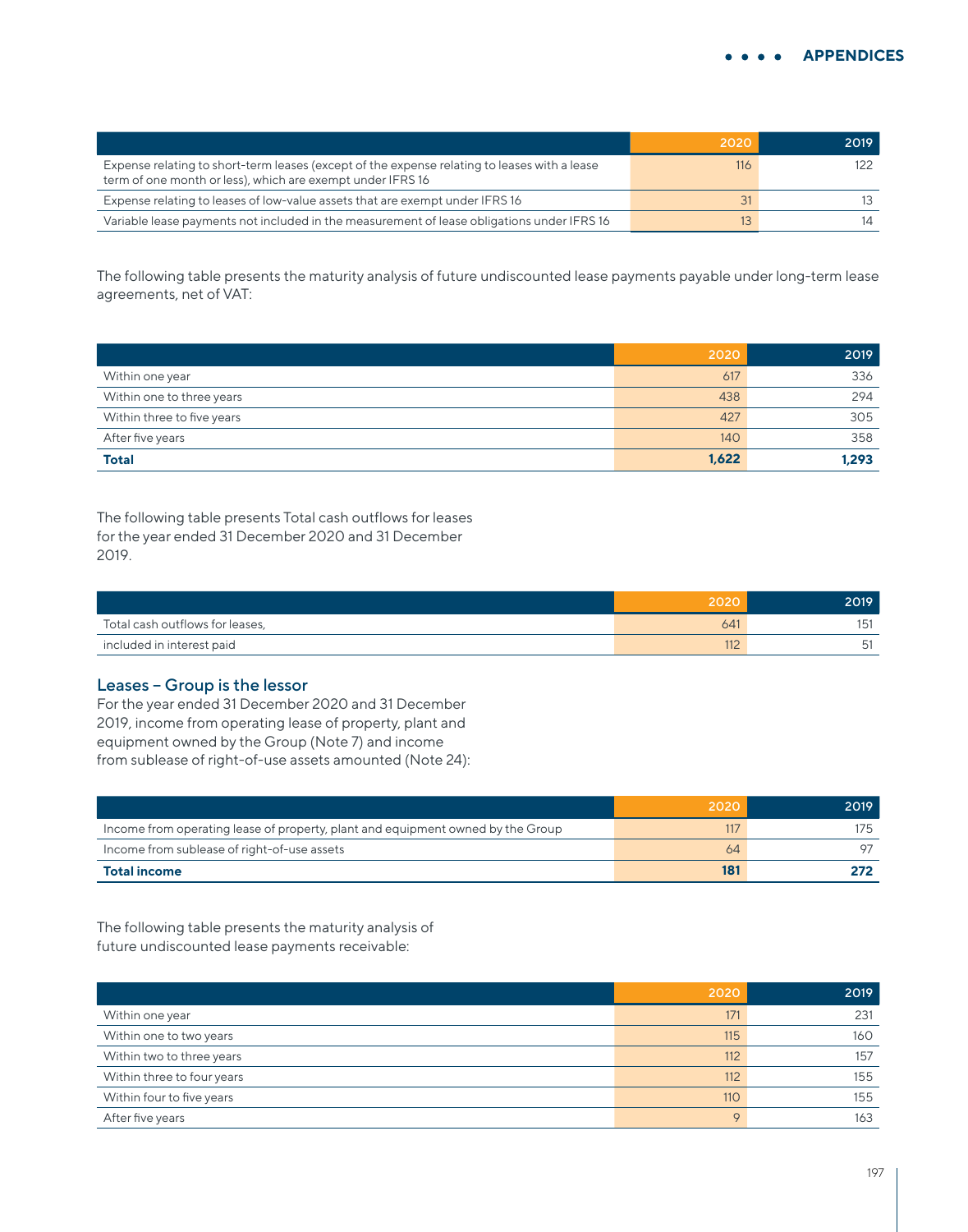|                                                                                                                                                            | 2020 | 2019 |
|------------------------------------------------------------------------------------------------------------------------------------------------------------|------|------|
| Expense relating to short-term leases (except of the expense relating to leases with a lease<br>term of one month or less), which are exempt under IFRS 16 | 116  |      |
| Expense relating to leases of low-value assets that are exempt under IFRS 16                                                                               | 31   |      |
| Variable lease payments not included in the measurement of lease obligations under IFRS 16                                                                 | 13.  |      |

The following table presents the maturity analysis of future undiscounted lease payments payable under long-term lease agreements, net of VAT:

|                            | 2020  | 2019  |
|----------------------------|-------|-------|
| Within one year            | 617   | 336   |
| Within one to three years  | 438   | 294   |
| Within three to five years | 427   | 305   |
| After five years           | 140   | 358   |
| <b>Total</b>               | 1,622 | 1,293 |

The following table presents Total cash outflows for leases for the year ended 31 December 2020 and 31 December 2019.

|                                 | 2020 | 2019 |
|---------------------------------|------|------|
| Total cash outflows for leases, | 641  | 15   |
| included in interest paid       |      |      |

## Leases – Group is the lessor

For the year ended 31 December 2020 and 31 December 2019, income from operating lease of property, plant and equipment owned by the Group (Note 7) and income from sublease of right-of-use assets amounted (Note 24):

|                                                                                 | 2020 | 2019 |
|---------------------------------------------------------------------------------|------|------|
| Income from operating lease of property, plant and equipment owned by the Group |      | 75   |
| Income from sublease of right-of-use assets                                     | 64   |      |
| <b>Total income</b>                                                             | 181  |      |

The following table presents the maturity analysis of future undiscounted lease payments receivable:

|                            | 2020 | 2019 |
|----------------------------|------|------|
| Within one year            | 171  | 231  |
| Within one to two years    | 115  | 160  |
| Within two to three years  | 112  | 157  |
| Within three to four years | 112  | 155  |
| Within four to five years  | 110  | 155  |
| After five years           |      | 163  |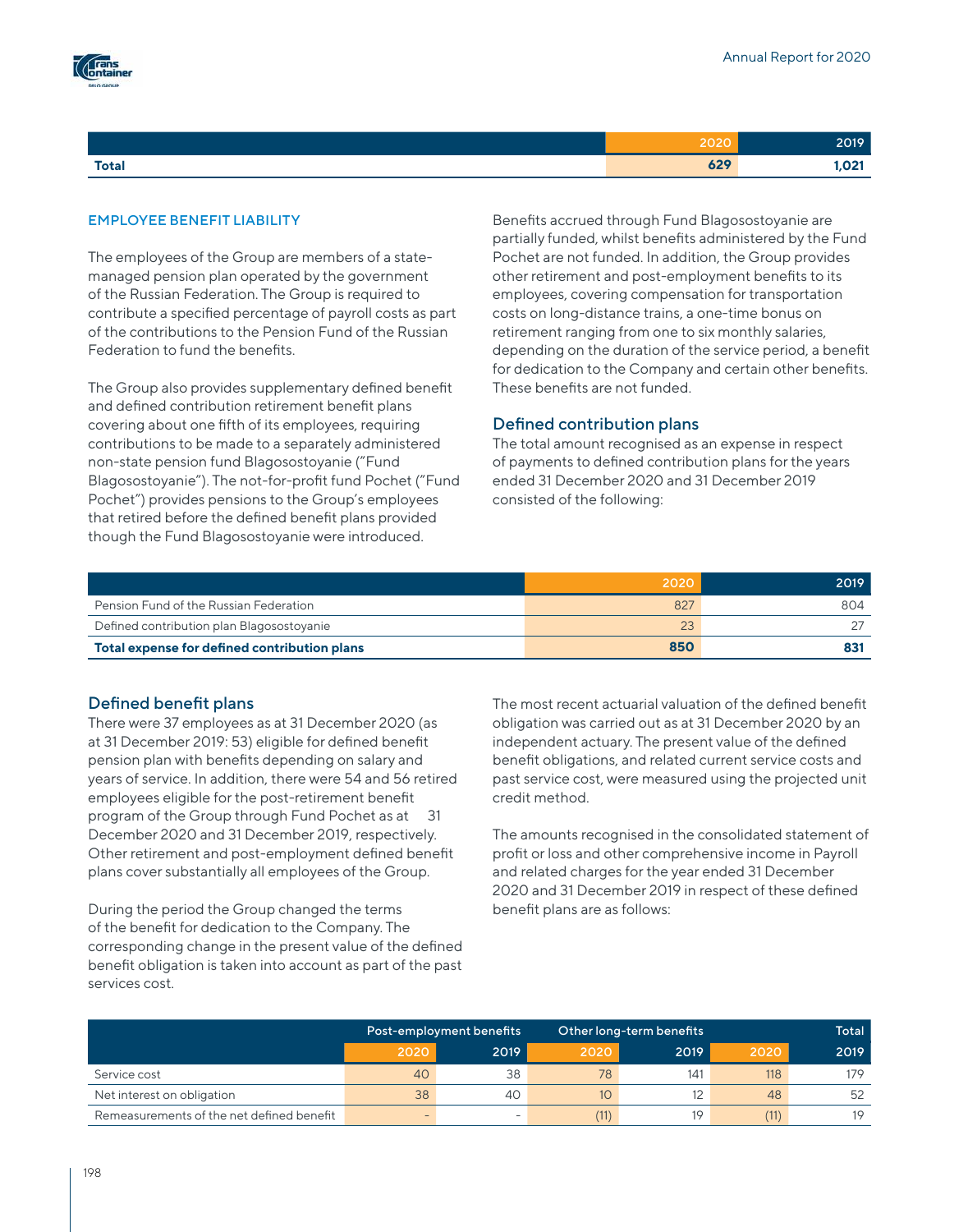

|              | 2020 | 2019  |
|--------------|------|-------|
| <b>Total</b> | 629  | 1,021 |

## EMPLOYEE BENEFIT LIABILITY

The employees of the Group are members of a statemanaged pension plan operated by the government of the Russian Federation. The Group is required to contribute a specified percentage of payroll costs as part of the contributions to the Pension Fund of the Russian Federation to fund the benefits.

The Group also provides supplementary defined benefit and defined contribution retirement benefit plans covering about one fifth of its employees, requiring contributions to be made to a separately administered non-state pension fund Blagosostoyanie ("Fund Blagosostoyanie"). The not-for-profit fund Pochet ("Fund Pochet") provides pensions to the Group's employees that retired before the defined benefit plans provided though the Fund Blagosostoyanie were introduced.

Benefits accrued through Fund Blagosostoyanie are partially funded, whilst benefits administered by the Fund Pochet are not funded. In addition, the Group provides other retirement and post-employment benefits to its employees, covering compensation for transportation costs on long-distance trains, a one-time bonus on retirement ranging from one to six monthly salaries, depending on the duration of the service period, a benefit for dedication to the Сompany and certain other benefits. These benefits are not funded.

## Defined contribution plans

The total amount recognised as an expense in respect of payments to defined contribution plans for the years ended 31 December 2020 and 31 December 2019 consisted of the following:

|                                              | 2020 | 2019 |
|----------------------------------------------|------|------|
| Pension Fund of the Russian Federation       | 827  | 804  |
| Defined contribution plan Blagosostoyanie    |      |      |
| Total expense for defined contribution plans | 850  |      |

## Defined benefit plans

There were 37 employees as at 31 December 2020 (as at 31 December 2019: 53) eligible for defined benefit pension plan with benefits depending on salary and years of service. In addition, there were 54 and 56 retired employees eligible for the post-retirement benefit program of the Group through Fund Pochet as at 31 December 2020 and 31 December 2019, respectively. Other retirement and post-employment defined benefit plans cover substantially all employees of the Group.

During the period the Group changed the terms of the benefit for dedication to the Company. The corresponding change in the present value of the defined benefit obligation is taken into account as part of the past services cost.

The most recent actuarial valuation of the defined benefit obligation was carried out as at 31 December 2020 by an independent actuary. The present value of the defined benefit obligations, and related current service costs and past service cost, were measured using the projected unit credit method.

The amounts recognised in the consolidated statement of profit or loss and other comprehensive income in Payroll and related charges for the year ended 31 December 2020 and 31 December 2019 in respect of these defined benefit plans are as follows:

|                                           | Post-employment benefits |      |      | Other long-term benefits |      | Total |
|-------------------------------------------|--------------------------|------|------|--------------------------|------|-------|
|                                           | 2020                     | 2019 | 2020 | 2019                     | 2020 | 2019  |
| Service cost                              | 40                       | 38   | 78   | 141                      | 118  | 179   |
| Net interest on obligation                | 38                       | 40   | 10   |                          | 48   | 52    |
| Remeasurements of the net defined benefit | $-$                      |      | (11) | 19                       | (11) |       |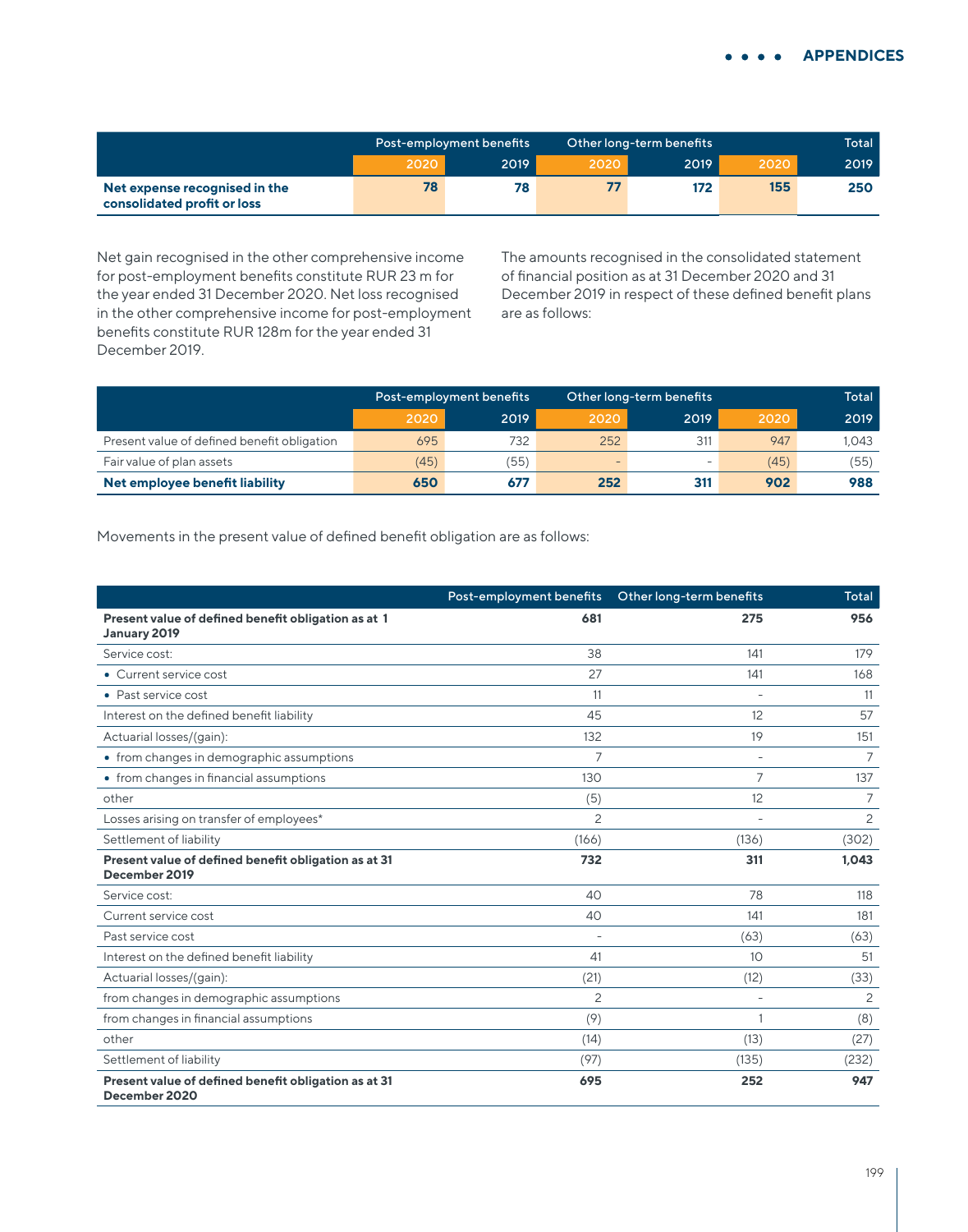|                                                              | Post-employment benefits |      |      | Other long-term benefits |      | Total |
|--------------------------------------------------------------|--------------------------|------|------|--------------------------|------|-------|
|                                                              | 2020                     | 2019 | 2020 | 2019                     | 2020 | 2019  |
| Net expense recognised in the<br>consolidated profit or loss | 78                       | 78   |      | 172                      | 155  | 250   |

Net gain recognised in the other comprehensive income for post-employment benefits constitute RUR 23 m for the year ended 31 December 2020. Net loss recognised in the other comprehensive income for post-employment benefits constitute RUR 128m for the year ended 31 December 2019.

The amounts recognised in the consolidated statement of financial position as at 31 December 2020 and 31 December 2019 in respect of these defined benefit plans are as follows:

|                                             | Post-employment benefits |      | Other long-term benefits | Total                    |      |       |
|---------------------------------------------|--------------------------|------|--------------------------|--------------------------|------|-------|
|                                             | 2020                     | 2019 | 2020                     | 2019                     | 2020 | 2019  |
| Present value of defined benefit obligation | 695                      | 732  | 252                      | 311                      | 947  | 1.043 |
| Fair value of plan assets                   | (45)                     | (55) | -                        | $\overline{\phantom{0}}$ | (45) | (55)  |
| Net employee benefit liability              | 650                      | 677  | 252                      | 311                      | 902  | 988   |

Movements in the present value of defined benefit obligation are as follows:

|                                                                       | Post-employment benefits | Other long-term benefits | Total          |
|-----------------------------------------------------------------------|--------------------------|--------------------------|----------------|
| Present value of defined benefit obligation as at 1<br>January 2019   | 681                      | 275                      | 956            |
| Service cost:                                                         | 38                       | 141                      | 179            |
| • Current service cost                                                | 27                       | 141                      | 168            |
| • Past service cost                                                   | 11                       |                          | 11             |
| Interest on the defined benefit liability                             | 45                       | 12                       | 57             |
| Actuarial losses/(gain):                                              | 132                      | 19                       | 151            |
| • from changes in demographic assumptions                             | $\overline{7}$           |                          | 7              |
| • from changes in financial assumptions                               | 130                      | $\overline{7}$           | 137            |
| other                                                                 | (5)                      | 12                       | 7              |
| Losses arising on transfer of employees*                              | 2                        | ٠                        | $\overline{c}$ |
| Settlement of liability                                               | (166)                    | (136)                    | (302)          |
| Present value of defined benefit obligation as at 31<br>December 2019 | 732                      | 311                      | 1,043          |
| Service cost:                                                         | 40                       | 78                       | 118            |
| Current service cost                                                  | 40                       | 141                      | 181            |
| Past service cost                                                     | $\overline{\phantom{0}}$ | (63)                     | (63)           |
| Interest on the defined benefit liability                             | 41                       | 10                       | 51             |
| Actuarial losses/(gain):                                              | (21)                     | (12)                     | (33)           |
| from changes in demographic assumptions                               | 2                        |                          | 2              |
| from changes in financial assumptions                                 | (9)                      |                          | (8)            |
| other                                                                 | (14)                     | (13)                     | (27)           |
| Settlement of liability                                               | (97)                     | (135)                    | (232)          |
| Present value of defined benefit obligation as at 31<br>December 2020 | 695                      | 252                      | 947            |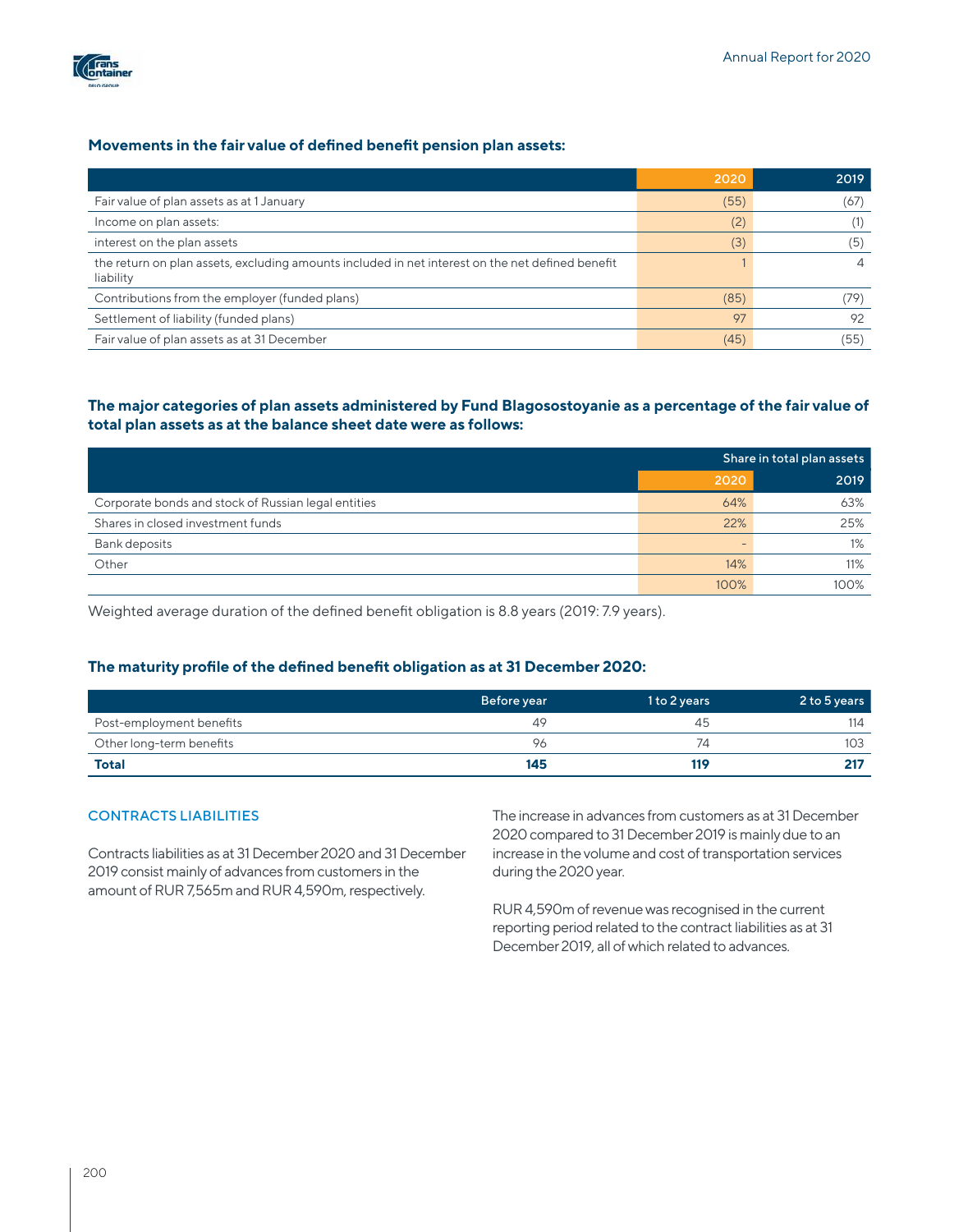

## **Movements in the fair value of defined benefit pension plan assets:**

|                                                                                                               | 2020 | 2019 |
|---------------------------------------------------------------------------------------------------------------|------|------|
| Fair value of plan assets as at 1 January                                                                     | (55) | (67  |
| Income on plan assets:                                                                                        | (2)  |      |
| interest on the plan assets                                                                                   | (3)  | .P.  |
| the return on plan assets, excluding amounts included in net interest on the net defined benefit<br>liability |      |      |
| Contributions from the employer (funded plans)                                                                | (85) | (79  |
| Settlement of liability (funded plans)                                                                        | 97   | 92   |
| Fair value of plan assets as at 31 December                                                                   | (45) | (55  |

## **The major categories of plan assets administered by Fund Blagosostoyanie as a percentage of the fair value of total plan assets as at the balance sheet date were as follows:**

|                                                     | Share in total plan assets |      |  |
|-----------------------------------------------------|----------------------------|------|--|
|                                                     | 2020                       | 2019 |  |
| Corporate bonds and stock of Russian legal entities | 64%                        | 63%  |  |
| Shares in closed investment funds                   | 22%                        | 25%  |  |
| Bank deposits                                       | -                          | 1%   |  |
| Other                                               | 14%                        | 11%  |  |
|                                                     | 100%                       | 100% |  |

Weighted average duration of the defined benefit obligation is 8.8 years (2019: 7.9 years).

## **The maturity profile of the defined benefit obligation as at 31 December 2020:**

|                          | Before year | 1 to 2 years | 2 to 5 years |
|--------------------------|-------------|--------------|--------------|
| Post-employment benefits | 49          | 45           | 114          |
| Other long-term benefits | 96          |              | 103          |
| Total                    | 145         | 119          |              |

## CONTRACTS LIABILITIES

Contracts liabilities as at 31 December 2020 and 31 December 2019 consist mainly of advances from customers in the amount of RUR 7,565m and RUR 4,590m, respectively.

The increase in advances from customers as at 31 December 2020 compared to 31 December 2019 is mainly due to an increase in the volume and cost of transportation services during the 2020 year.

RUR 4,590m of revenue was recognised in the current reporting period related to the contract liabilities as at 31 December 2019, all of which related to advances.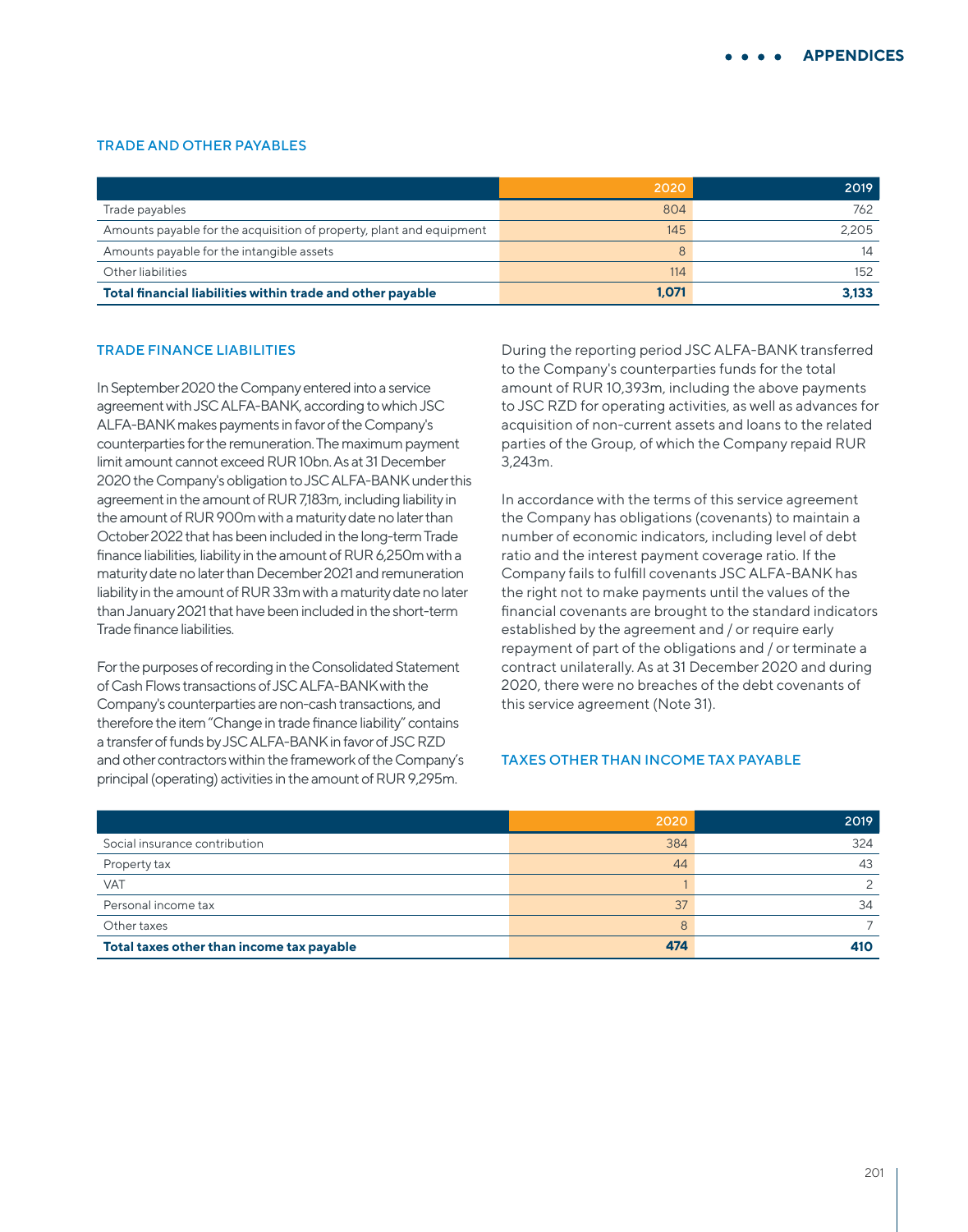#### TRADE AND OTHER PAYABLES

|                                                                      | 2020  | 2019  |
|----------------------------------------------------------------------|-------|-------|
| Trade payables                                                       | 804   | 762   |
| Amounts payable for the acquisition of property, plant and equipment | 145   | 2.205 |
| Amounts payable for the intangible assets                            | 8     | 14    |
| Other liabilities                                                    | 114   | 152   |
| Total financial liabilities within trade and other payable           | 1,071 | 3.133 |

#### TRADE FINANCE LIABILITIES

In September 2020 the Company entered into a service agreement with JSC ALFA-BANK, according to which JSC ALFA-BANK makes payments in favor of the Company's counterparties for the remuneration. The maximum payment limit amount cannot exceed RUR 10bn. As at 31 December 2020 the Company's obligation to JSC ALFA-BANK under this agreement in the amount of RUR 7,183m, including liability in the amount of RUR 900m with a maturity date no later than October 2022 that has been included in the long-term Trade finance liabilities, liability in the amount of RUR 6,250m with a maturity date no later than December 2021 and remuneration liability in the amount of RUR 33m with a maturity date no later than January 2021 that have been included in the short-term Trade finance liabilities.

For the purposes of recording in the Consolidated Statement of Cash Flows transactions of JSC ALFA-BANK with the Company's counterparties are non-cash transactions, and therefore the item "Change in trade finance liability" contains a transfer of funds by JSC ALFA-BANK in favor of JSC RZD and other contractors within the framework of the Company's principal (operating) activities in the amount of RUR 9,295m.

During the reporting period JSC ALFA-BANK transferred to the Company's counterparties funds for the total amount of RUR 10,393m, including the above payments to JSC RZD for operating activities, as well as advances for acquisition of non-current assets and loans to the related parties of the Group, of which the Company repaid RUR 3,243m.

In accordance with the terms of this service agreement the Company has obligations (covenants) to maintain a number of economic indicators, including level of debt ratio and the interest payment coverage ratio. If the Company fails to fulfill covenants JSC ALFA-BANK has the right not to make payments until the values of the financial covenants are brought to the standard indicators established by the agreement and / or require early repayment of part of the obligations and / or terminate a contract unilaterally. As at 31 December 2020 and during 2020, there were no breaches of the debt covenants of this service agreement (Note 31).

### TAXES OTHER THAN INCOME TAX PAYABLE

|                                           | 2020 | 2019 |
|-------------------------------------------|------|------|
| Social insurance contribution             | 384  | 324  |
| Property tax                              | 44   | 43   |
| <b>VAT</b>                                |      |      |
| Personal income tax                       | 37   | 34   |
| Other taxes                               | 8    |      |
| Total taxes other than income tax payable | 474  | 410  |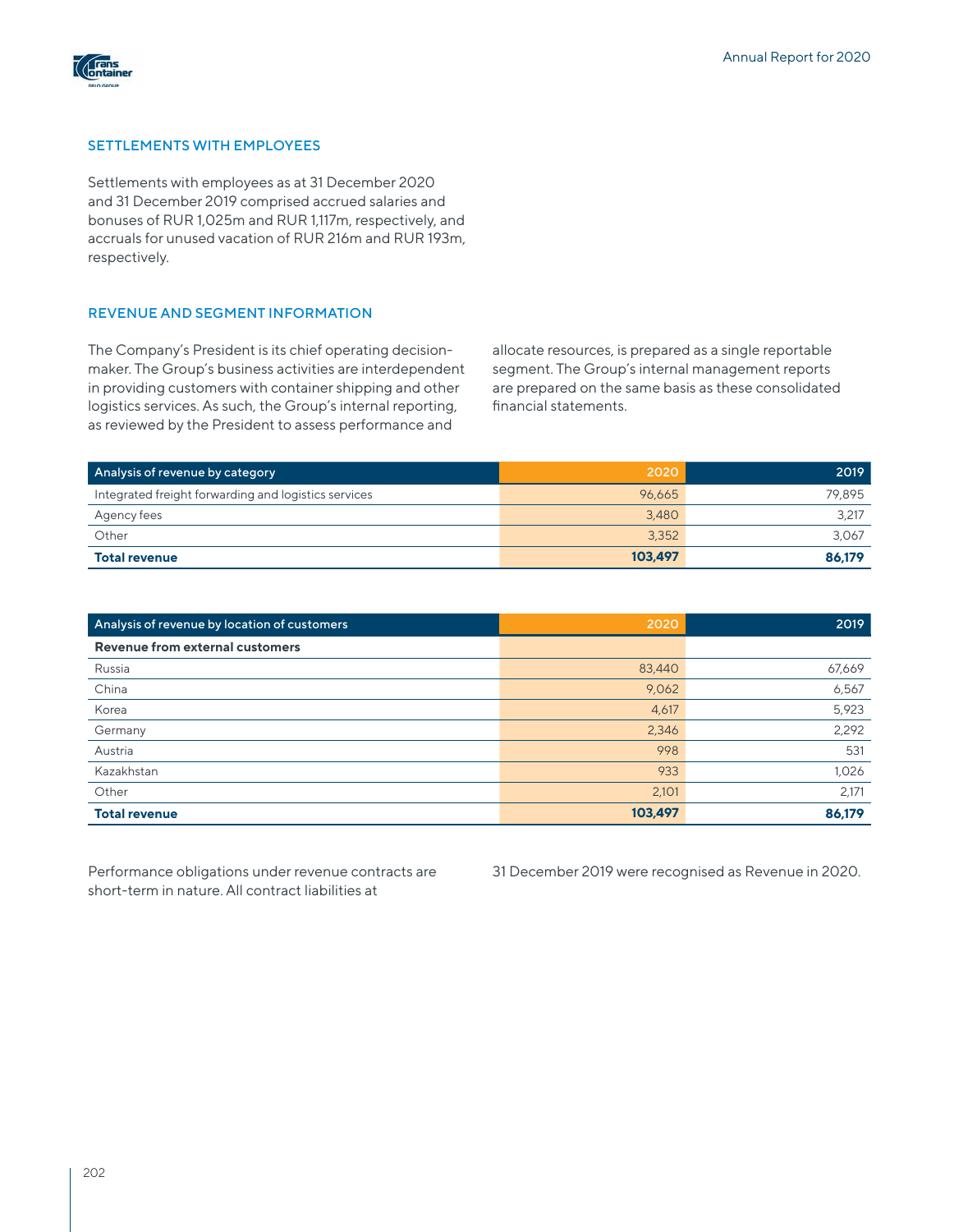

## SETTLEMENTS WITH EMPLOYEES

Settlements with employees as at 31 December 2020 and 31 December 2019 comprised accrued salaries and bonuses of RUR 1,025m and RUR 1,117m, respectively, and accruals for unused vacation of RUR 216m and RUR 193m, respectively.

## REVENUE AND SEGMENT INFORMATION

The Company's President is its chief operating decisionmaker. The Group's business activities are interdependent in providing customers with container shipping and other logistics services. As such, the Group's internal reporting, as reviewed by the President to assess performance and

allocate resources, is prepared as a single reportable segment. The Group's internal management reports are prepared on the same basis as these consolidated financial statements.

| Analysis of revenue by category                      | 2020    | 2019   |
|------------------------------------------------------|---------|--------|
| Integrated freight forwarding and logistics services | 96.665  | 79.895 |
| Agency fees                                          | 3,480   | 3,217  |
| Other                                                | 3,352   | 3.067  |
| <b>Total revenue</b>                                 | 103.497 | 86.179 |

| Analysis of revenue by location of customers | 2020    | 2019   |
|----------------------------------------------|---------|--------|
| Revenue from external customers              |         |        |
| Russia                                       | 83,440  | 67,669 |
| China                                        | 9,062   | 6,567  |
| Korea                                        | 4,617   | 5,923  |
| Germany                                      | 2,346   | 2,292  |
| Austria                                      | 998     | 531    |
| Kazakhstan                                   | 933     | 1,026  |
| Other                                        | 2,101   | 2,171  |
| <b>Total revenue</b>                         | 103,497 | 86,179 |

Performance obligations under revenue contracts are short-term in nature. All contract liabilities at

31 December 2019 were recognised as Revenue in 2020.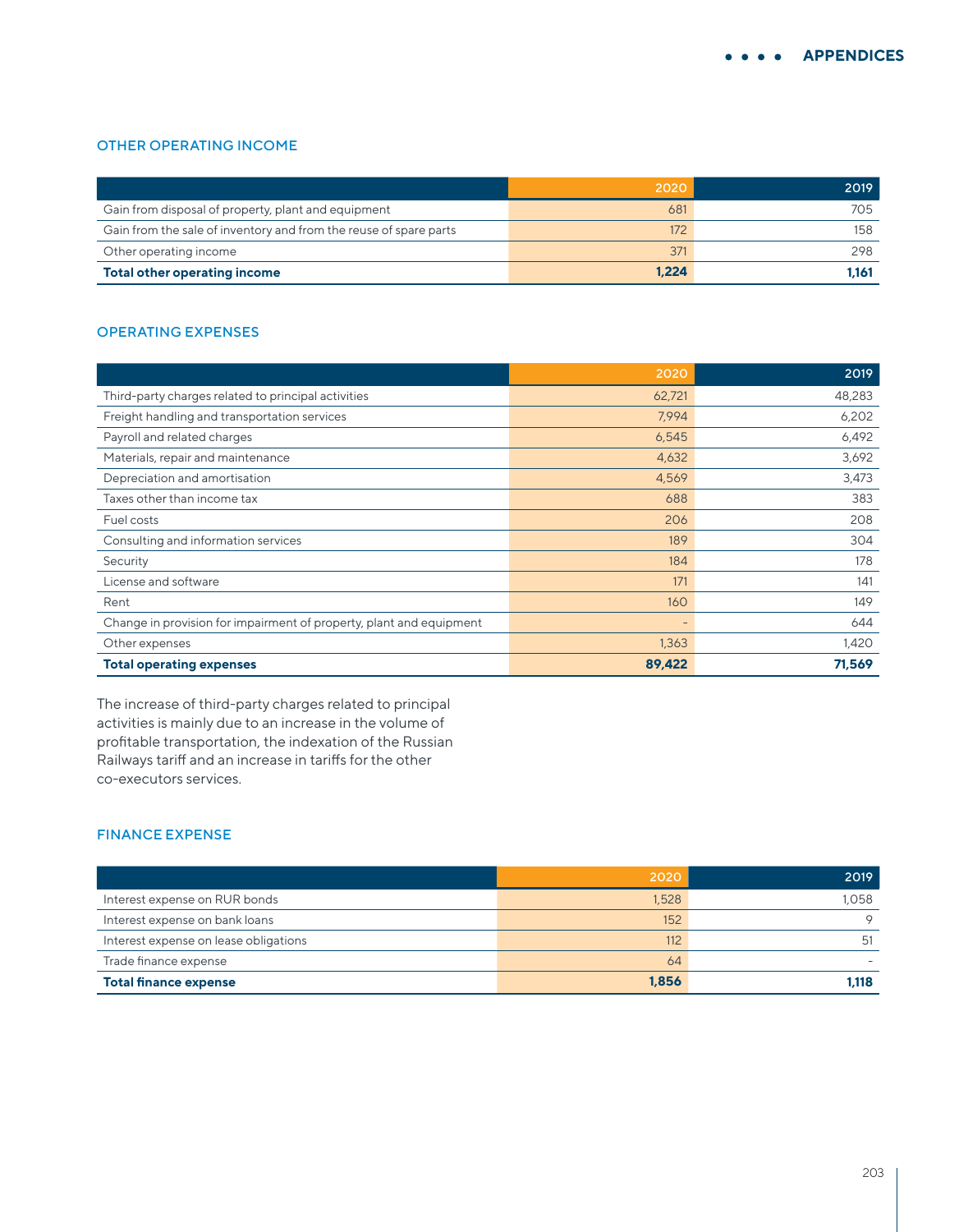## OTHER OPERATING INCOME

|                                                                   | 2020  | 2019  |
|-------------------------------------------------------------------|-------|-------|
| Gain from disposal of property, plant and equipment               | 681   | 705   |
| Gain from the sale of inventory and from the reuse of spare parts | 172   | 158   |
| Other operating income                                            | 371   | 298   |
| <b>Total other operating income</b>                               | 1.224 | 1.161 |

# OPERATING EXPENSES

|                                                                     | 2020                     | 2019   |
|---------------------------------------------------------------------|--------------------------|--------|
| Third-party charges related to principal activities                 | 62,721                   | 48,283 |
| Freight handling and transportation services                        | 7,994                    | 6,202  |
| Payroll and related charges                                         | 6,545                    | 6,492  |
| Materials, repair and maintenance                                   | 4,632                    | 3,692  |
| Depreciation and amortisation                                       | 4,569                    | 3,473  |
| Taxes other than income tax                                         | 688                      | 383    |
| Fuel costs                                                          | 206                      | 208    |
| Consulting and information services                                 | 189                      | 304    |
| Security                                                            | 184                      | 178    |
| License and software                                                | 171                      | 141    |
| Rent                                                                | 160                      | 149    |
| Change in provision for impairment of property, plant and equipment | $\overline{\phantom{a}}$ | 644    |
| Other expenses                                                      | 1,363                    | 1,420  |
| <b>Total operating expenses</b>                                     | 89,422                   | 71,569 |

The increase of third-party charges related to principal activities is mainly due to an increase in the volume of profitable transportation, the indexation of the Russian Railways tariff and an increase in tariffs for the other co-executors services.

## FINANCE EXPENSE

|                                       | 2020  | 2019    |
|---------------------------------------|-------|---------|
| Interest expense on RUR bonds         | 1,528 | 1.058   |
| Interest expense on bank loans        | 152   | $\circ$ |
| Interest expense on lease obligations | 112   | 51      |
| Trade finance expense                 | 64    |         |
| <b>Total finance expense</b>          | 1,856 | 1.118   |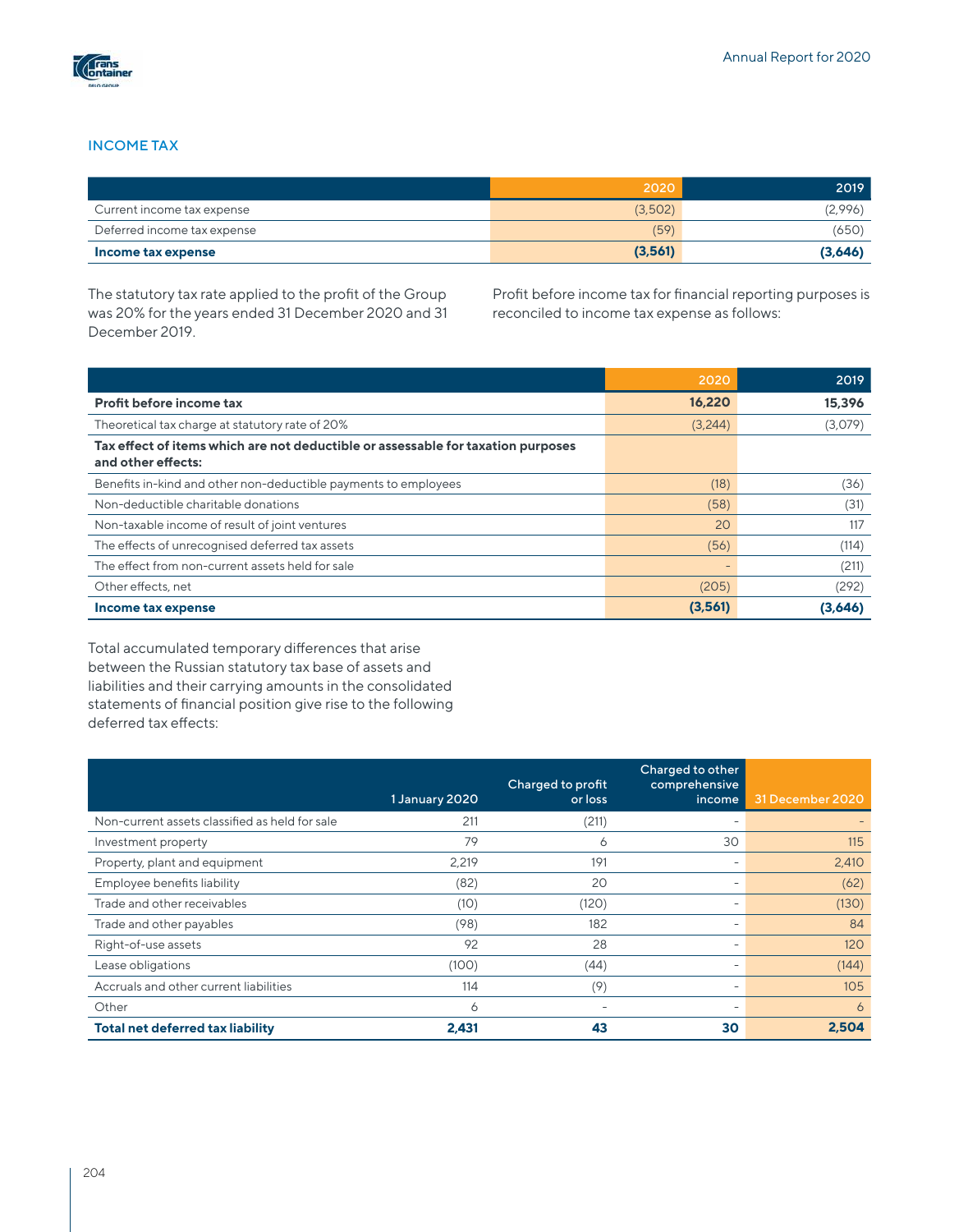

### INCOME TAX

|                             | 2020    | 2019    |
|-----------------------------|---------|---------|
| Current income tax expense  | (3,502) | (2,996) |
| Deferred income tax expense | (59)    | (650)   |
| Income tax expense          | (3,561) | (3,646) |

The statutory tax rate applied to the profit of the Group was 20% for the years ended 31 December 2020 and 31 December 2019.

Profit before income tax for financial reporting purposes is reconciled to income tax expense as follows:

|                                                                                                        | 2020    | 2019    |
|--------------------------------------------------------------------------------------------------------|---------|---------|
| Profit before income tax                                                                               | 16,220  | 15,396  |
| Theoretical tax charge at statutory rate of 20%                                                        | (3,244) | (3,079) |
| Tax effect of items which are not deductible or assessable for taxation purposes<br>and other effects: |         |         |
| Benefits in-kind and other non-deductible payments to employees                                        | (18)    | (36)    |
| Non-deductible charitable donations                                                                    | (58)    | (31)    |
| Non-taxable income of result of joint ventures                                                         | 20      | 117     |
| The effects of unrecognised deferred tax assets                                                        | (56)    | (114)   |
| The effect from non-current assets held for sale                                                       |         | (211)   |
| Other effects, net                                                                                     | (205)   | (292)   |
| Income tax expense                                                                                     | (3,561) | (3,646) |

Total accumulated temporary differences that arise between the Russian statutory tax base of assets and liabilities and their carrying amounts in the consolidated statements of financial position give rise to the following deferred tax effects:

|                                                | 1 January 2020 | Charged to profit<br>or loss | Charged to other<br>comprehensive<br>income | 31 December 2020 |
|------------------------------------------------|----------------|------------------------------|---------------------------------------------|------------------|
| Non-current assets classified as held for sale | 211            | (211)                        |                                             |                  |
| Investment property                            | 79             | Ô                            | 30                                          | 115              |
| Property, plant and equipment                  | 2,219          | 191                          |                                             | 2,410            |
| Employee benefits liability                    | (82)           | 20                           |                                             | (62)             |
| Trade and other receivables                    | (10)           | (120)                        |                                             | (130)            |
| Trade and other payables                       | (98)           | 182                          |                                             | 84               |
| Right-of-use assets                            | 92             | 28                           |                                             | 120              |
| Lease obligations                              | (100)          | (44)                         |                                             | (144)            |
| Accruals and other current liabilities         | 114            | (9)                          |                                             | 105              |
| Other                                          | 6              |                              |                                             | 6                |
| <b>Total net deferred tax liability</b>        | 2.431          | 43                           | 30                                          | 2.504            |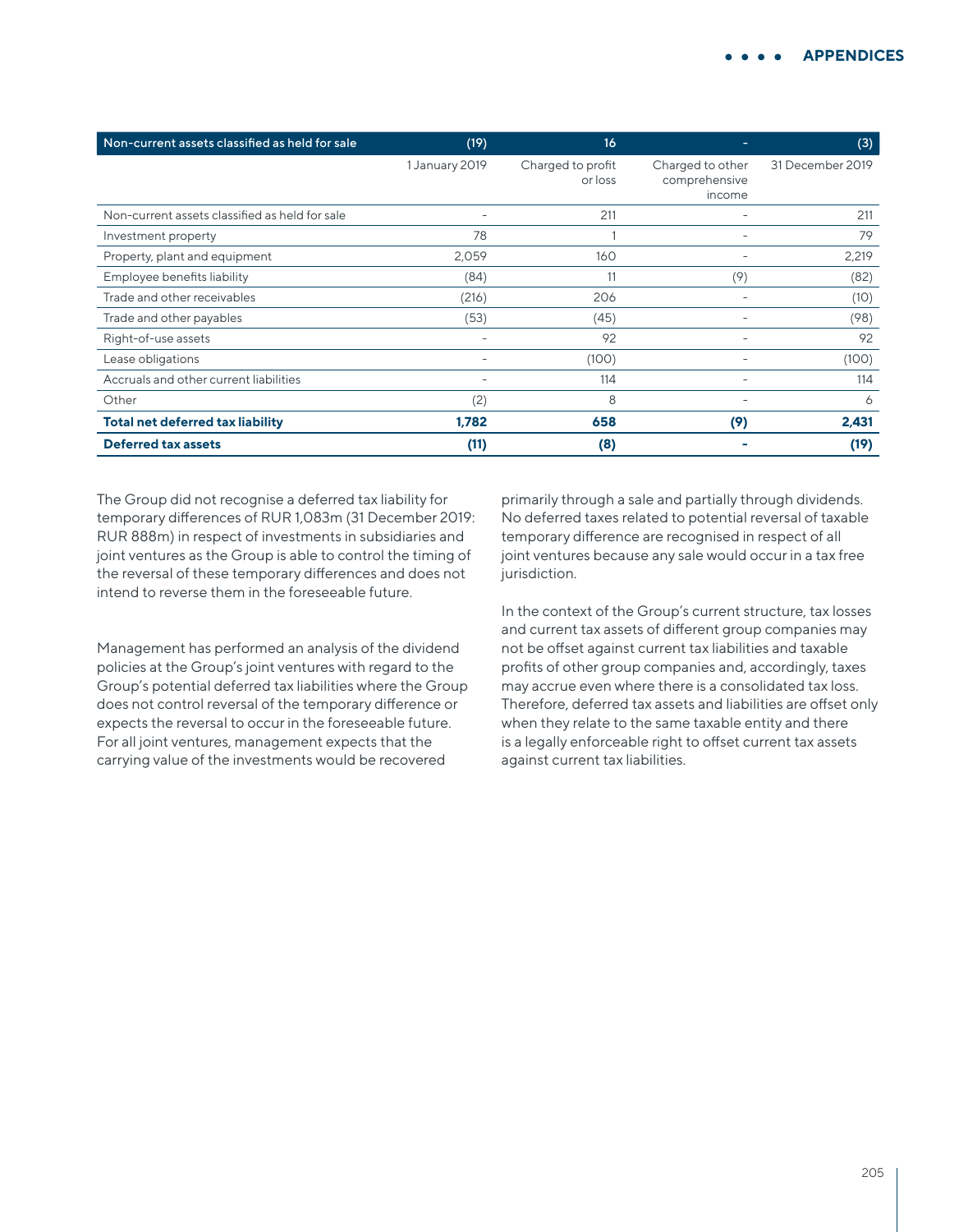| Non-current assets classified as held for sale | (19)                     | 16                           |                                             | (3)              |
|------------------------------------------------|--------------------------|------------------------------|---------------------------------------------|------------------|
|                                                | 1 January 2019           | Charged to profit<br>or loss | Charged to other<br>comprehensive<br>income | 31 December 2019 |
| Non-current assets classified as held for sale |                          | 211                          |                                             | 211              |
| Investment property                            | 78                       |                              |                                             | 79               |
| Property, plant and equipment                  | 2,059                    | 160                          |                                             | 2,219            |
| Employee benefits liability                    | (84)                     | 11                           | (9)                                         | (82)             |
| Trade and other receivables                    | (216)                    | 206                          |                                             | (10)             |
| Trade and other payables                       | (53)                     | (45)                         |                                             | (98)             |
| Right-of-use assets                            |                          | 92                           |                                             | 92               |
| Lease obligations                              |                          | (100)                        |                                             | (100)            |
| Accruals and other current liabilities         | $\overline{\phantom{0}}$ | 114                          |                                             | 114              |
| Other                                          | (2)                      | 8                            |                                             | 6                |
| <b>Total net deferred tax liability</b>        | 1.782                    | 658                          | (9)                                         | 2,431            |
| <b>Deferred tax assets</b>                     | (11)                     | (8)                          |                                             | (19)             |

The Group did not recognise a deferred tax liability for temporary differences of RUR 1,083m (31 December 2019: RUR 888m) in respect of investments in subsidiaries and joint ventures as the Group is able to control the timing of the reversal of these temporary differences and does not intend to reverse them in the foreseeable future.

Management has performed an analysis of the dividend policies at the Group's joint ventures with regard to the Group's potential deferred tax liabilities where the Group does not control reversal of the temporary difference or expects the reversal to occur in the foreseeable future. For all joint ventures, management expects that the carrying value of the investments would be recovered

primarily through a sale and partially through dividends. No deferred taxes related to potential reversal of taxable temporary difference are recognised in respect of all joint ventures because any sale would occur in a tax free jurisdiction.

In the context of the Group's current structure, tax losses and current tax assets of different group companies may not be offset against current tax liabilities and taxable profits of other group companies and, accordingly, taxes may accrue even where there is a consolidated tax loss. Therefore, deferred tax assets and liabilities are offset only when they relate to the same taxable entity and there is a legally enforceable right to offset current tax assets against current tax liabilities.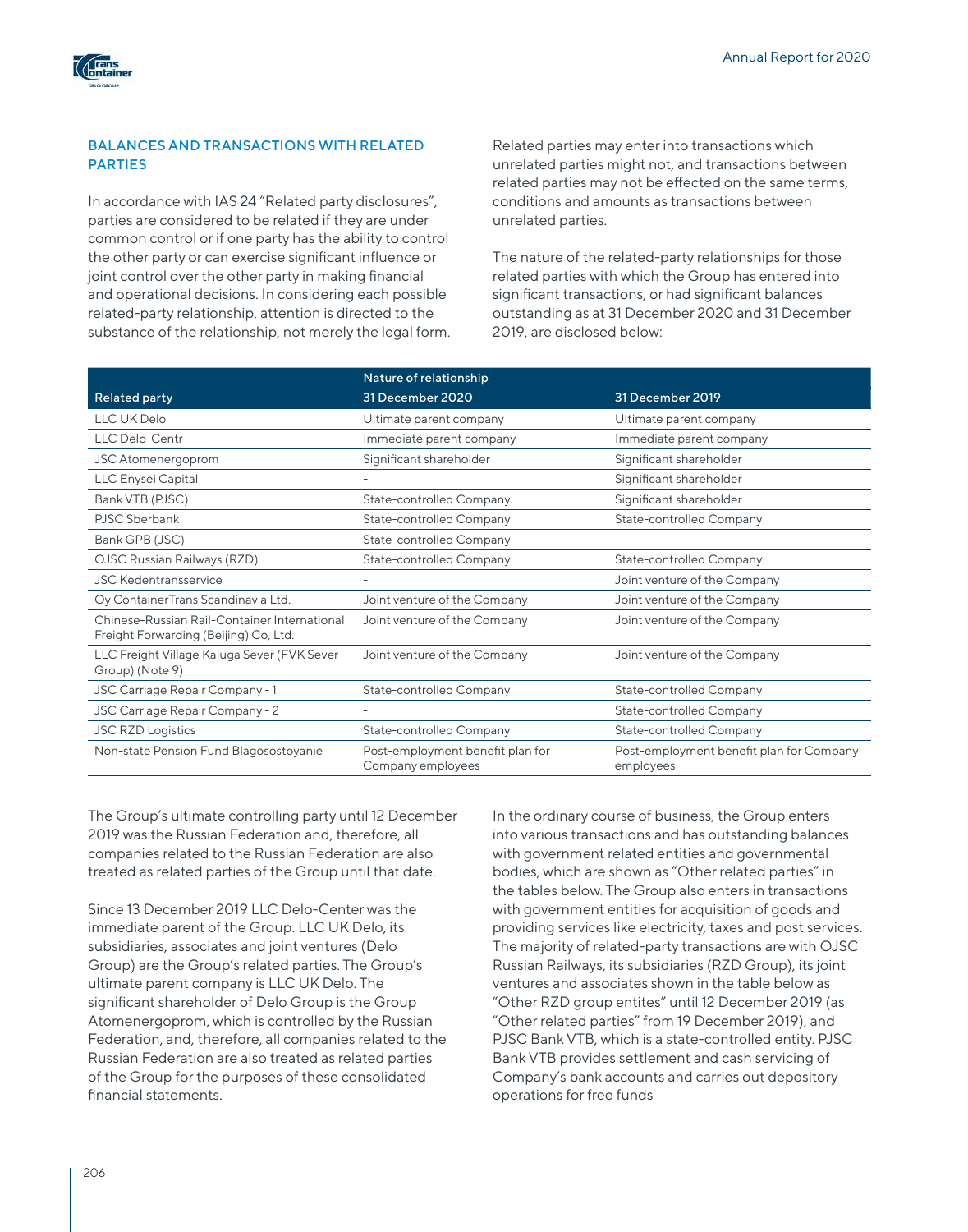

## BALANCES AND TRANSACTIONS WITH RELATED PARTIES

In accordance with IAS 24 "Related party disclosures", parties are considered to be related if they are under common control or if one party has the ability to control the other party or can exercise significant influence or joint control over the other party in making financial and operational decisions. In considering each possible related-party relationship, attention is directed to the substance of the relationship, not merely the legal form. Related parties may enter into transactions which unrelated parties might not, and transactions between related parties may not be effected on the same terms, conditions and amounts as transactions between unrelated parties.

The nature of the related-party relationships for those related parties with which the Group has entered into significant transactions, or had significant balances outstanding as at 31 December 2020 and 31 December 2019, are disclosed below:

|                                                                                       | Nature of relationship                                |                                                       |
|---------------------------------------------------------------------------------------|-------------------------------------------------------|-------------------------------------------------------|
| <b>Related party</b>                                                                  | 31 December 2020                                      | 31 December 2019                                      |
| LLC UK Delo                                                                           | Ultimate parent company                               | Ultimate parent company                               |
| <b>LLC Delo-Centr</b>                                                                 | Immediate parent company                              | Immediate parent company                              |
| JSC Atomenergoprom                                                                    | Significant shareholder                               | Significant shareholder                               |
| LLC Enysei Capital                                                                    |                                                       | Significant shareholder                               |
| Bank VTB (PJSC)                                                                       | State-controlled Company                              | Significant shareholder                               |
| PJSC Sberbank                                                                         | State-controlled Company                              | State-controlled Company                              |
| Bank GPB (JSC)                                                                        | State-controlled Company                              |                                                       |
| OJSC Russian Railways (RZD)                                                           | State-controlled Company                              | State-controlled Company                              |
| <b>JSC Kedentransservice</b>                                                          |                                                       | Joint venture of the Company                          |
| Oy ContainerTrans Scandinavia Ltd.                                                    | Joint venture of the Company                          | Joint venture of the Company                          |
| Chinese-Russian Rail-Container International<br>Freight Forwarding (Beijing) Co, Ltd. | Joint venture of the Company                          | Joint venture of the Company                          |
| LLC Freight Village Kaluga Sever (FVK Sever<br>Group) (Note 9)                        | Joint venture of the Company                          | Joint venture of the Company                          |
| JSC Carriage Repair Company - 1                                                       | State-controlled Company                              | <b>State-controlled Company</b>                       |
| JSC Carriage Repair Company - 2                                                       |                                                       | <b>State-controlled Company</b>                       |
| <b>JSC RZD Logistics</b>                                                              | <b>State-controlled Company</b>                       | <b>State-controlled Company</b>                       |
| Non-state Pension Fund Blagosostoyanie                                                | Post-employment benefit plan for<br>Company employees | Post-employment benefit plan for Company<br>employees |

The Group's ultimate controlling party until 12 December 2019 was the Russian Federation and, therefore, all companies related to the Russian Federation are also treated as related parties of the Group until that date.

Since 13 December 2019 LLC Delo-Center was the immediate parent of the Group. LLC UK Delo, its subsidiaries, associates and joint ventures (Delo Group) are the Group's related parties. The Group's ultimate parent company is LLC UK Delo. The significant shareholder of Delo Group is the Group Atomenergoprom, which is controlled by the Russian Federation, and, therefore, all companies related to the Russian Federation are also treated as related parties of the Group for the purposes of these consolidated financial statements.

In the ordinary course of business, the Group enters into various transactions and has outstanding balances with government related entities and governmental bodies, which are shown as "Other related parties" in the tables below. The Group also enters in transactions with government entities for acquisition of goods and providing services like electricity, taxes and post services. The majority of related-party transactions are with OJSC Russian Railways, its subsidiaries (RZD Group), its joint ventures and associates shown in the table below as "Other RZD group entites" until 12 December 2019 (as "Other related parties" from 19 December 2019), and PJSC Bank VTB, which is a state-controlled entity. PJSC Bank VTB provides settlement and cash servicing of Company's bank accounts and carries out depository operations for free funds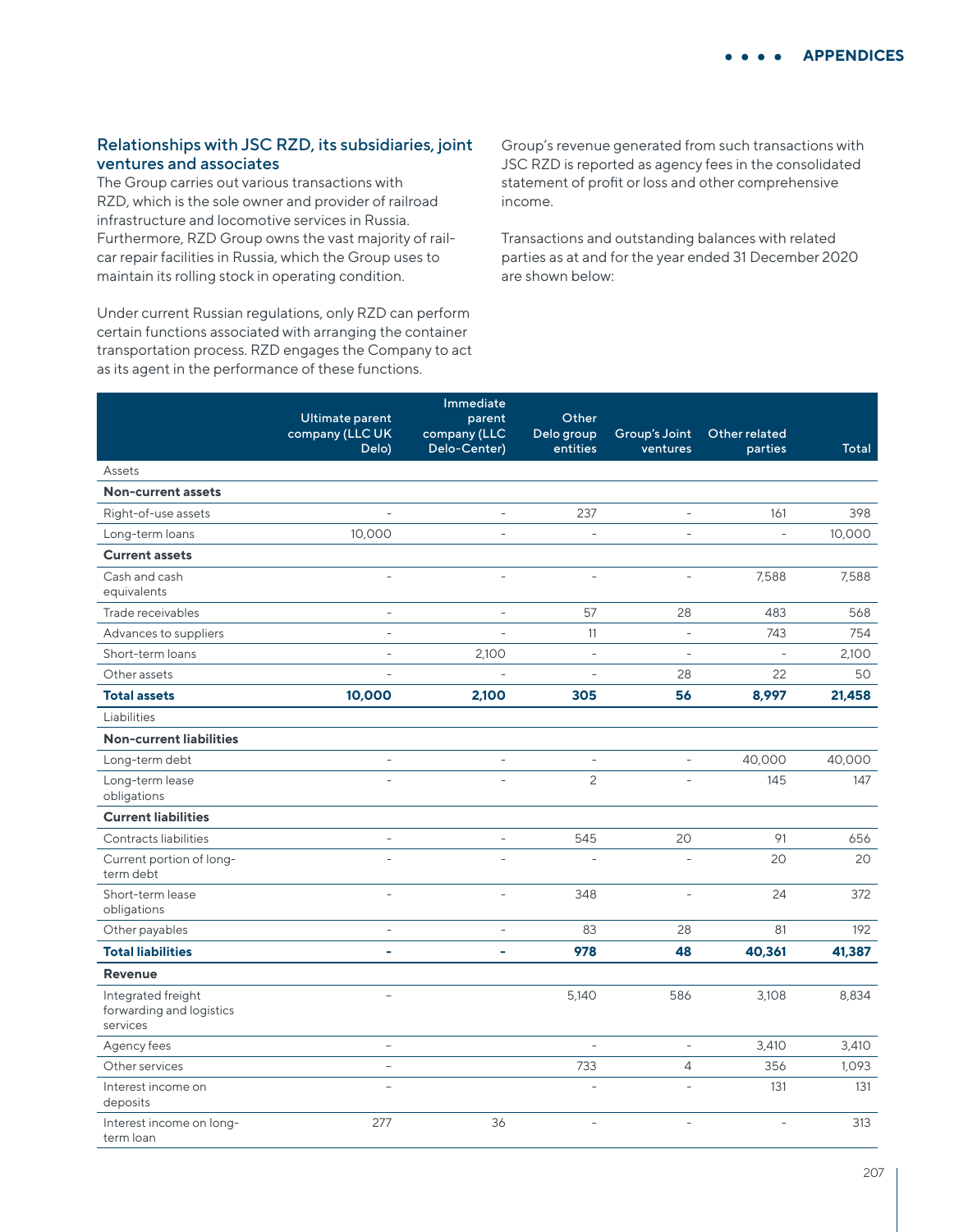## Relationships with JSC RZD, its subsidiaries, joint ventures and associates

The Group carries out various transactions with RZD, which is the sole owner and provider of railroad infrastructure and locomotive services in Russia. Furthermore, RZD Group owns the vast majority of railcar repair facilities in Russia, which the Group uses to maintain its rolling stock in operating condition.

Under current Russian regulations, only RZD can perform certain functions associated with arranging the container transportation process. RZD engages the Company to act as its agent in the performance of these functions.

Group's revenue generated from such transactions with JSC RZD is reported as agency fees in the consolidated statement of profit or loss and other comprehensive income.

Transactions and outstanding balances with related parties as at and for the year ended 31 December 2020 are shown below:

|                                                            | Ultimate parent<br>company (LLC UK | Immediate<br>parent<br>company (LLC | Other<br>Delo group | Group's Joint  | Other related  |        |
|------------------------------------------------------------|------------------------------------|-------------------------------------|---------------------|----------------|----------------|--------|
|                                                            | Delo)                              | Delo-Center)                        | entities            | ventures       | parties        | Total  |
| Assets                                                     |                                    |                                     |                     |                |                |        |
| Non-current assets                                         |                                    |                                     |                     |                |                |        |
| Right-of-use assets                                        |                                    | $\overline{a}$                      | 237                 | $\overline{a}$ | 161            | 398    |
| Long-term loans                                            | 10,000                             |                                     |                     |                |                | 10,000 |
| <b>Current assets</b>                                      |                                    |                                     |                     |                |                |        |
| Cash and cash<br>equivalents                               |                                    | $\overline{a}$                      | $\overline{a}$      |                | 7,588          | 7,588  |
| Trade receivables                                          | $\overline{a}$                     | $\overline{a}$                      | 57                  | 28             | 483            | 568    |
| Advances to suppliers                                      | $\overline{a}$                     | $\overline{a}$                      | 11                  | $\frac{1}{2}$  | 743            | 754    |
| Short-term loans                                           | $\bar{\phantom{a}}$                | 2,100                               | $\bar{\phantom{a}}$ | $\overline{a}$ | $\overline{a}$ | 2,100  |
| Other assets                                               | $\overline{a}$                     | $\overline{a}$                      | $\bar{\phantom{a}}$ | 28             | 22             | 50     |
| <b>Total assets</b>                                        | 10,000                             | 2,100                               | 305                 | 56             | 8,997          | 21,458 |
| Liabilities                                                |                                    |                                     |                     |                |                |        |
| <b>Non-current liabilities</b>                             |                                    |                                     |                     |                |                |        |
| Long-term debt                                             | $\frac{1}{2}$                      | $\overline{\phantom{0}}$            | $\overline{a}$      | $\equiv$       | 40,000         | 40,000 |
| Long-term lease<br>obligations                             |                                    |                                     | $\overline{c}$      |                | 145            | 147    |
| <b>Current liabilities</b>                                 |                                    |                                     |                     |                |                |        |
| Contracts liabilities                                      | ÷,                                 | $\overline{a}$                      | 545                 | 20             | 91             | 656    |
| Current portion of long-<br>term debt                      |                                    |                                     |                     |                | 20             | 20     |
| Short-term lease<br>obligations                            | $\overline{a}$                     | $\overline{\phantom{0}}$            | 348                 | $\overline{a}$ | 24             | 372    |
| Other payables                                             | $\overline{a}$                     | $\overline{a}$                      | 83                  | 28             | 81             | 192    |
| <b>Total liabilities</b>                                   | L,                                 | ÷,                                  | 978                 | 48             | 40,361         | 41,387 |
| <b>Revenue</b>                                             |                                    |                                     |                     |                |                |        |
| Integrated freight<br>forwarding and logistics<br>services | L.                                 |                                     | 5,140               | 586            | 3,108          | 8,834  |
| Agency fees                                                | $\frac{1}{2}$                      |                                     |                     | $\blacksquare$ | 3,410          | 3,410  |
| Other services                                             | $\overline{a}$                     |                                     | 733                 | $\overline{4}$ | 356            | 1,093  |
| Interest income on<br>deposits                             | $\overline{a}$                     |                                     |                     | $\overline{a}$ | 131            | 131    |
| Interest income on long-<br>term loan                      | 277                                | 36                                  | $\overline{a}$      | $\overline{a}$ |                | 313    |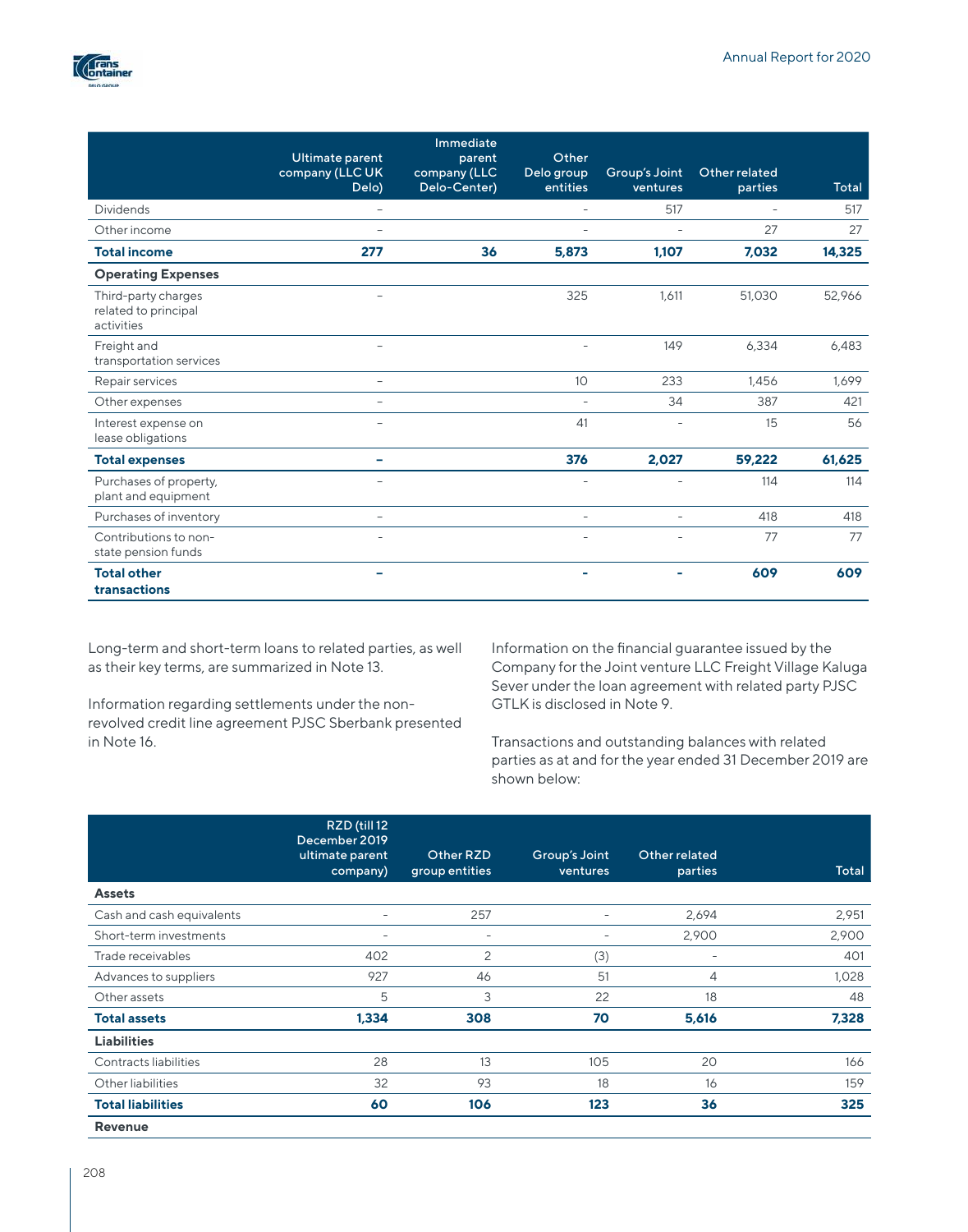

|                                                           | Ultimate parent<br>company (LLC UK<br>Delo) | Immediate<br>parent<br>company (LLC<br>Delo-Center) | Other<br>Delo group<br>entities | Group's Joint<br>ventures | Other related<br>parties | Total  |
|-----------------------------------------------------------|---------------------------------------------|-----------------------------------------------------|---------------------------------|---------------------------|--------------------------|--------|
| <b>Dividends</b>                                          |                                             |                                                     | $\overline{\phantom{a}}$        | 517                       | $\overline{\phantom{a}}$ | 517    |
| Other income                                              |                                             |                                                     |                                 |                           | 27                       | 27     |
| <b>Total income</b>                                       | 277                                         | 36                                                  | 5,873                           | 1,107                     | 7,032                    | 14,325 |
| <b>Operating Expenses</b>                                 |                                             |                                                     |                                 |                           |                          |        |
| Third-party charges<br>related to principal<br>activities |                                             |                                                     | 325                             | 1,611                     | 51,030                   | 52,966 |
| Freight and<br>transportation services                    |                                             |                                                     | ÷                               | 149                       | 6,334                    | 6,483  |
| Repair services                                           | $\qquad \qquad -$                           |                                                     | 10 <sup>°</sup>                 | 233                       | 1.456                    | 1,699  |
| Other expenses                                            | $\equiv$                                    |                                                     |                                 | 34                        | 387                      | 421    |
| Interest expense on<br>lease obligations                  |                                             |                                                     | 41                              |                           | 15                       | 56     |
| <b>Total expenses</b>                                     |                                             |                                                     | 376                             | 2,027                     | 59,222                   | 61,625 |
| Purchases of property,<br>plant and equipment             |                                             |                                                     | ÷                               | ÷                         | 114                      | 114    |
| Purchases of inventory                                    | ÷,                                          |                                                     | $\sim$                          | $\equiv$                  | 418                      | 418    |
| Contributions to non-<br>state pension funds              |                                             |                                                     |                                 |                           | 77                       | 77     |
| <b>Total other</b><br>transactions                        | -                                           |                                                     | $\blacksquare$                  | $\blacksquare$            | 609                      | 609    |

Long-term and short-term loans to related parties, as well as their key terms, are summarized in Note 13.

Information regarding settlements under the nonrevolved credit line agreement PJSC Sberbank presented in Note 16.

Information on the financial guarantee issued by the Company for the Joint venture LLC Freight Village Kaluga Sever under the loan agreement with related party PJSC GTLK is disclosed in Note 9.

Transactions and outstanding balances with related parties as at and for the year ended 31 December 2019 are shown below:

|                           | RZD (till 12<br>December 2019<br>ultimate parent<br>company) | Other RZD<br>group entities | Group's Joint<br>ventures | Other related<br>parties | Total |
|---------------------------|--------------------------------------------------------------|-----------------------------|---------------------------|--------------------------|-------|
| <b>Assets</b>             |                                                              |                             |                           |                          |       |
| Cash and cash equivalents | $\overline{\phantom{0}}$                                     | 257                         | $\overline{\phantom{0}}$  | 2,694                    | 2,951 |
| Short-term investments    | $\overline{\phantom{0}}$                                     | $\overline{\phantom{0}}$    | $\overline{\phantom{0}}$  | 2,900                    | 2,900 |
| Trade receivables         | 402                                                          | 2                           | (3)                       | $\overline{\phantom{0}}$ | 401   |
| Advances to suppliers     | 927                                                          | 46                          | 51                        | 4                        | 1,028 |
| Other assets              | 5                                                            | 3                           | 22                        | 18                       | 48    |
| <b>Total assets</b>       | 1,334                                                        | 308                         | 70                        | 5,616                    | 7,328 |
| <b>Liabilities</b>        |                                                              |                             |                           |                          |       |
| Contracts liabilities     | 28                                                           | 13                          | 105                       | 20                       | 166   |
| Other liabilities         | 32                                                           | 93                          | 18                        | 16                       | 159   |
| <b>Total liabilities</b>  | 60                                                           | 106                         | 123                       | 36                       | 325   |
| <b>Revenue</b>            |                                                              |                             |                           |                          |       |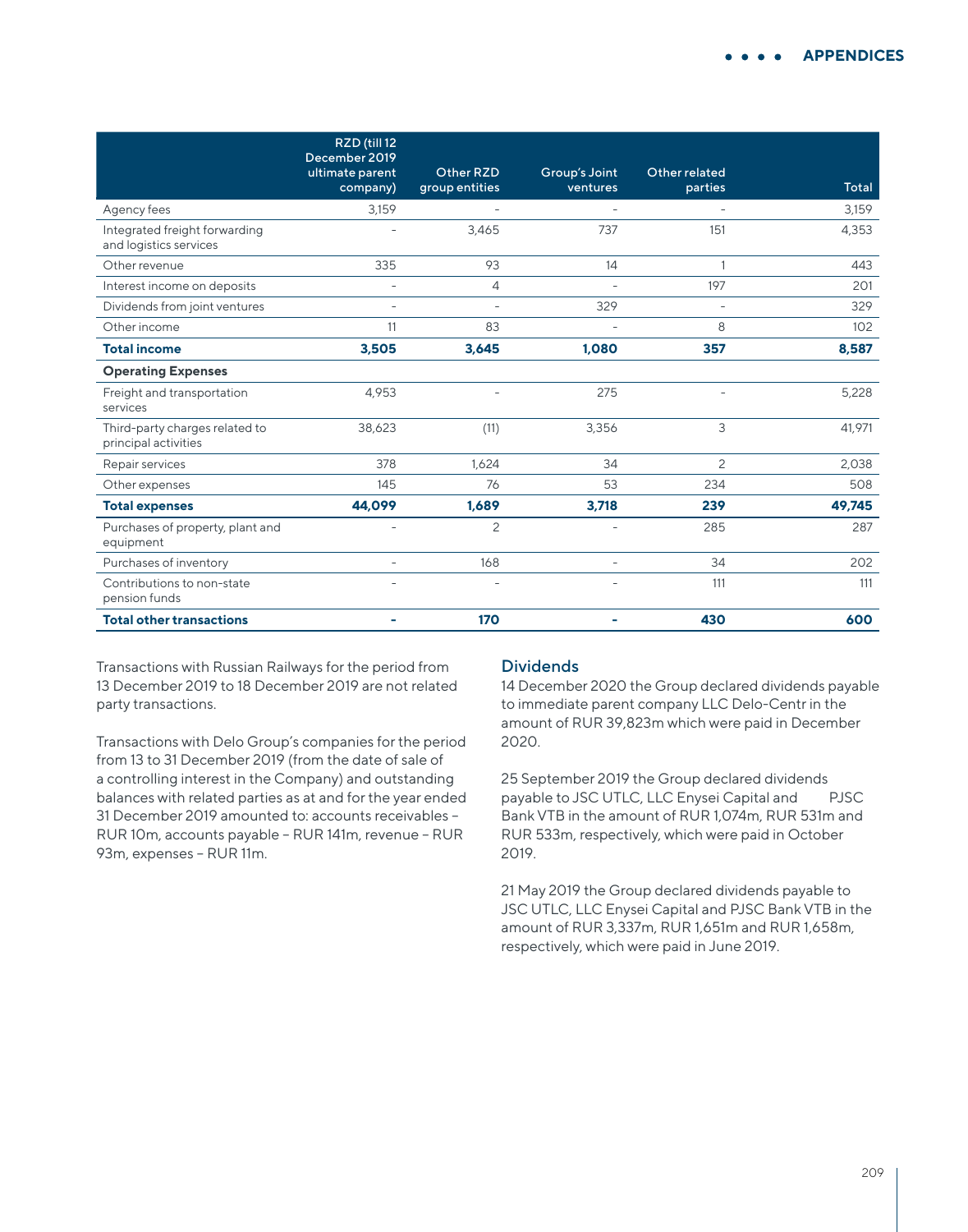|                                                         | RZD (till 12<br>December 2019 | Other RZD                |                           | Other related  |        |
|---------------------------------------------------------|-------------------------------|--------------------------|---------------------------|----------------|--------|
|                                                         | ultimate parent<br>company)   | group entities           | Group's Joint<br>ventures | parties        | Total  |
| Agency fees                                             | 3,159                         |                          |                           |                | 3,159  |
| Integrated freight forwarding<br>and logistics services |                               | 3,465                    | 737                       | 151            | 4,353  |
| Other revenue                                           | 335                           | 93                       | 14                        | $\mathbf{1}$   | 443    |
| Interest income on deposits                             | $\overline{\phantom{a}}$      | 4                        | $\overline{\phantom{a}}$  | 197            | 201    |
| Dividends from joint ventures                           | $\overline{\phantom{a}}$      | $\overline{\phantom{a}}$ | 329                       |                | 329    |
| Other income                                            | 11                            | 83                       | $\overline{\phantom{a}}$  | 8              | 102    |
| <b>Total income</b>                                     | 3,505                         | 3,645                    | 1.080                     | 357            | 8,587  |
| <b>Operating Expenses</b>                               |                               |                          |                           |                |        |
| Freight and transportation<br>services                  | 4,953                         |                          | 275                       |                | 5,228  |
| Third-party charges related to<br>principal activities  | 38,623                        | (11)                     | 3,356                     | 3              | 41.971 |
| Repair services                                         | 378                           | 1,624                    | 34                        | $\overline{c}$ | 2,038  |
| Other expenses                                          | 145                           | 76                       | 53                        | 234            | 508    |
| <b>Total expenses</b>                                   | 44.099                        | 1,689                    | 3,718                     | 239            | 49,745 |
| Purchases of property, plant and<br>equipment           | $\overline{\phantom{a}}$      | $\overline{c}$           | $\overline{\phantom{0}}$  | 285            | 287    |
| Purchases of inventory                                  | $\bar{a}$                     | 168                      | $\overline{\phantom{a}}$  | 34             | 202    |
| Contributions to non-state<br>pension funds             | $\overline{\phantom{a}}$      |                          | $\overline{\phantom{0}}$  | 111            | 111    |
| <b>Total other transactions</b>                         |                               | 170                      |                           | 430            | 600    |

Transactions with Russian Railways for the period from 13 December 2019 to 18 December 2019 are not related party transactions.

Transactions with Delo Group's companies for the period from 13 to 31 December 2019 (from the date of sale of a controlling interest in the Company) and outstanding balances with related parties as at and for the year ended 31 December 2019 amounted to: accounts receivables – RUR 10m, accounts payable – RUR 141m, revenue – RUR 93m, expenses – RUR 11m.

## Dividends

14 December 2020 the Group declared dividends payable to immediate parent company LLC Delo-Centr in the amount of RUR 39,823m which were paid in December 2020.

25 September 2019 the Group declared dividends payable to JSC UTLC, LLC Enysei Capital and PJSC Bank VTB in the amount of RUR 1,074m, RUR 531m and RUR 533m, respectively, which were paid in October 2019.

21 May 2019 the Group declared dividends payable to JSC UTLC, LLC Enysei Capital and PJSC Bank VTB in the amount of RUR 3,337m, RUR 1,651m and RUR 1,658m, respectively, which were paid in June 2019.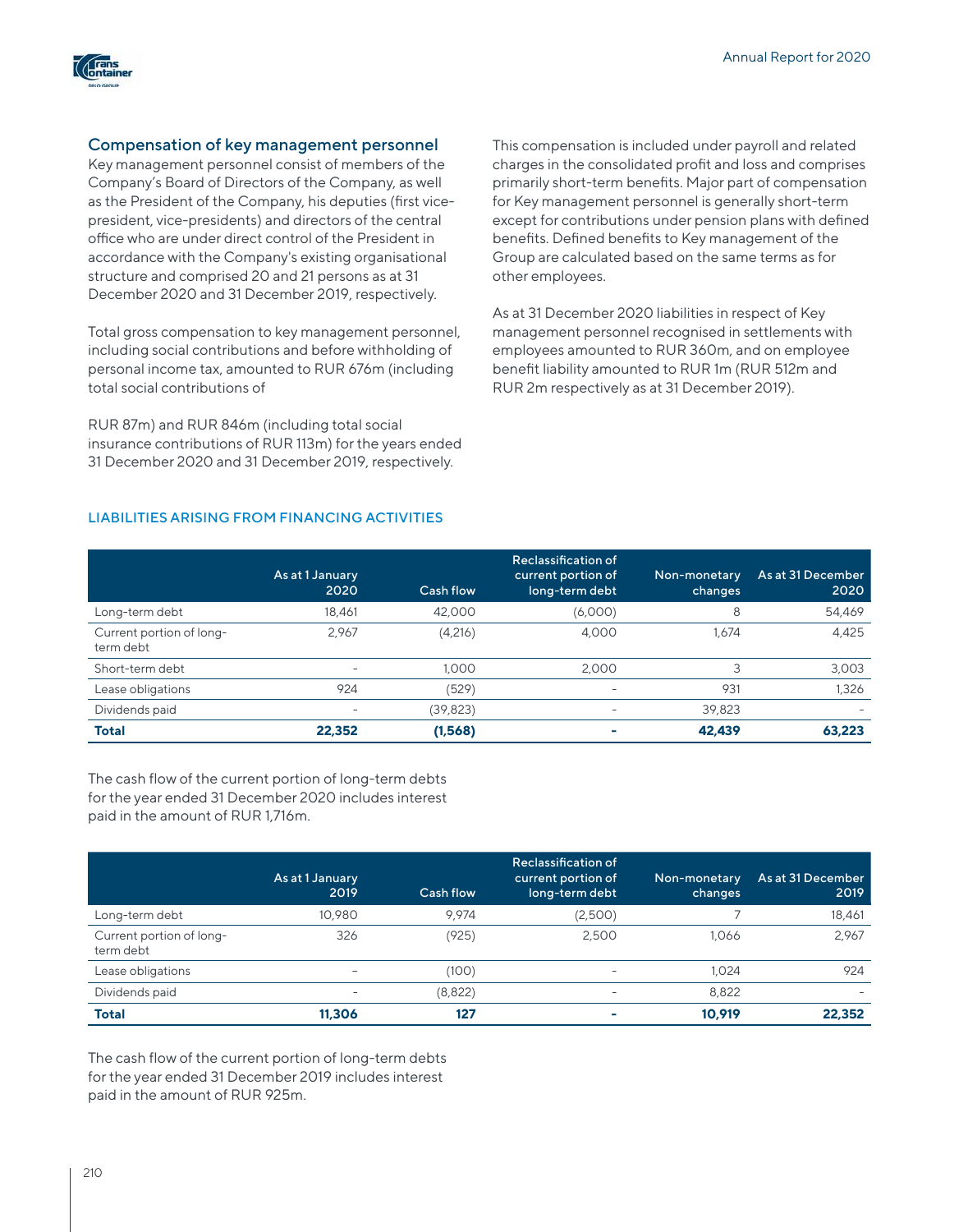

## Compensation of key management personnel

Key management personnel consist of members of the Company's Board of Directors of the Company, as well as the President of the Company, his deputies (first vicepresident, vice-presidents) and directors of the central office who are under direct control of the President in accordance with the Company's existing organisational structure and comprised 20 and 21 persons as at 31 December 2020 and 31 December 2019, respectively.

Total gross compensation to key management personnel, including social contributions and before withholding of personal income tax, amounted to RUR 676m (including total social contributions of

RUR 87m) and RUR 846m (including total social insurance contributions of RUR 113m) for the years ended 31 December 2020 and 31 December 2019, respectively.

This compensation is included under payroll and related charges in the consolidated profit and loss and comprises primarily short-term benefits. Major part of compensation for Key management personnel is generally short-term except for contributions under pension plans with defined benefits. Defined benefits to Key management of the Group are calculated based on the same terms as for other employees.

As at 31 December 2020 liabilities in respect of Key management personnel recognised in settlements with employees amounted to RUR 360m, and on employee benefit liability amounted to RUR 1m (RUR 512m and RUR 2m respectively as at 31 December 2019).

## LIABILITIES ARISING FROM FINANCING ACTIVITIES

|                                       | As at 1 January<br>2020  | Cash flow | Reclassification of<br>current portion of<br>long-term debt | Non-monetary<br>changes | As at 31 December<br>2020 |
|---------------------------------------|--------------------------|-----------|-------------------------------------------------------------|-------------------------|---------------------------|
| Long-term debt                        | 18.461                   | 42,000    | (6,000)                                                     | 8                       | 54,469                    |
| Current portion of long-<br>term debt | 2.967                    | (4,216)   | 4.000                                                       | 1.674                   | 4,425                     |
| Short-term debt                       |                          | 1.000     | 2.000                                                       |                         | 3,003                     |
| Lease obligations                     | 924                      | (529)     |                                                             | 931                     | 1.326                     |
| Dividends paid                        | $\overline{\phantom{0}}$ | (39, 823) |                                                             | 39,823                  |                           |
| <b>Total</b>                          | 22,352                   | (1,568)   |                                                             | 42.439                  | 63.223                    |

The cash flow of the current portion of long-term debts for the year ended 31 December 2020 includes interest paid in the amount of RUR 1,716m.

|                                       | As at 1 January<br>2019  | Cash flow | Reclassification of<br>current portion of<br>long-term debt | Non-monetary<br>changes | As at 31 December<br>2019 |
|---------------------------------------|--------------------------|-----------|-------------------------------------------------------------|-------------------------|---------------------------|
| Long-term debt                        | 10.980                   | 9.974     | (2,500)                                                     |                         | 18,461                    |
| Current portion of long-<br>term debt | 326                      | (925)     | 2.500                                                       | 1.066                   | 2,967                     |
| Lease obligations                     |                          | (100)     |                                                             | 1.024                   | 924                       |
| Dividends paid                        | $\overline{\phantom{0}}$ | (8,822)   |                                                             | 8.822                   |                           |
| <b>Total</b>                          | 11.306                   | 127       |                                                             | 10.919                  | 22.352                    |

The cash flow of the current portion of long-term debts for the year ended 31 December 2019 includes interest paid in the amount of RUR 925m.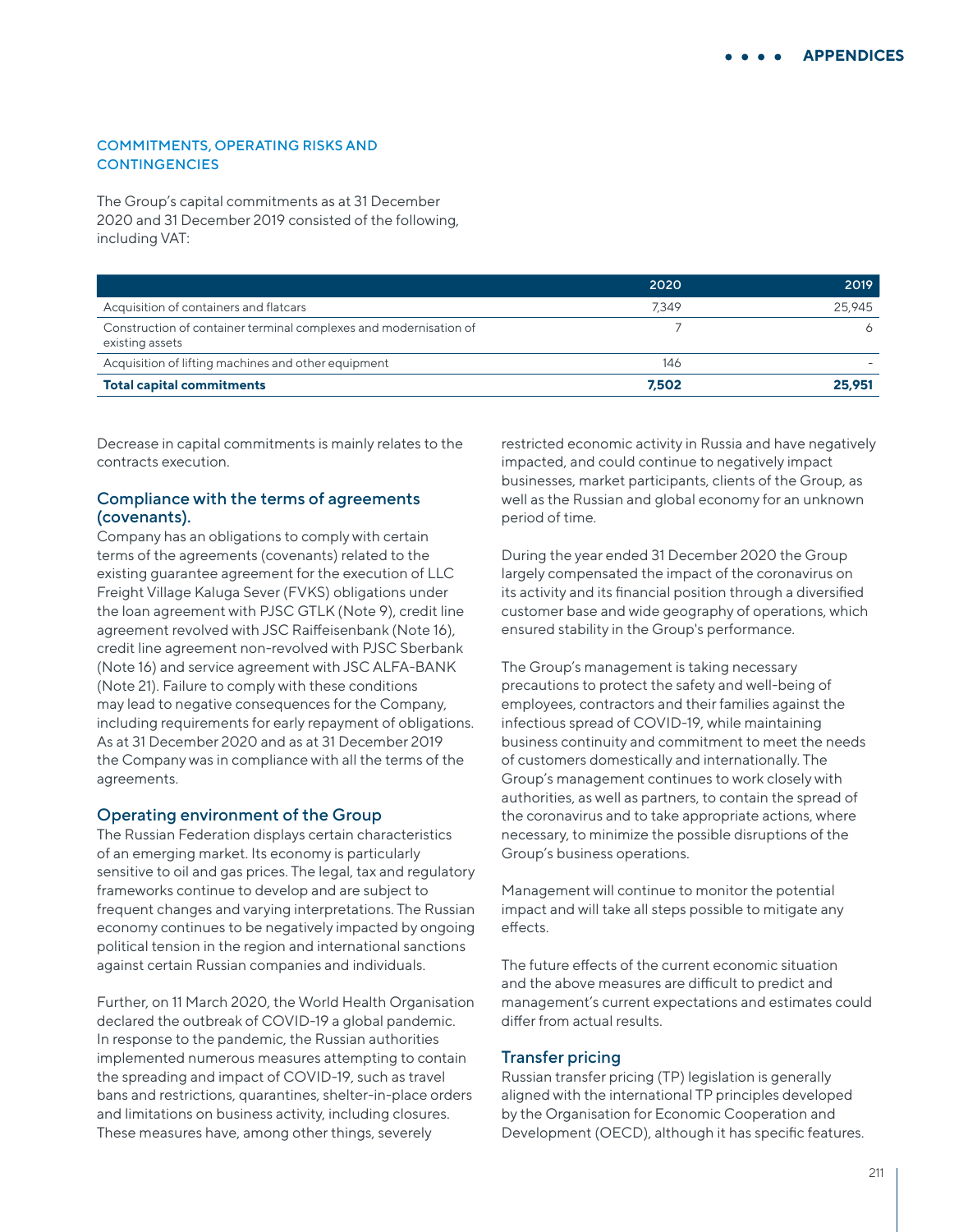#### COMMITMENTS, OPERATING RISKS AND **CONTINGENCIES**

The Group's capital commitments as at 31 December 2020 and 31 December 2019 consisted of the following, including VAT:

|                                                                                      | 2020  | 2019   |
|--------------------------------------------------------------------------------------|-------|--------|
| Acquisition of containers and flatcars                                               | 7.349 | 25,945 |
| Construction of container terminal complexes and modernisation of<br>existing assets |       |        |
| Acquisition of lifting machines and other equipment                                  | 146   |        |
| <b>Total capital commitments</b>                                                     | 7.502 | 25.951 |

Decrease in capital commitments is mainly relates to the contracts execution.

## Compliance with the terms of agreements (covenants).

Company has an obligations to comply with certain terms of the agreements (covenants) related to the existing guarantee agreement for the execution of LLC Freight Village Kaluga Sever (FVKS) obligations under the loan agreement with PJSC GTLK (Note 9), credit line agreement revolved with JSC Raiffeisenbank (Note 16), credit line agreement non-revolved with PJSC Sberbank (Note 16) and service agreement with JSC ALFA-BANK (Note 21). Failure to comply with these conditions may lead to negative consequences for the Company, including requirements for early repayment of obligations. As at 31 December 2020 and as at 31 December 2019 the Company was in compliance with all the terms of the agreements.

#### Operating environment of the Group

The Russian Federation displays certain characteristics of an emerging market. Its economy is particularly sensitive to oil and gas prices. The legal, tax and regulatory frameworks continue to develop and are subject to frequent changes and varying interpretations. The Russian economy continues to be negatively impacted by ongoing political tension in the region and international sanctions against certain Russian companies and individuals.

Further, on 11 March 2020, the World Health Organisation declared the outbreak of COVID-19 a global pandemic. In response to the pandemic, the Russian authorities implemented numerous measures attempting to contain the spreading and impact of COVID-19, such as travel bans and restrictions, quarantines, shelter-in-place orders and limitations on business activity, including closures. These measures have, among other things, severely

restricted economic activity in Russia and have negatively impacted, and could continue to negatively impact businesses, market participants, clients of the Group, as well as the Russian and global economy for an unknown period of time.

During the year ended 31 December 2020 the Group largely compensated the impact of the coronavirus on its activity and its financial position through a diversified customer base and wide geography of operations, which ensured stability in the Group's performance.

The Group's management is taking necessary precautions to protect the safety and well-being of employees, contractors and their families against the infectious spread of COVID-19, while maintaining business continuity and commitment to meet the needs of customers domestically and internationally. The Group's management continues to work closely with authorities, as well as partners, to contain the spread of the coronavirus and to take appropriate actions, where necessary, to minimize the possible disruptions of the Group's business operations.

Management will continue to monitor the potential impact and will take all steps possible to mitigate any effects.

The future effects of the current economic situation and the above measures are difficult to predict and management's current expectations and estimates could differ from actual results.

## Transfer pricing

Russian transfer pricing (TP) legislation is generally aligned with the international TP principles developed by the Organisation for Economic Cooperation and Development (OECD), although it has specific features.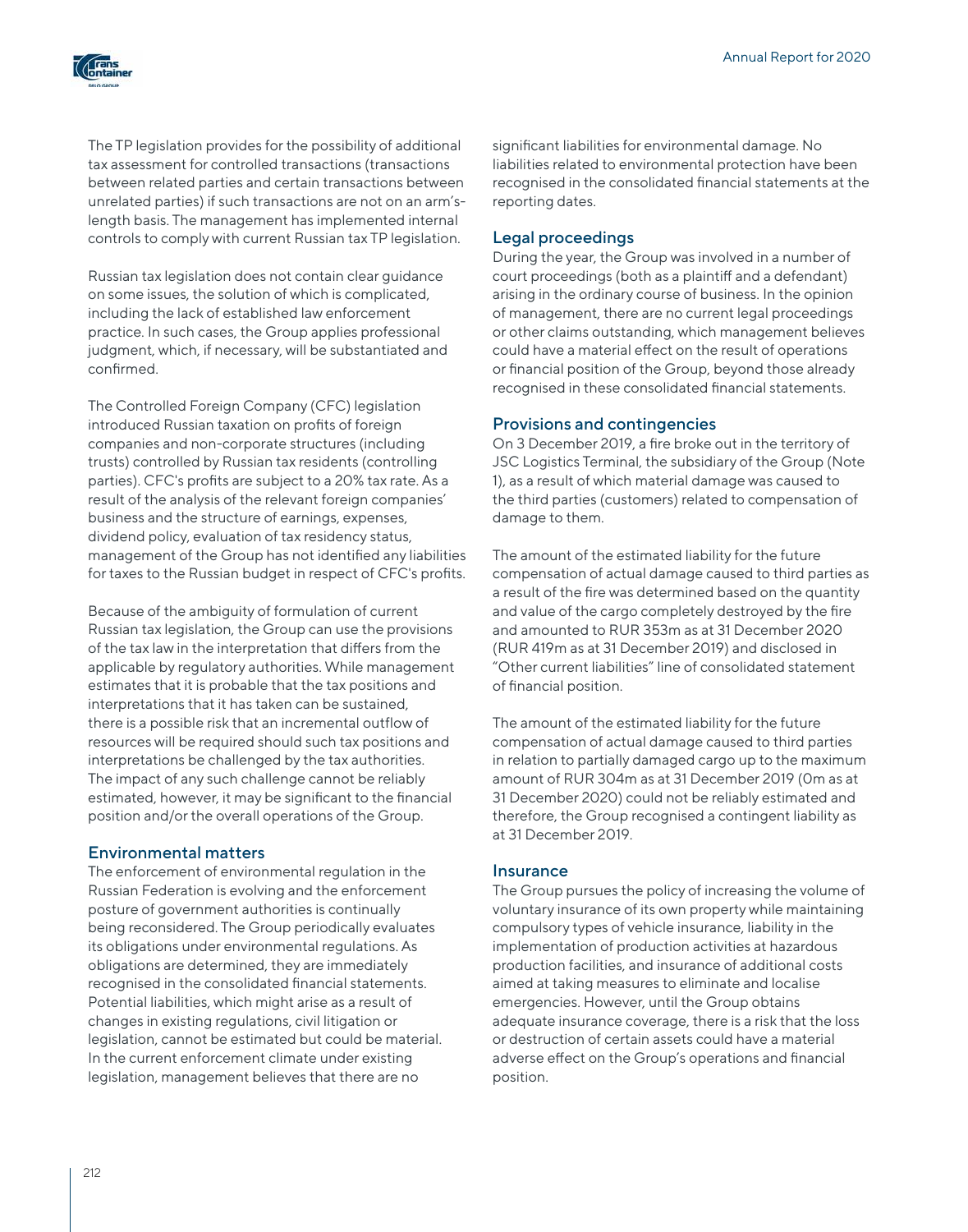

The TP legislation provides for the possibility of additional tax assessment for controlled transactions (transactions between related parties and certain transactions between unrelated parties) if such transactions are not on an arm'slength basis. The management has implemented internal controls to comply with current Russian tax TP legislation.

Russian tax legislation does not contain clear guidance on some issues, the solution of which is complicated, including the lack of established law enforcement practice. In such cases, the Group applies professional judgment, which, if necessary, will be substantiated and confirmed.

The Controlled Foreign Company (CFC) legislation introduced Russian taxation on profits of foreign companies and non-corporate structures (including trusts) controlled by Russian tax residents (controlling parties). CFC's profits are subject to a 20% tax rate. As a result of the analysis of the relevant foreign companies' business and the structure of earnings, expenses, dividend policy, evaluation of tax residency status, management of the Group has not identified any liabilities for taxes to the Russian budget in respect of CFC's profits.

Because of the ambiguity of formulation of current Russian tax legislation, the Group can use the provisions of the tax law in the interpretation that differs from the applicable by regulatory authorities. While management estimates that it is probable that the tax positions and interpretations that it has taken can be sustained, there is a possible risk that an incremental outflow of resources will be required should such tax positions and interpretations be challenged by the tax authorities. The impact of any such challenge cannot be reliably estimated, however, it may be significant to the financial position and/or the overall operations of the Group.

## Environmental matters

The enforcement of environmental regulation in the Russian Federation is evolving and the enforcement posture of government authorities is continually being reconsidered. The Group periodically evaluates its obligations under environmental regulations. As obligations are determined, they are immediately recognised in the consolidated financial statements. Potential liabilities, which might arise as a result of changes in existing regulations, civil litigation or legislation, cannot be estimated but could be material. In the current enforcement climate under existing legislation, management believes that there are no

significant liabilities for environmental damage. No liabilities related to environmental protection have been recognised in the consolidated financial statements at the reporting dates.

### Legal proceedings

During the year, the Group was involved in a number of court proceedings (both as a plaintiff and a defendant) arising in the ordinary course of business. In the opinion of management, there are no current legal proceedings or other claims outstanding, which management believes could have a material effect on the result of operations or financial position of the Group, beyond those already recognised in these consolidated financial statements.

#### Provisions and contingencies

On 3 December 2019, a fire broke out in the territory of JSC Logistics Terminal, the subsidiary of the Group (Note 1), as a result of which material damage was caused to the third parties (customers) related to compensation of damage to them.

The amount of the estimated liability for the future compensation of actual damage caused to third parties as a result of the fire was determined based on the quantity and value of the cargo completely destroyed by the fire and amounted to RUR 353m as at 31 December 2020 (RUR 419m as at 31 December 2019) and disclosed in "Other current liabilities" line of consolidated statement of financial position.

The amount of the estimated liability for the future compensation of actual damage caused to third parties in relation to partially damaged cargo up to the maximum amount of RUR 304m as at 31 December 2019 (0m as at 31 December 2020) could not be reliably estimated and therefore, the Group recognised a contingent liability as at 31 December 2019.

## Insurance

The Group pursues the policy of increasing the volume of voluntary insurance of its own property while maintaining compulsory types of vehicle insurance, liability in the implementation of production activities at hazardous production facilities, and insurance of additional costs aimed at taking measures to eliminate and localise emergencies. However, until the Group obtains adequate insurance coverage, there is a risk that the loss or destruction of certain assets could have a material adverse effect on the Group's operations and financial position.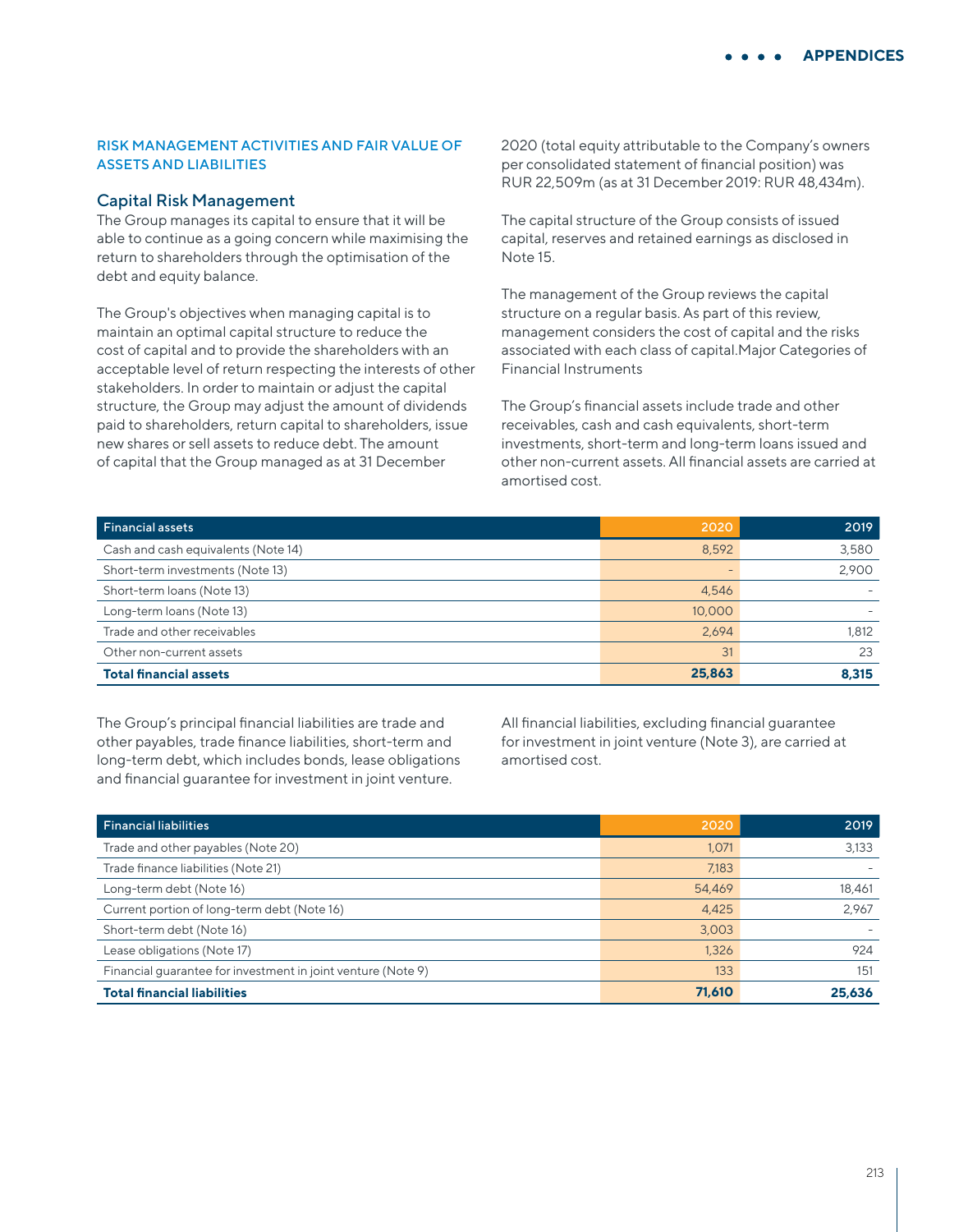## RISK MANAGEMENT ACTIVITIES AND FAIR VALUE OF ASSETS AND LIABILITIES

#### Capital Risk Management

The Group manages its capital to ensure that it will be able to continue as a going concern while maximising the return to shareholders through the optimisation of the debt and equity balance.

The Group's objectives when managing capital is to maintain an optimal capital structure to reduce the cost of capital and to provide the shareholders with an acceptable level of return respecting the interests of other stakeholders. In order to maintain or adjust the capital structure, the Group may adjust the amount of dividends paid to shareholders, return capital to shareholders, issue new shares or sell assets to reduce debt. The amount of capital that the Group managed as at 31 December

2020 (total equity attributable to the Company's owners per consolidated statement of financial position) was RUR 22,509m (as at 31 December 2019: RUR 48,434m).

The capital structure of the Group consists of issued capital, reserves and retained earnings as disclosed in Note 15.

The management of the Group reviews the capital structure on a regular basis. As part of this review, management considers the cost of capital and the risks associated with each class of capital.Major Categories of Financial Instruments

The Group's financial assets include trade and other receivables, cash and cash equivalents, short-term investments, short-term and long-term loans issued and other non-current assets. All financial assets are carried at amortised cost.

| <b>Financial assets</b>             | 2020   | 2019  |
|-------------------------------------|--------|-------|
| Cash and cash equivalents (Note 14) | 8,592  | 3,580 |
| Short-term investments (Note 13)    | -      | 2,900 |
| Short-term loans (Note 13)          | 4,546  |       |
| Long-term loans (Note 13)           | 10,000 |       |
| Trade and other receivables         | 2.694  | 1,812 |
| Other non-current assets            | 31     | 23    |
| <b>Total financial assets</b>       | 25,863 | 8.315 |

The Group's principal financial liabilities are trade and other payables, trade finance liabilities, short-term and long-term debt, which includes bonds, lease obligations and financial guarantee for investment in joint venture.

All financial liabilities, excluding financial guarantee for investment in joint venture (Note 3), are carried at amortised cost.

| <b>Financial liabilities</b>                                 | 2020   | 2019   |
|--------------------------------------------------------------|--------|--------|
| Trade and other payables (Note 20)                           | 1,071  | 3,133  |
| Trade finance liabilities (Note 21)                          | 7,183  |        |
| Long-term debt (Note 16)                                     | 54,469 | 18,461 |
| Current portion of long-term debt (Note 16)                  | 4,425  | 2.967  |
| Short-term debt (Note 16)                                    | 3,003  |        |
| Lease obligations (Note 17)                                  | 1,326  | 924    |
| Financial quarantee for investment in joint venture (Note 9) | 133    | 151    |
| <b>Total financial liabilities</b>                           | 71.610 | 25,636 |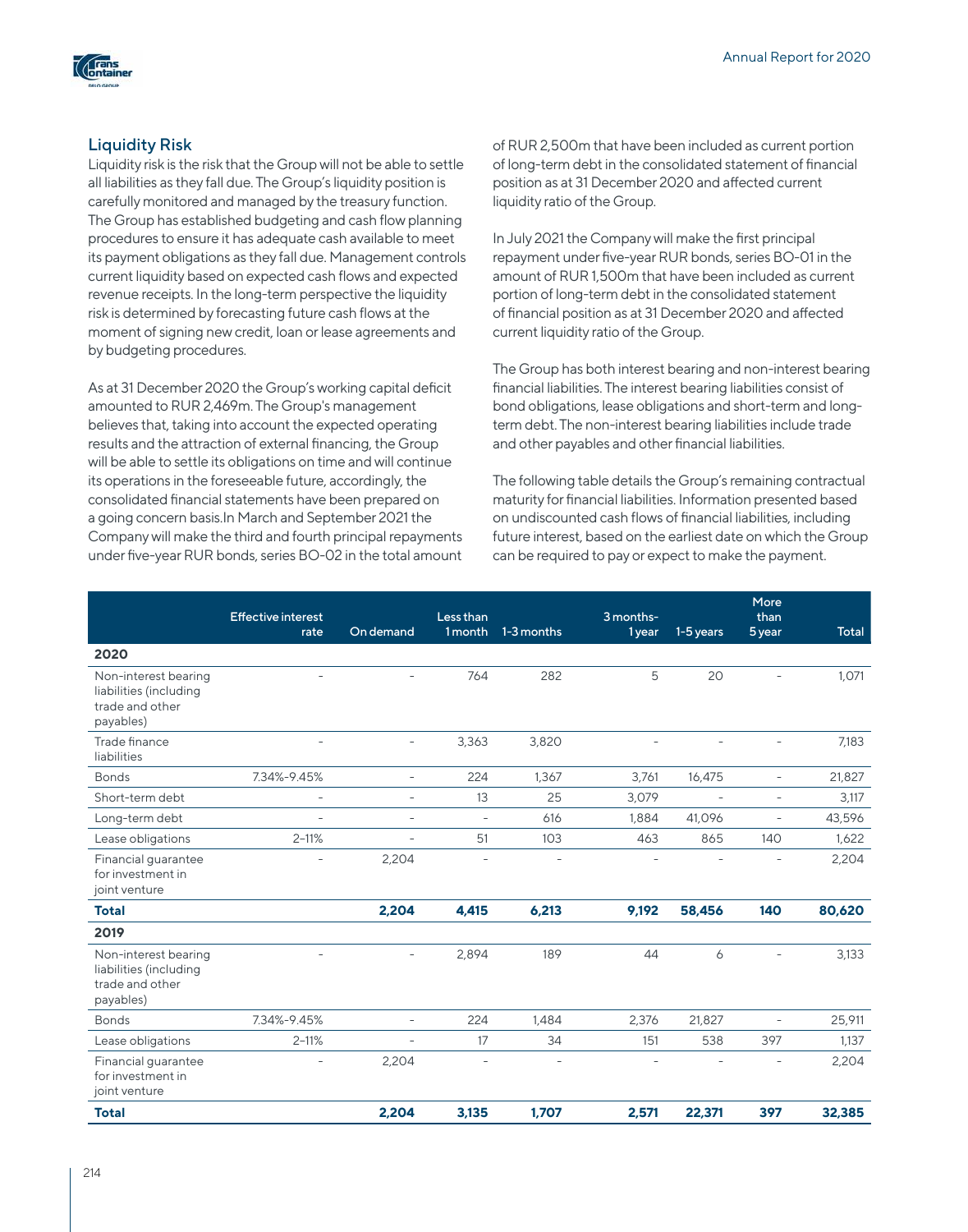

# Liquidity Risk

Liquidity risk is the risk that the Group will not be able to settle all liabilities as they fall due. The Group's liquidity position is carefully monitored and managed by the treasury function. The Group has established budgeting and cash flow planning procedures to ensure it has adequate cash available to meet its payment obligations as they fall due. Management controls current liquidity based on expected cash flows and expected revenue receipts. In the long-term perspective the liquidity risk is determined by forecasting future cash flows at the moment of signing new credit, loan or lease agreements and by budgeting procedures.

As at 31 December 2020 the Group's working capital deficit amounted to RUR 2,469m. The Group's management believes that, taking into account the expected operating results and the attraction of external financing, the Group will be able to settle its obligations on time and will continue its operations in the foreseeable future, accordingly, the consolidated financial statements have been prepared on a going concern basis.In March and September 2021 the Company will make the third and fourth principal repayments under five-year RUR bonds, series BO-02 in the total amount of RUR 2,500m that have been included as current portion of long-term debt in the consolidated statement of financial position as at 31 December 2020 and affected current liquidity ratio of the Group.

In July 2021 the Company will make the first principal repayment under five-year RUR bonds, series BO-01 in the amount of RUR 1,500m that have been included as current portion of long-term debt in the consolidated statement of financial position as at 31 December 2020 and affected current liquidity ratio of the Group.

The Group has both interest bearing and non-interest bearing financial liabilities. The interest bearing liabilities consist of bond obligations, lease obligations and short-term and longterm debt. The non-interest bearing liabilities include trade and other payables and other financial liabilities.

The following table details the Group's remaining contractual maturity for financial liabilities. Information presented based on undiscounted cash flows of financial liabilities, including future interest, based on the earliest date on which the Group can be required to pay or expect to make the payment.

|                                                                                | <b>Effective interest</b><br>rate | On demand                | Less than<br>1 month     | 1-3 months               | 3 months-<br>1 year | 1-5 years      | More<br>than<br>5 year   | <b>Total</b> |
|--------------------------------------------------------------------------------|-----------------------------------|--------------------------|--------------------------|--------------------------|---------------------|----------------|--------------------------|--------------|
| 2020                                                                           |                                   |                          |                          |                          |                     |                |                          |              |
| Non-interest bearing<br>liabilities (including<br>trade and other<br>payables) | L,                                |                          | 764                      | 282                      | 5                   | 20             |                          | 1,071        |
| Trade finance<br>liabilities                                                   | $\sim$                            | $\overline{\phantom{a}}$ | 3,363                    | 3,820                    | ÷                   |                | $\overline{\phantom{a}}$ | 7,183        |
| <b>Bonds</b>                                                                   | 7.34%-9.45%                       | $\overline{\phantom{a}}$ | 224                      | 1.367                    | 3,761               | 16,475         | $\overline{\phantom{a}}$ | 21,827       |
| Short-term debt                                                                | $\overline{\phantom{a}}$          | $\overline{\phantom{a}}$ | 13                       | 25                       | 3,079               | $\overline{a}$ | $\overline{\phantom{a}}$ | 3,117        |
| Long-term debt                                                                 | $\sim$                            | $\overline{\phantom{a}}$ | $\overline{\phantom{a}}$ | 616                      | 1,884               | 41,096         | $\overline{\phantom{a}}$ | 43,596       |
| Lease obligations                                                              | $2 - 11%$                         | $\overline{\phantom{a}}$ | 51                       | 103                      | 463                 | 865            | 140                      | 1,622        |
| Financial guarantee<br>for investment in<br>joint venture                      |                                   | 2,204                    | $\overline{\phantom{a}}$ | $\overline{\phantom{a}}$ | $\sim$              |                | $\overline{\phantom{a}}$ | 2,204        |
| <b>Total</b>                                                                   |                                   | 2,204                    | 4.415                    | 6,213                    | 9,192               | 58,456         | 140                      | 80,620       |
| 2019                                                                           |                                   |                          |                          |                          |                     |                |                          |              |
| Non-interest bearing<br>liabilities (including<br>trade and other<br>payables) |                                   |                          | 2,894                    | 189                      | 44                  | 6              |                          | 3,133        |
| <b>Bonds</b>                                                                   | 7.34%-9.45%                       | $\overline{\phantom{0}}$ | 224                      | 1.484                    | 2,376               | 21,827         | $\overline{\phantom{a}}$ | 25,911       |
| Lease obligations                                                              | $2 - 11%$                         | $\overline{\phantom{a}}$ | 17                       | 34                       | 151                 | 538            | 397                      | 1,137        |
| Financial guarantee<br>for investment in<br>joint venture                      |                                   | 2,204                    | $\overline{\phantom{a}}$ | $\overline{\phantom{a}}$ |                     |                |                          | 2,204        |
| <b>Total</b>                                                                   |                                   | 2,204                    | 3,135                    | 1,707                    | 2,571               | 22,371         | 397                      | 32,385       |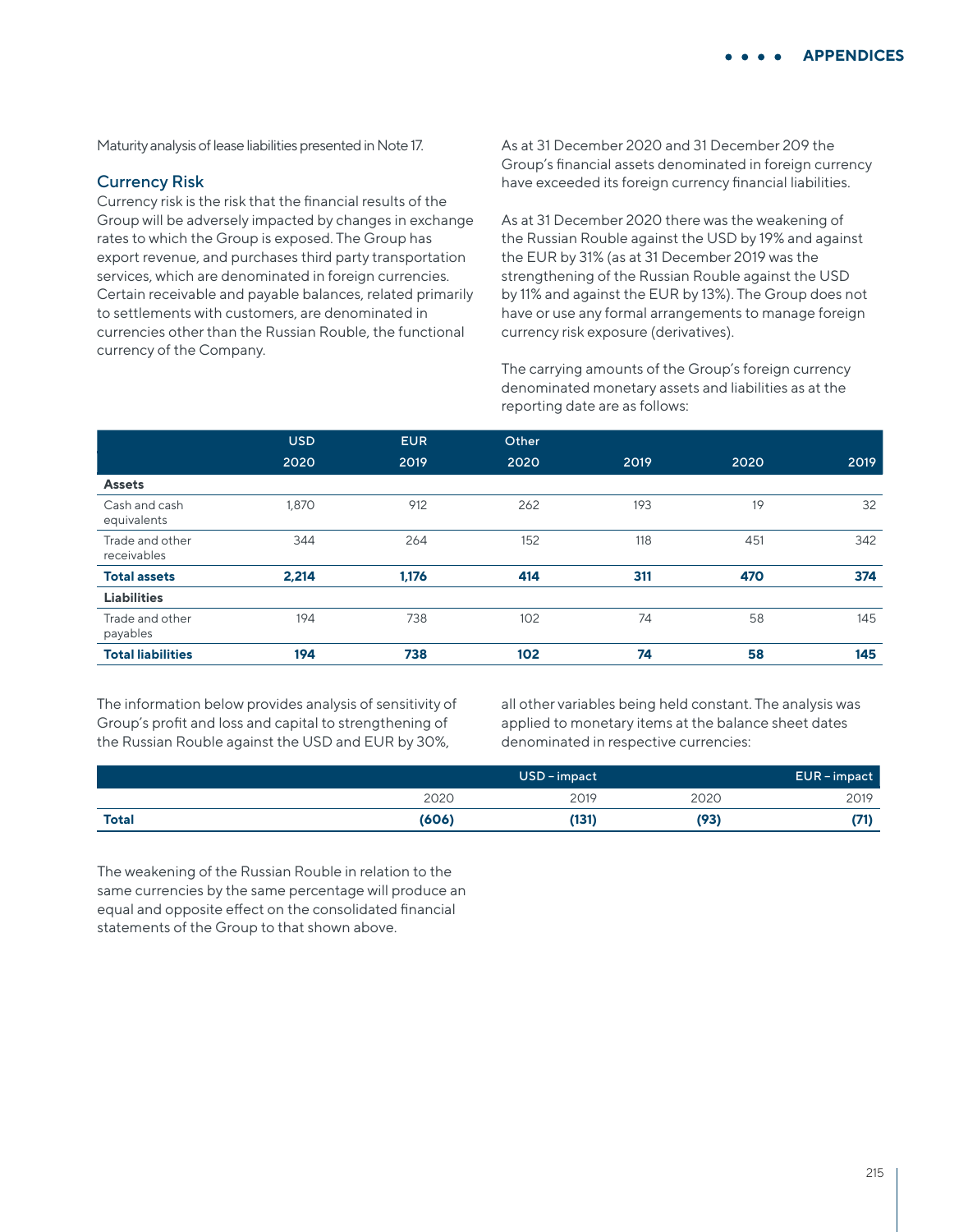Maturity analysis of lease liabilities presented in Note 17.

### Currency Risk

Currency risk is the risk that the financial results of the Group will be adversely impacted by changes in exchange rates to which the Group is exposed. The Group has export revenue, and purchases third party transportation services, which are denominated in foreign currencies. Certain receivable and payable balances, related primarily to settlements with customers, are denominated in currencies other than the Russian Rouble, the functional currency of the Company.

As at 31 December 2020 and 31 December 209 the Group's financial assets denominated in foreign currency have exceeded its foreign currency financial liabilities.

As at 31 December 2020 there was the weakening of the Russian Rouble against the USD by 19% and against the EUR by 31% (as at 31 December 2019 was the strengthening of the Russian Rouble against the USD by 11% and against the EUR by 13%). The Group does not have or use any formal arrangements to manage foreign currency risk exposure (derivatives).

The carrying amounts of the Group's foreign currency denominated monetary assets and liabilities as at the reporting date are as follows:

|                                | <b>USD</b> | <b>EUR</b> | Other |      |      |      |
|--------------------------------|------------|------------|-------|------|------|------|
|                                | 2020       | 2019       | 2020  | 2019 | 2020 | 2019 |
| <b>Assets</b>                  |            |            |       |      |      |      |
| Cash and cash<br>equivalents   | 1,870      | 912        | 262   | 193  | 19   | 32   |
| Trade and other<br>receivables | 344        | 264        | 152   | 118  | 451  | 342  |
| <b>Total assets</b>            | 2,214      | 1,176      | 414   | 311  | 470  | 374  |
| <b>Liabilities</b>             |            |            |       |      |      |      |
| Trade and other<br>payables    | 194        | 738        | 102   | 74   | 58   | 145  |
| <b>Total liabilities</b>       | 194        | 738        | 102   | 74   | 58   | 145  |

The information below provides analysis of sensitivity of Group's profit and loss and capital to strengthening of the Russian Rouble against the USD and EUR by 30%,

all other variables being held constant. The analysis was applied to monetary items at the balance sheet dates denominated in respective currencies:

|              | USD-impact |       |      | EUR-impact |
|--------------|------------|-------|------|------------|
|              | 2020       | 2019  | 2020 | 2019       |
| <b>Total</b> | (606)      | (131) | (93  |            |

The weakening of the Russian Rouble in relation to the same currencies by the same percentage will produce an equal and opposite effect on the consolidated financial statements of the Group to that shown above.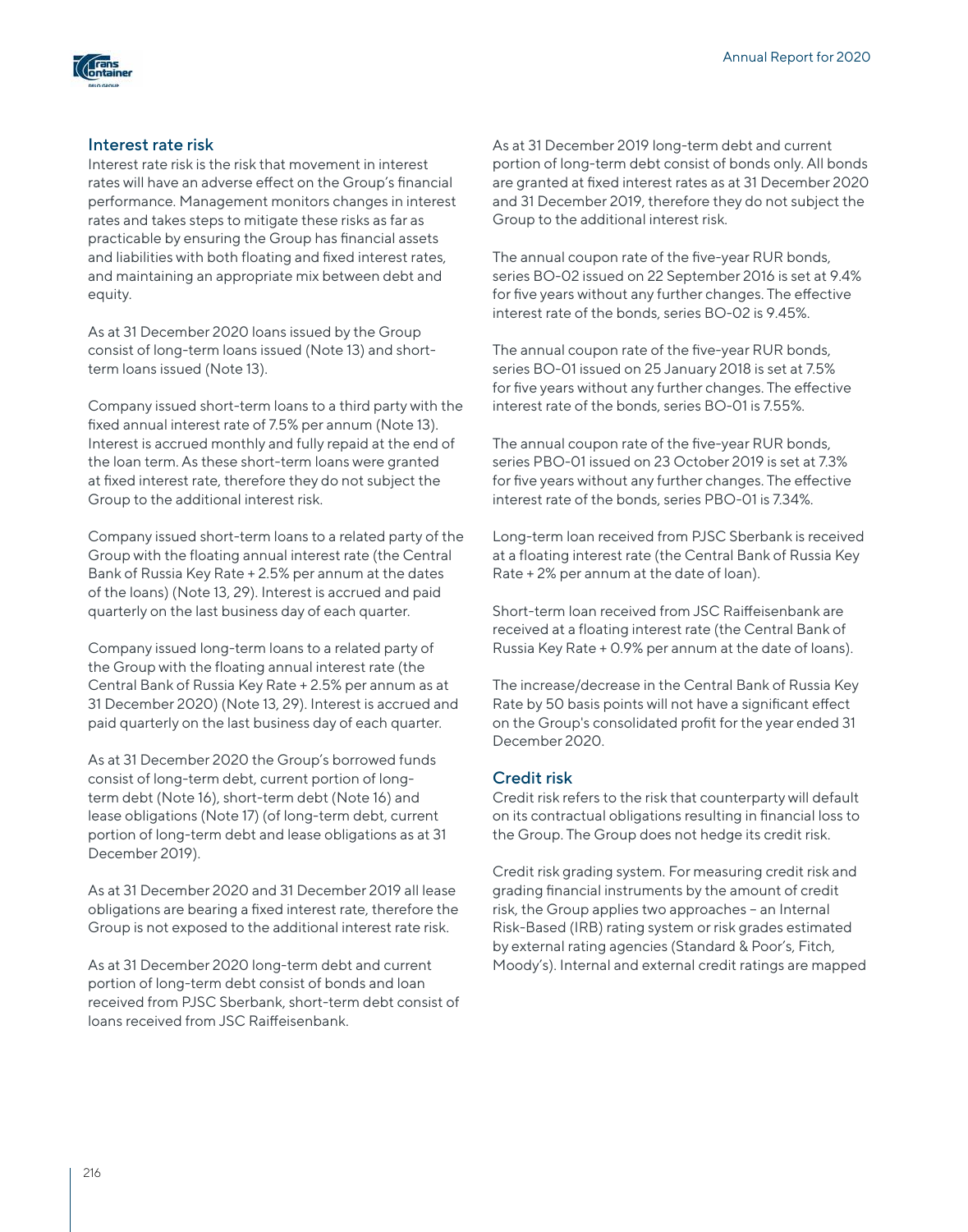

## Interest rate risk

Interest rate risk is the risk that movement in interest rates will have an adverse effect on the Group's financial performance. Management monitors changes in interest rates and takes steps to mitigate these risks as far as practicable by ensuring the Group has financial assets and liabilities with both floating and fixed interest rates, and maintaining an appropriate mix between debt and equity.

As at 31 December 2020 loans issued by the Group consist of long-term loans issued (Note 13) and shortterm loans issued (Note 13).

Company issued short-term loans to a third party with the fixed annual interest rate of 7.5% per annum (Note 13). Interest is accrued monthly and fully repaid at the end of the loan term. As these short-term loans were granted at fixed interest rate, therefore they do not subject the Group to the additional interest risk.

Company issued short-term loans to a related party of the Group with the floating annual interest rate (the Central Bank of Russia Key Rate + 2.5% per annum at the dates of the loans) (Note 13, 29). Interest is accrued and paid quarterly on the last business day of each quarter.

Company issued long-term loans to a related party of the Group with the floating annual interest rate (the Central Bank of Russia Key Rate + 2.5% per annum as at 31 December 2020) (Note 13, 29). Interest is accrued and paid quarterly on the last business day of each quarter.

As at 31 December 2020 the Group's borrowed funds consist of long-term debt, current portion of longterm debt (Note 16), short-term debt (Note 16) and lease obligations (Note 17) (of long-term debt, current portion of long-term debt and lease obligations as at 31 December 2019).

As at 31 December 2020 and 31 December 2019 all lease obligations are bearing a fixed interest rate, therefore the Group is not exposed to the additional interest rate risk.

As at 31 December 2020 long-term debt and current portion of long-term debt consist of bonds and loan received from PJSC Sberbank, short-term debt consist of loans received from JSC Raiffeisenbank.

As at 31 December 2019 long-term debt and current portion of long-term debt consist of bonds only. All bonds are granted at fixed interest rates as at 31 December 2020 and 31 December 2019, therefore they do not subject the Group to the additional interest risk.

The annual coupon rate of the five-year RUR bonds, series BO-02 issued on 22 September 2016 is set at 9.4% for five years without any further changes. The effective interest rate of the bonds, series BO-02 is 9.45%.

The annual coupon rate of the five-year RUR bonds, series BO-01 issued on 25 January 2018 is set at 7.5% for five years without any further changes. The effective interest rate of the bonds, series BO-01 is 7.55%.

The annual coupon rate of the five-year RUR bonds, series PBO-01 issued on 23 October 2019 is set at 7.3% for five years without any further changes. The effective interest rate of the bonds, series PBO-01 is 7.34%.

Long-term loan received from PJSC Sberbank is received at a floating interest rate (the Central Bank of Russia Key Rate + 2% per annum at the date of loan).

Short-term loan received from JSC Raiffeisenbank are received at a floating interest rate (the Central Bank of Russia Key Rate + 0.9% per annum at the date of loans).

The increase/decrease in the Central Bank of Russia Key Rate by 50 basis points will not have a significant effect on the Group's consolidated profit for the year ended 31 December 2020.

## Credit risk

Credit risk refers to the risk that counterparty will default on its contractual obligations resulting in financial loss to the Group. The Group does not hedge its credit risk.

Credit risk grading system. For measuring credit risk and grading financial instruments by the amount of credit risk, the Group applies two approaches – an Internal Risk-Based (IRB) rating system or risk grades estimated by external rating agencies (Standard & Poor's, Fitch, Moody's). Internal and external credit ratings are mapped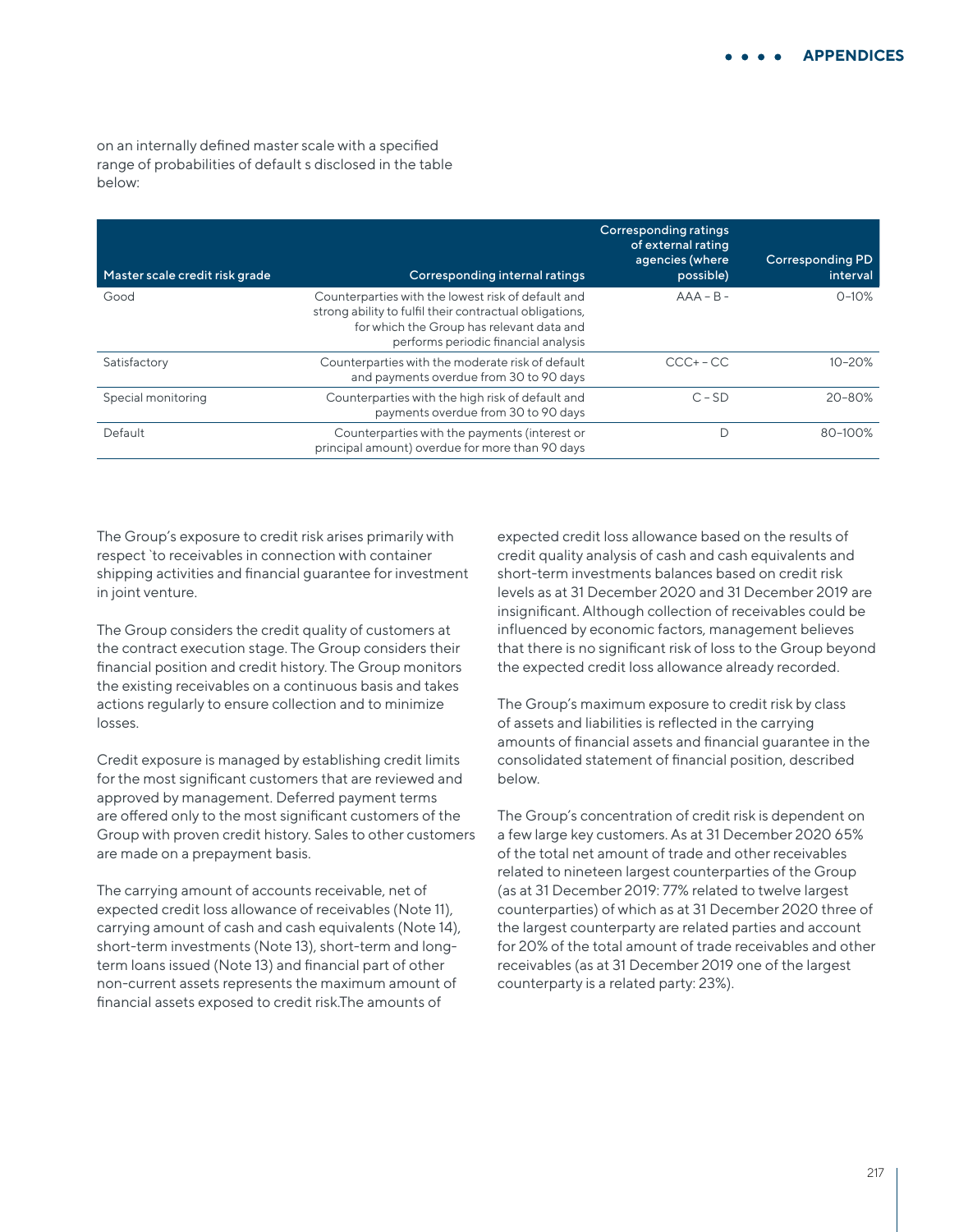on an internally defined master scale with a specified range of probabilities of default s disclosed in the table below:

| Master scale credit risk grade | Corresponding internal ratings                                                                                                                                                                     | Corresponding ratings<br>of external rating<br>agencies (where<br>possible) | <b>Corresponding PD</b><br>interval |
|--------------------------------|----------------------------------------------------------------------------------------------------------------------------------------------------------------------------------------------------|-----------------------------------------------------------------------------|-------------------------------------|
| Good                           | Counterparties with the lowest risk of default and<br>strong ability to fulfil their contractual obligations,<br>for which the Group has relevant data and<br>performs periodic financial analysis | $AAA - B -$                                                                 | $0 - 10%$                           |
| Satisfactory                   | Counterparties with the moderate risk of default<br>and payments overdue from 30 to 90 days                                                                                                        | $CCC + - CC$                                                                | $10 - 20%$                          |
| Special monitoring             | Counterparties with the high risk of default and<br>payments overdue from 30 to 90 days                                                                                                            | $C - SD$                                                                    | $20 - 80%$                          |
| Default                        | Counterparties with the payments (interest or<br>principal amount) overdue for more than 90 days                                                                                                   |                                                                             | 80-100%                             |

The Group's exposure to credit risk arises primarily with respect `to receivables in connection with container shipping activities and financial guarantee for investment in joint venture.

The Group considers the credit quality of customers at the contract execution stage. The Group considers their financial position and credit history. The Group monitors the existing receivables on a continuous basis and takes actions regularly to ensure collection and to minimize losses.

Credit exposure is managed by establishing credit limits for the most significant customers that are reviewed and approved by management. Deferred payment terms are offered only to the most significant customers of the Group with proven credit history. Sales to other customers are made on a prepayment basis.

The carrying amount of accounts receivable, net of expected credit loss allowance of receivables (Note 11), carrying amount of cash and cash equivalents (Note 14), short-term investments (Note 13), short-term and longterm loans issued (Note 13) and financial part of other non-current assets represents the maximum amount of financial assets exposed to credit risk.The amounts of

expected credit loss allowance based on the results of credit quality analysis of cash and cash equivalents and short-term investments balances based on credit risk levels as at 31 December 2020 and 31 December 2019 are insignificant. Although collection of receivables could be influenced by economic factors, management believes that there is no significant risk of loss to the Group beyond the expected credit loss allowance already recorded.

The Group's maximum exposure to credit risk by class of assets and liabilities is reflected in the carrying amounts of financial assets and financial guarantee in the consolidated statement of financial position, described below.

The Group's concentration of credit risk is dependent on a few large key customers. As at 31 December 2020 65% of the total net amount of trade and other receivables related to nineteen largest counterparties of the Group (as at 31 December 2019: 77% related to twelve largest counterparties) of which as at 31 December 2020 three of the largest counterparty are related parties and account for 20% of the total amount of trade receivables and other receivables (as at 31 December 2019 one of the largest counterparty is a related party: 23%).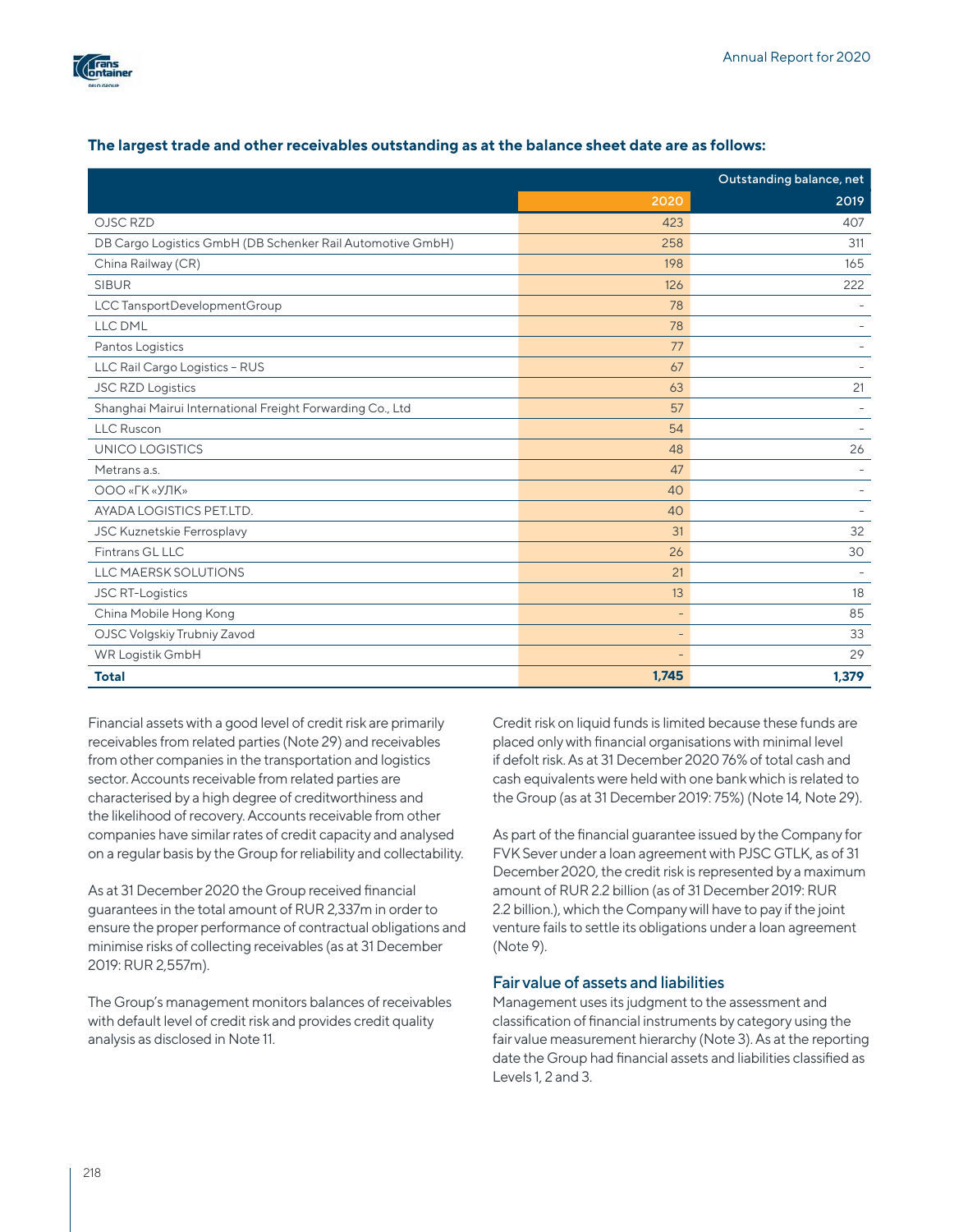

|                                                            |                          | Outstanding balance, net |  |
|------------------------------------------------------------|--------------------------|--------------------------|--|
|                                                            | 2020                     | 2019                     |  |
| OJSC RZD                                                   | 423                      | 407                      |  |
| DB Cargo Logistics GmbH (DB Schenker Rail Automotive GmbH) | 258                      | 311                      |  |
| China Railway (CR)                                         | 198                      | 165                      |  |
| <b>SIBUR</b>                                               | 126                      | 222                      |  |
| LCC TansportDevelopmentGroup                               | 78                       |                          |  |
| LLC DML                                                    | 78                       |                          |  |
| Pantos Logistics                                           | 77                       |                          |  |
| LLC Rail Cargo Logistics - RUS                             | 67                       |                          |  |
| <b>JSC RZD Logistics</b>                                   | 63                       | 21                       |  |
| Shanghai Mairui International Freight Forwarding Co., Ltd  | 57                       |                          |  |
| <b>LLC Ruscon</b>                                          | 54                       |                          |  |
| UNICO LOGISTICS                                            | 48                       | 26                       |  |
| Metrans a.s.                                               | 47                       |                          |  |
| ООО «ГК «УЛК»                                              | 40                       |                          |  |
| AYADA LOGISTICS PET.LTD.                                   | 40                       |                          |  |
| <b>JSC Kuznetskie Ferrosplavy</b>                          | 31                       | 32                       |  |
| Fintrans GL LLC                                            | 26                       | 30                       |  |
| <b>LLC MAERSK SOLUTIONS</b>                                | 21                       |                          |  |
| <b>JSC RT-Logistics</b>                                    | 13                       | 18                       |  |
| China Mobile Hong Kong                                     | $\overline{\phantom{a}}$ | 85                       |  |
| OJSC Volgskiy Trubniy Zavod                                | $\qquad \qquad -$        | 33                       |  |
| WR Logistik GmbH                                           | $\qquad \qquad -$        | 29                       |  |
| <b>Total</b>                                               | 1,745                    | 1,379                    |  |

## **The largest trade and other receivables outstanding as at the balance sheet date are as follows:**

Financial assets with a good level of credit risk are primarily receivables from related parties (Note 29) and receivables from other companies in the transportation and logistics sector. Accounts receivable from related parties are characterised by a high degree of creditworthiness and the likelihood of recovery. Accounts receivable from other companies have similar rates of credit capacity and analysed on a regular basis by the Group for reliability and collectability.

As at 31 December 2020 the Group received financial guarantees in the total amount of RUR 2,337m in order to ensure the proper performance of contractual obligations and minimise risks of collecting receivables (as at 31 December 2019: RUR 2,557m).

The Group's management monitors balances of receivables with default level of credit risk and provides credit quality analysis as disclosed in Note 11.

Credit risk on liquid funds is limited because these funds are placed only with financial organisations with minimal level if defolt risk. As at 31 December 2020 76% of total cash and cash equivalents were held with one bank which is related to the Group (as at 31 December 2019: 75%) (Note 14, Note 29).

As part of the financial guarantee issued by the Company for FVK Sever under a loan agreement with PJSC GTLK, as of 31 December 2020, the credit risk is represented by a maximum amount of RUR 2.2 billion (as of 31 December 2019: RUR 2.2 billion.), which the Company will have to pay if the joint venture fails to settle its obligations under a loan agreement (Note 9).

## Fair value of assets and liabilities

Management uses its judgment to the assessment and classification of financial instruments by category using the fair value measurement hierarchy (Note 3). As at the reporting date the Group had financial assets and liabilities classified as Levels 1, 2 and 3.